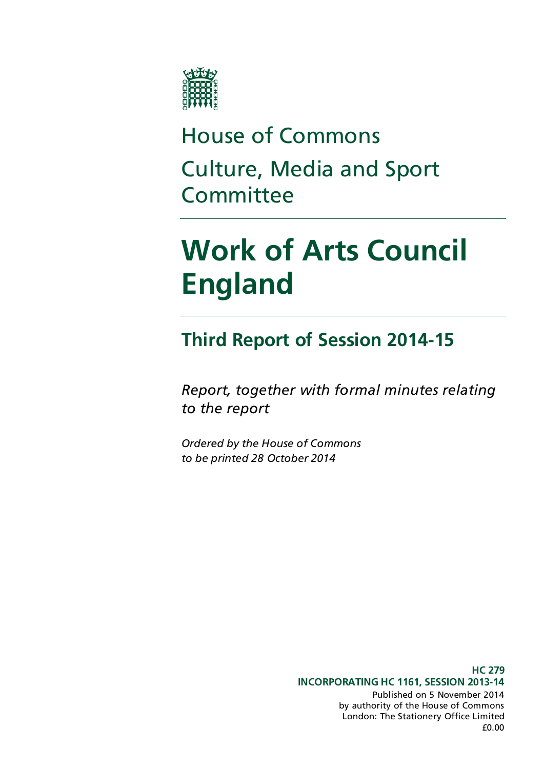

## House of Commons Culture, Media and Sport **Committee**

# **Work of Arts Council England**

## **Third Report of Session 2014-15**

*Report, together with formal minutes relating to the report*

*Ordered by the House of Commons to be printed 28 October 2014*

> **HC 279 INCORPORATING HC 1161, SESSION 2013-14** Published on 5 November 2014 by authority of the House of Commons London: The Stationery Office Limited £0.00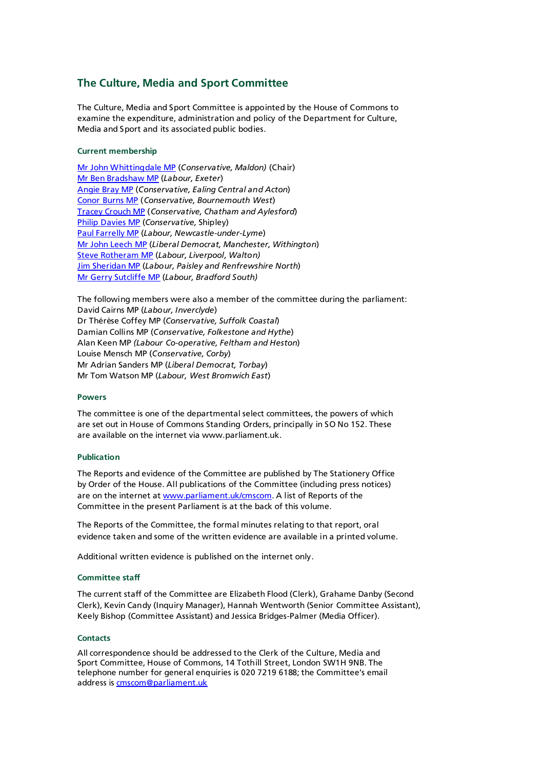#### **The Culture, Media and Sport Committee**

The Culture, Media and Sport Committee is appointed by the House of Commons to examine the expenditure, administration and policy of the Department for Culture, Media and Sport and its associated public bodies.

#### **Current membership**

[Mr John Whittingdale MP](http://www.parliament.uk/biographies/commons/mr-john-whittingdale/39) (*Conservative, Maldon)* (Chair) [Mr Ben Bradshaw MP](http://www.parliament.uk/biographies/commons/mr-ben-bradshaw/230) (*Labour, Exeter*) [Angie Bray MP](http://www.parliament.uk/biographies/commons/angie-bray/3979) (*Conservative, Ealing Central and Acton*) [Conor Burns MP](http://www.parliament.uk/biographies/commons/conor-burns/3922) (*Conservative, Bournemouth West*) [Tracey Crouch MP](http://www.parliament.uk/biographies/commons/tracey-crouch/3950) (*Conservative, Chatham and Aylesford*) [Philip Davies MP](http://www.parliament.uk/biographies/commons/philip-davies/1565) (*Conservative,* Shipley) [Paul Farrelly MP](http://www.parliament.uk/biographies/commons/paul-farrelly/1436) (*Labour, Newcastle-under-Lyme*) [Mr John Leech MP](http://www.parliament.uk/biographies/commons/mr-john-leech/1543) (*Liberal Democrat, Manchester, Withington*) [Steve Rotheram MP](http://www.parliament.uk/biographies/commons/steve-rotheram/4035) (*Labour, Liverpool, Walton)* [Jim Sheridan MP](http://www.parliament.uk/biographies/commons/jim-sheridan/1464) (*Labour, Paisley and Renfrewshire North*) [Mr Gerry Sutcliffe MP](http://www.parliament.uk/biographies/commons/mr-gerry-sutcliffe/403) (*Labour, Bradford South)*

The following members were also a member of the committee during the parliament: David Cairns MP (*Labour, Inverclyde*) Dr Thérèse Coffey MP (*Conservative, Suffolk Coastal*) Damian Collins MP (*Conservative, Folkestone and Hythe*) Alan Keen MP *(Labour Co-operative, Feltham and Heston*) Louise Mensch MP (*Conservative, Corby*) Mr Adrian Sanders MP (*Liberal Democrat, Torbay*) Mr Tom Watson MP (*Labour, West Bromwich East*)

#### **Powers**

The committee is one of the departmental select committees, the powers of which are set out in House of Commons Standing Orders, principally in SO No 152. These are available on the internet via www.parliament.uk.

#### **Publication**

The Reports and evidence of the Committee are published by The Stationery Office by Order of the House. All publications of the Committee (including press notices) are on the internet at [www.parliament.uk/cmscom.](http://www.parliament.uk/cmscom) A list of Reports of the Committee in the present Parliament is at the back of this volume.

The Reports of the Committee, the formal minutes relating to that report, oral evidence taken and some of the written evidence are available in a printed volume.

Additional written evidence is published on the internet only.

#### **Committee staff**

The current staff of the Committee are Elizabeth Flood (Clerk), Grahame Danby (Second Clerk), Kevin Candy (Inquiry Manager), Hannah Wentworth (Senior Committee Assistant), Keely Bishop (Committee Assistant) and Jessica Bridges-Palmer (Media Officer).

#### **Contacts**

All correspondence should be addressed to the Clerk of the Culture, Media and Sport Committee, House of Commons, 14 Tothill Street, London SW1H 9NB. The telephone number for general enquiries is 020 7219 6188; the Committee's email address i[s cmscom@parliament.uk](mailto:cmscom@parliament.uk)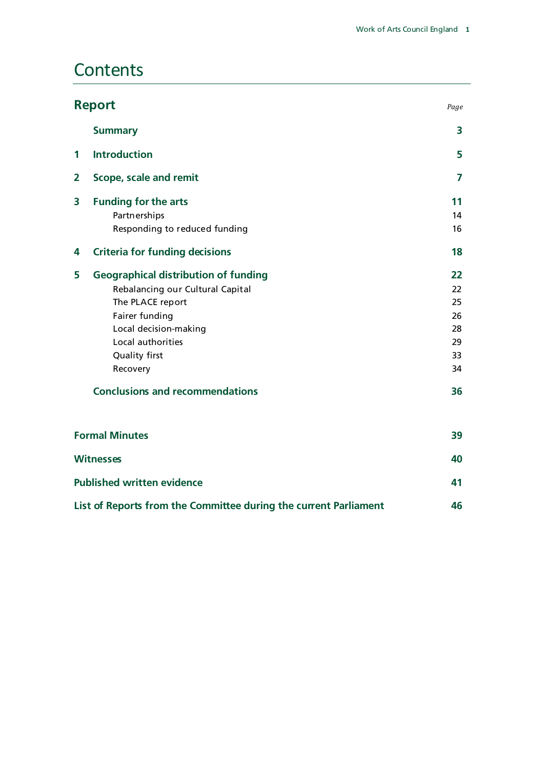### **Contents**

| <b>Report</b><br>Page |                                                                        |                |  |
|-----------------------|------------------------------------------------------------------------|----------------|--|
|                       | <b>Summary</b>                                                         | 3              |  |
| 1                     | <b>Introduction</b>                                                    | 5              |  |
| $\overline{2}$        | Scope, scale and remit                                                 | 7              |  |
| 3                     | <b>Funding for the arts</b><br>Partnerships                            | 11<br>14<br>16 |  |
| 4                     | Responding to reduced funding<br><b>Criteria for funding decisions</b> | 18             |  |
| 5                     | <b>Geographical distribution of funding</b>                            | 22             |  |
|                       | Rebalancing our Cultural Capital                                       | 22             |  |
|                       | The PLACE report                                                       | 25             |  |
|                       | Fairer funding                                                         | 26             |  |
|                       | Local decision-making                                                  | 28             |  |
|                       | Local authorities                                                      | 29             |  |
|                       | Quality first                                                          | 33             |  |
|                       | Recovery                                                               | 34             |  |
|                       | <b>Conclusions and recommendations</b>                                 | 36             |  |
|                       | <b>Formal Minutes</b>                                                  |                |  |
| <b>Witnesses</b>      |                                                                        |                |  |
|                       | <b>Published written evidence</b>                                      |                |  |
|                       | List of Reports from the Committee during the current Parliament<br>46 |                |  |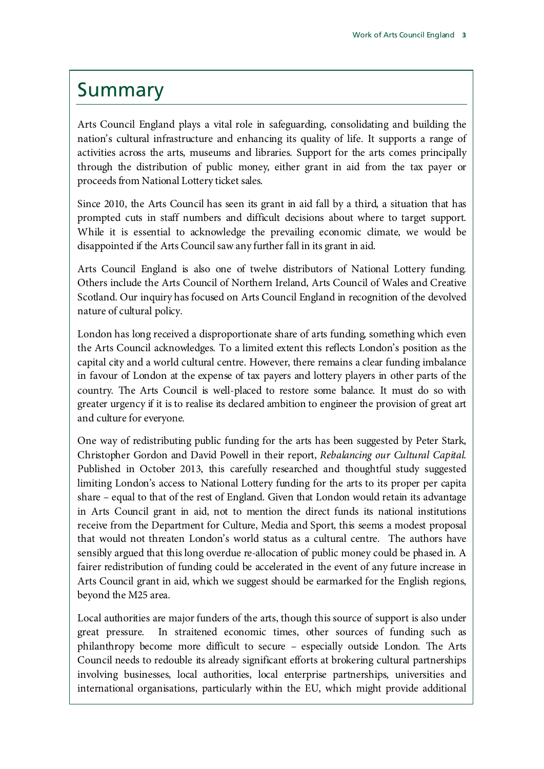### <span id="page-3-0"></span>Summary

Arts Council England plays a vital role in safeguarding, consolidating and building the nation's cultural infrastructure and enhancing its quality of life. It supports a range of activities across the arts, museums and libraries. Support for the arts comes principally through the distribution of public money, either grant in aid from the tax payer or proceeds from National Lottery ticket sales.

Since 2010, the Arts Council has seen its grant in aid fall by a third, a situation that has prompted cuts in staff numbers and difficult decisions about where to target support. While it is essential to acknowledge the prevailing economic climate, we would be disappointed if the Arts Council saw any further fall in its grant in aid.

Arts Council England is also one of twelve distributors of National Lottery funding. Others include the Arts Council of Northern Ireland, Arts Council of Wales and Creative Scotland. Our inquiry has focused on Arts Council England in recognition of the devolved nature of cultural policy.

London has long received a disproportionate share of arts funding, something which even the Arts Council acknowledges. To a limited extent this reflects London's position as the capital city and a world cultural centre. However, there remains a clear funding imbalance in favour of London at the expense of tax payers and lottery players in other parts of the country. The Arts Council is well-placed to restore some balance. It must do so with greater urgency if it is to realise its declared ambition to engineer the provision of great art and culture for everyone.

One way of redistributing public funding for the arts has been suggested by Peter Stark, Christopher Gordon and David Powell in their report, *Rebalancing our Cultural Capital*. Published in October 2013, this carefully researched and thoughtful study suggested limiting London's access to National Lottery funding for the arts to its proper per capita share – equal to that of the rest of England. Given that London would retain its advantage in Arts Council grant in aid, not to mention the direct funds its national institutions receive from the Department for Culture, Media and Sport, this seems a modest proposal that would not threaten London's world status as a cultural centre. The authors have sensibly argued that this long overdue re-allocation of public money could be phased in. A fairer redistribution of funding could be accelerated in the event of any future increase in Arts Council grant in aid, which we suggest should be earmarked for the English regions, beyond the M25 area.

Local authorities are major funders of the arts, though this source of support is also under great pressure. In straitened economic times, other sources of funding such as philanthropy become more difficult to secure – especially outside London. The Arts Council needs to redouble its already significant efforts at brokering cultural partnerships involving businesses, local authorities, local enterprise partnerships, universities and international organisations, particularly within the EU, which might provide additional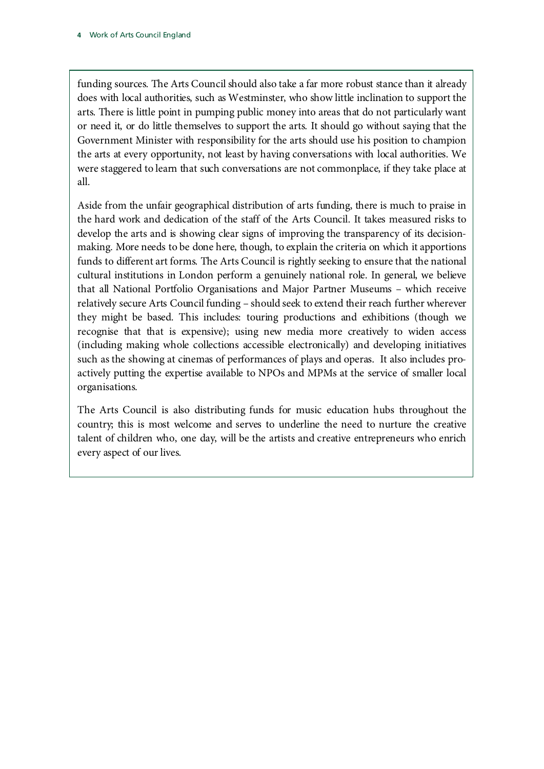funding sources. The Arts Council should also take a far more robust stance than it already does with local authorities, such as Westminster, who show little inclination to support the arts. There is little point in pumping public money into areas that do not particularly want or need it, or do little themselves to support the arts. It should go without saying that the Government Minister with responsibility for the arts should use his position to champion the arts at every opportunity, not least by having conversations with local authorities. We were staggered to learn that such conversations are not commonplace, if they take place at all.

Aside from the unfair geographical distribution of arts funding, there is much to praise in the hard work and dedication of the staff of the Arts Council. It takes measured risks to develop the arts and is showing clear signs of improving the transparency of its decisionmaking. More needs to be done here, though, to explain the criteria on which it apportions funds to different art forms. The Arts Council is rightly seeking to ensure that the national cultural institutions in London perform a genuinely national role. In general, we believe that all National Portfolio Organisations and Major Partner Museums – which receive relatively secure Arts Council funding – should seek to extend their reach further wherever they might be based. This includes: touring productions and exhibitions (though we recognise that that is expensive); using new media more creatively to widen access (including making whole collections accessible electronically) and developing initiatives such as the showing at cinemas of performances of plays and operas. It also includes proactively putting the expertise available to NPOs and MPMs at the service of smaller local organisations.

The Arts Council is also distributing funds for music education hubs throughout the country; this is most welcome and serves to underline the need to nurture the creative talent of children who, one day, will be the artists and creative entrepreneurs who enrich every aspect of our lives.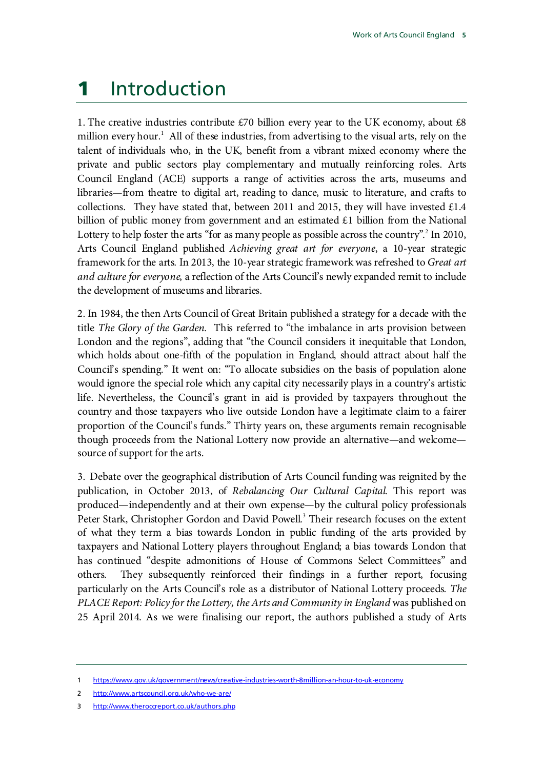## <span id="page-5-0"></span>1 Introduction

1. The creative industries contribute  $£70$  billion every year to the UK economy, about  $£8$ million every hour.<sup>[1](#page-5-1)</sup> All of these industries, from advertising to the visual arts, rely on the talent of individuals who, in the UK, benefit from a vibrant mixed economy where the private and public sectors play complementary and mutually reinforcing roles. Arts Council England (ACE) supports a range of activities across the arts, museums and libraries—from theatre to digital art, reading to dance, music to literature, and crafts to collections. They have stated that, between 2011 and 2015, they will have invested  $£1.4$ billion of public money from government and an estimated £1 billion from the National Lottery to help foster the arts "for as many people as possible across the country".<sup>[2](#page-5-2)</sup> In 2010, Arts Council England published *Achieving great art for everyone*, a 10-year strategic framework for the arts. In 2013, the 10-year strategic framework was refreshed to *Great art and culture for everyone*, a reflection of the Arts Council's newly expanded remit to include the development of museums and libraries.

2. In 1984, the then Arts Council of Great Britain published a strategy for a decade with the title *The Glory of the Garden*. This referred to "the imbalance in arts provision between London and the regions", adding that "the Council considers it inequitable that London, which holds about one-fifth of the population in England, should attract about half the Council's spending." It went on: "To allocate subsidies on the basis of population alone would ignore the special role which any capital city necessarily plays in a country's artistic life. Nevertheless, the Council's grant in aid is provided by taxpayers throughout the country and those taxpayers who live outside London have a legitimate claim to a fairer proportion of the Council's funds." Thirty years on, these arguments remain recognisable though proceeds from the National Lottery now provide an alternative—and welcome source of support for the arts.

3. Debate over the geographical distribution of Arts Council funding was reignited by the publication, in October 2013, of *Rebalancing Our Cultural Capital*. This report was produced—independently and at their own expense—by the cultural policy professionals Peter Stark, Christopher Gordon and David Powell.<sup>[3](#page-5-3)</sup> Their research focuses on the extent of what they term a bias towards London in public funding of the arts provided by taxpayers and National Lottery players throughout England; a bias towards London that has continued "despite admonitions of House of Commons Select Committees" and others. They subsequently reinforced their findings in a further report, focusing particularly on the Arts Council's role as a distributor of National Lottery proceeds. *The PLACE Report: Policy for the Lottery, the Arts and Community in England* was published on 25 April 2014. As we were finalising our report, the authors published a study of Arts

<span id="page-5-1"></span><sup>1</sup> <https://www.gov.uk/government/news/creative-industries-worth-8million-an-hour-to-uk-economy>

<span id="page-5-2"></span><sup>2</sup> <http://www.artscouncil.org.uk/who-we-are/>

<span id="page-5-3"></span><sup>3</sup> <http://www.theroccreport.co.uk/authors.php>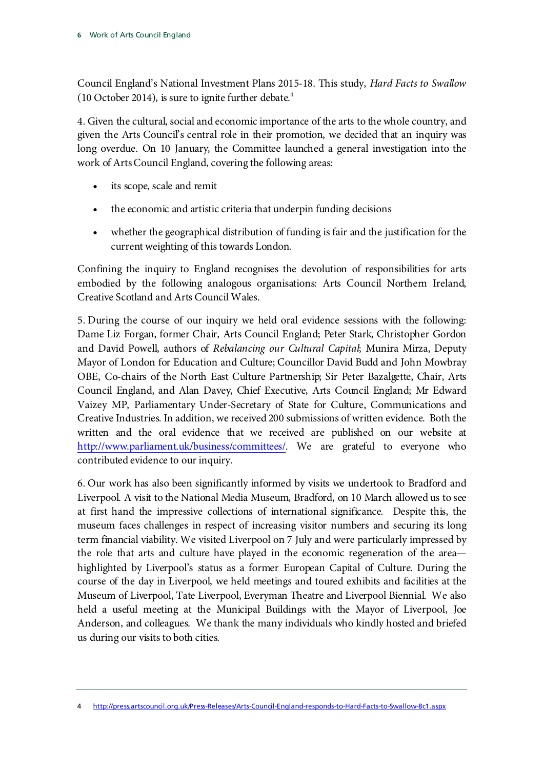Council England's National Investment Plans 2015-18. This study, *Hard Facts to Swallow*  (10 October 201[4](#page-6-0)), is sure to ignite further debate. $4$ 

4. Given the cultural, social and economic importance of the arts to the whole country, and given the Arts Council's central role in their promotion, we decided that an inquiry was long overdue. On 10 January, the Committee launched a general investigation into the work of Arts Council England, covering the following areas:

- its scope, scale and remit
- the economic and artistic criteria that underpin funding decisions
- whether the geographical distribution of funding is fair and the justification for the current weighting of this towards London.

Confining the inquiry to England recognises the devolution of responsibilities for arts embodied by the following analogous organisations: Arts Council Northern Ireland, Creative Scotland and Arts Council Wales.

5. During the course of our inquiry we held oral evidence sessions with the following: Dame Liz Forgan, former Chair, Arts Council England; Peter Stark, Christopher Gordon and David Powell, authors of *Rebalancing our Cultural Capital*; Munira Mirza, Deputy Mayor of London for Education and Culture; Councillor David Budd and John Mowbray OBE, Co-chairs of the North East Culture Partnership; Sir Peter Bazalgette, Chair, Arts Council England, and Alan Davey, Chief Executive, Arts Council England; Mr Edward Vaizey MP, Parliamentary Under-Secretary of State for Culture, Communications and Creative Industries. In addition, we received 200 submissions of written evidence. Both the written and the oral evidence that we received are published on our website at [http://www.parliament.uk/business/committees/.](http://www.parliament.uk/business/committees/) We are grateful to everyone who contributed evidence to our inquiry.

6. Our work has also been significantly informed by visits we undertook to Bradford and Liverpool. A visit to the National Media Museum, Bradford, on 10 March allowed us to see at first hand the impressive collections of international significance. Despite this, the museum faces challenges in respect of increasing visitor numbers and securing its long term financial viability. We visited Liverpool on 7 July and were particularly impressed by the role that arts and culture have played in the economic regeneration of the area highlighted by Liverpool's status as a former European Capital of Culture. During the course of the day in Liverpool, we held meetings and toured exhibits and facilities at the Museum of Liverpool, Tate Liverpool, Everyman Theatre and Liverpool Biennial. We also held a useful meeting at the Municipal Buildings with the Mayor of Liverpool, Joe Anderson, and colleagues. We thank the many individuals who kindly hosted and briefed us during our visits to both cities.

<span id="page-6-0"></span><sup>4</sup> <http://press.artscouncil.org.uk/Press-Releases/Arts-Council-England-responds-to-Hard-Facts-to-Swallow-8c1.aspx>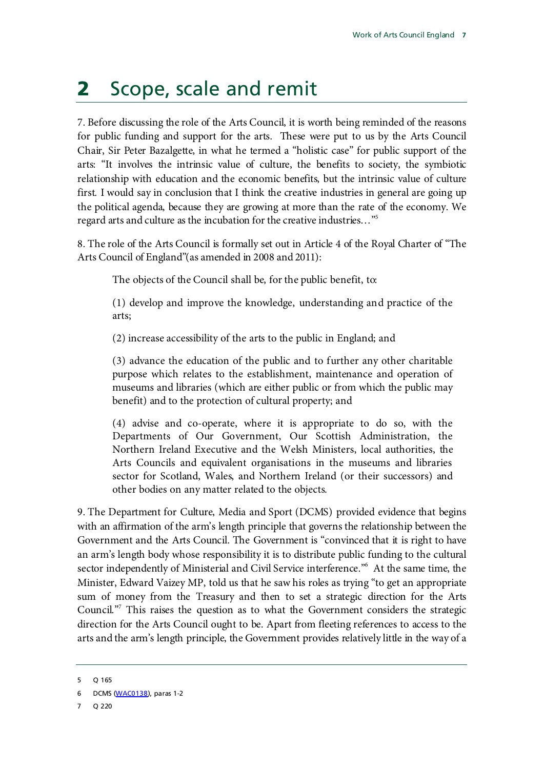### <span id="page-7-0"></span>2 Scope, scale and remit

7. Before discussing the role of the Arts Council, it is worth being reminded of the reasons for public funding and support for the arts. These were put to us by the Arts Council Chair, Sir Peter Bazalgette, in what he termed a "holistic case" for public support of the arts: "It involves the intrinsic value of culture, the benefits to society, the symbiotic relationship with education and the economic benefits, but the intrinsic value of culture first. I would say in conclusion that I think the creative industries in general are going up the political agenda, because they are growing at more than the rate of the economy. We regard arts and culture as the incubation for the creative industries…["5](#page-7-1)

8. The role of the Arts Council is formally set out in Article 4 of the Royal Charter of "The Arts Council of England"(as amended in 2008 and 2011):

The objects of the Council shall be, for the public benefit, to:

(1) develop and improve the knowledge, understanding and practice of the arts;

(2) increase accessibility of the arts to the public in England; and

(3) advance the education of the public and to further any other charitable purpose which relates to the establishment, maintenance and operation of museums and libraries (which are either public or from which the public may benefit) and to the protection of cultural property; and

(4) advise and co-operate, where it is appropriate to do so, with the Departments of Our Government, Our Scottish Administration, the Northern Ireland Executive and the Welsh Ministers, local authorities, the Arts Councils and equivalent organisations in the museums and libraries sector for Scotland, Wales, and Northern Ireland (or their successors) and other bodies on any matter related to the objects.

9. The Department for Culture, Media and Sport (DCMS) provided evidence that begins with an affirmation of the arm's length principle that governs the relationship between the Government and the Arts Council. The Government is "convinced that it is right to have an arm's length body whose responsibility it is to distribute public funding to the cultural sector independently of Ministerial and Civil Service interference."<sup>6</sup> At the same time, the Minister, Edward Vaizey MP, told us that he saw his roles as trying "to get an appropriate sum of money from the Treasury and then to set a strategic direction for the Arts Council." [7](#page-7-3) This raises the question as to what the Government considers the strategic direction for the Arts Council ought to be. Apart from fleeting references to access to the arts and the arm's length principle, the Government provides relatively little in the way of a

<span id="page-7-1"></span><sup>5</sup> Q 165

<span id="page-7-3"></span><span id="page-7-2"></span><sup>6</sup> DCMS [\(WAC0138\)](http://data.parliament.uk/writtenevidence/committeeevidence.svc/evidencedocument/Culture,-Media-and-Sport/Work-of-the-Arts-Council-England/written/6523.html), paras 1-2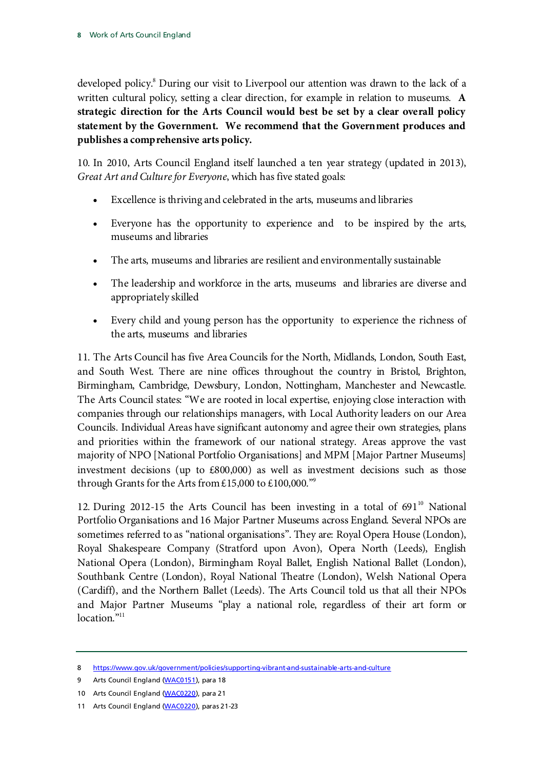developed policy.<sup>8</sup> During our visit to Liverpool our attention was drawn to the lack of a written cultural policy, setting a clear direction, for example in relation to museums. **A strategic direction for the Arts Council would best be set by a clear overall policy statement by the Government. We recommend that the Government produces and publishes a comprehensive arts policy.**

10. In 2010, Arts Council England itself launched a ten year strategy (updated in 2013), *Great Art and Culture for Everyone*, which has five stated goals:

- <span id="page-8-4"></span>Excellence is thriving and celebrated in the arts, museums and libraries
- Everyone has the opportunity to experience and to be inspired by the arts, museums and libraries
- The arts, museums and libraries are resilient and environmentally sustainable
- The leadership and workforce in the arts, museums and libraries are diverse and appropriately skilled
- Every child and young person has the opportunity to experience the richness of the arts, museums and libraries

11. The Arts Council has five Area Councils for the North, Midlands, London, South East, and South West. There are nine offices throughout the country in Bristol, Brighton, Birmingham, Cambridge, Dewsbury, London, Nottingham, Manchester and Newcastle. The Arts Council states: "We are rooted in local expertise, enjoying close interaction with companies through our relationships managers, with Local Authority leaders on our Area Councils. Individual Areas have significant autonomy and agree their own strategies, plans and priorities within the framework of our national strategy. Areas approve the vast majority of NPO [National Portfolio Organisations] and MPM [Major Partner Museums] investment decisions (up to £800,000) as well as investment decisions such as those through Grants for the Arts from £15,000 to £100,000.["9](#page-8-1)

12. During 2012-15 the Arts Council has been investing in a total of  $691<sup>10</sup>$  $691<sup>10</sup>$  $691<sup>10</sup>$  National Portfolio Organisations and 16 Major Partner Museums across England. Several NPOs are sometimes referred to as "national organisations". They are: Royal Opera House (London), Royal Shakespeare Company (Stratford upon Avon), Opera North (Leeds), English National Opera (London), Birmingham Royal Ballet, English National Ballet (London), Southbank Centre (London), Royal National Theatre (London), Welsh National Opera (Cardiff), and the Northern Ballet (Leeds). The Arts Council told us that all their NPOs and Major Partner Museums "play a national role, regardless of their art form or location."<sup>11</sup>

<span id="page-8-0"></span><sup>8</sup> <https://www.gov.uk/government/policies/supporting-vibrant-and-sustainable-arts-and-culture>

<span id="page-8-1"></span><sup>9</sup> Arts Council England [\(WAC0151\)](http://data.parliament.uk/writtenevidence/committeeevidence.svc/evidencedocument/Culture,-Media-and-Sport/Work-of-the-Arts-Council-England/written/6571.html), para 18

<span id="page-8-2"></span><sup>10</sup> Arts Council England [\(WAC0220\)](http://data.parliament.uk/writtenevidence/committeeevidence.svc/evidencedocument/Culture,-Media-and-Sport/Work-of-the-Arts-Council-England/written/9895.html), para 21

<span id="page-8-3"></span><sup>11</sup> Arts Council England [\(WAC0220\)](http://data.parliament.uk/writtenevidence/committeeevidence.svc/evidencedocument/Culture,-Media-and-Sport/Work-of-the-Arts-Council-England/written/9895.html), paras 21-23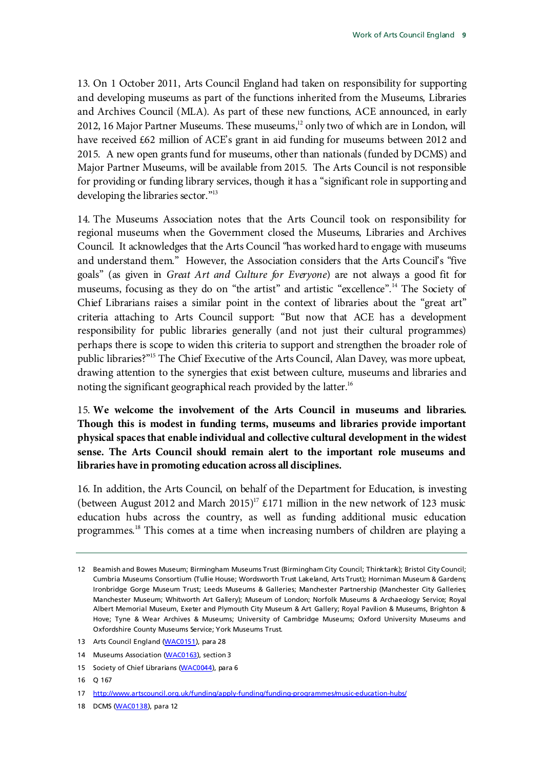13. On 1 October 2011, Arts Council England had taken on responsibility for supporting and developing museums as part of the functions inherited from the Museums, Libraries and Archives Council (MLA). As part of these new functions, ACE announced, in early 20[12](#page-9-0), 16 Major Partner Museums. These museums,<sup>12</sup> only two of which are in London, will have received £62 million of ACE's grant in aid funding for museums between 2012 and 2015. A new open grants fund for museums, other than nationals (funded by DCMS) and Major Partner Museums, will be available from 2015. The Arts Council is not responsible for providing or funding library services, though it has a "significant role in supporting and developing the libraries sector."<sup>13</sup>

14. The Museums Association notes that the Arts Council took on responsibility for regional museums when the Government closed the Museums, Libraries and Archives Council. It acknowledges that the Arts Council "has worked hard to engage with museums and understand them." However, the Association considers that the Arts Council's "five goals" (as given in *Great Art and Culture for Everyone*) are not always a good fit for museums, focusing as they do on "the artist" and artistic "excellence".<sup>[14](#page-9-2)</sup> The Society of Chief Librarians raises a similar point in the context of libraries about the "great art" criteria attaching to Arts Council support: "But now that ACE has a development responsibility for public libraries generally (and not just their cultural programmes) perhaps there is scope to widen this criteria to support and strengthen the broader role of public libraries?["15](#page-9-3) The Chief Executive of the Arts Council, Alan Davey, was more upbeat, drawing attention to the synergies that exist between culture, museums and libraries and noting the significant geographical reach provided by the latter.<sup>16</sup>

<span id="page-9-7"></span>15. **We welcome the involvement of the Arts Council in museums and libraries. Though this is modest in funding terms, museums and libraries provide important physical spaces that enable individual and collective cultural development in the widest sense. The Arts Council should remain alert to the important role museums and libraries have in promoting education across all disciplines.** 

16. In addition, the Arts Council, on behalf of the Department for Education, is investing (between August 2012 and March 2015)<sup>[17](#page-9-5)</sup> £171 million in the new network of 123 music education hubs across the country, as well as funding additional music education programmes.[18](#page-9-6) This comes at a time when increasing numbers of children are playing a

<span id="page-9-0"></span><sup>12</sup> Beamish and Bowes Museum; Birmingham Museums Trust (Birmingham City Council; Thinktank); Bristol City Council; Cumbria Museums Consortium (Tullie House; Wordsworth Trust Lakeland, Arts Trust); Horniman Museum & Gardens; Ironbridge Gorge Museum Trust; Leeds Museums & Galleries; Manchester Partnership (Manchester City Galleries; Manchester Museum; Whitworth Art Gallery); Museum of London; Norfolk Museums & Archaeology Service; Royal Albert Memorial Museum, Exeter and Plymouth City Museum & Art Gallery; Royal Pavilion & Museums, Brighton & Hove; Tyne & Wear Archives & Museums; University of Cambridge Museums; Oxford University Museums and Oxfordshire County Museums Service; York Museums Trust.

<span id="page-9-1"></span><sup>13</sup> Arts Council England [\(WAC0151\)](http://data.parliament.uk/writtenevidence/committeeevidence.svc/evidencedocument/Culture,-Media-and-Sport/Work-of-the-Arts-Council-England/written/6571.html), para 28

<span id="page-9-2"></span><sup>14</sup> Museums Association [\(WAC0163\)](http://data.parliament.uk/writtenevidence/committeeevidence.svc/evidencedocument/Culture,-Media-and-Sport/Work-of-the-Arts-Council-England/written/6592.html), section 3

<span id="page-9-3"></span><sup>15</sup> Society of Chief Librarians [\(WAC0044\)](http://data.parliament.uk/writtenevidence/committeeevidence.svc/evidencedocument/Culture,-Media-and-Sport/Work-of-the-Arts-Council-England/written/6308.html), para 6

<span id="page-9-4"></span><sup>16</sup> Q 167

<span id="page-9-5"></span><sup>17</sup> <http://www.artscouncil.org.uk/funding/apply-funding/funding-programmes/music-education-hubs/>

<span id="page-9-6"></span><sup>18</sup> DCMS [\(WAC0138\)](http://data.parliament.uk/writtenevidence/committeeevidence.svc/evidencedocument/Culture,-Media-and-Sport/Work-of-the-Arts-Council-England/written/6523.html), para 12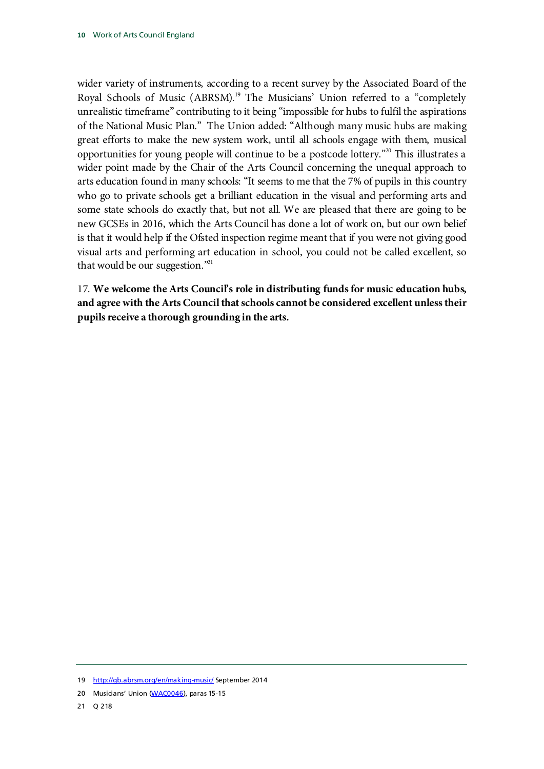wider variety of instruments, according to a recent survey by the Associated Board of the Royal Schools of Music (ABRSM). [19](#page-10-0) The Musicians' Union referred to a "completely unrealistic timeframe" contributing to it being "impossible for hubs to fulfil the aspirations of the National Music Plan." The Union added: "Although many music hubs are making great efforts to make the new system work, until all schools engage with them, musical opportunities for young people will continue to be a postcode lottery.["20](#page-10-1) This illustrates a wider point made by the Chair of the Arts Council concerning the unequal approach to arts education found in many schools: "It seems to me that the 7% of pupils in this country who go to private schools get a brilliant education in the visual and performing arts and some state schools do exactly that, but not all. We are pleased that there are going to be new GCSEs in 2016, which the Arts Council has done a lot of work on, but our own belief is that it would help if the Ofsted inspection regime meant that if you were not giving good visual arts and performing art education in school, you could not be called excellent, so that would be our suggestion."<sup>[21](#page-10-2)</sup>

<span id="page-10-3"></span>17. **We welcome the Arts Council's role in distributing funds for music education hubs, and agree with the Arts Council that schools cannot be considered excellent unless their pupils receive a thorough grounding in the arts.** 

<span id="page-10-0"></span><sup>19</sup> <http://gb.abrsm.org/en/making-music/> September 2014

<span id="page-10-2"></span><span id="page-10-1"></span><sup>20</sup> Musicians' Union [\(WAC0046\)](http://data.parliament.uk/writtenevidence/committeeevidence.svc/evidencedocument/Culture,-Media-and-Sport/Work-of-the-Arts-Council-England/written/6324.html), paras 15-15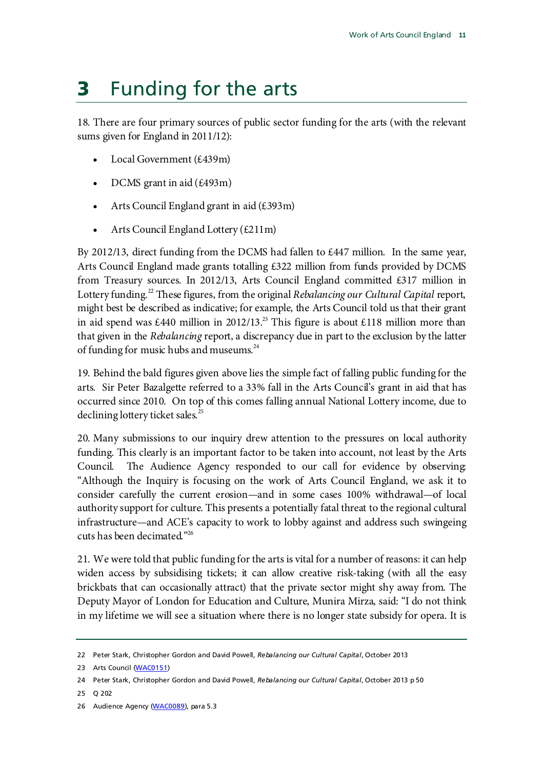## <span id="page-11-0"></span>**3** Funding for the arts

18. There are four primary sources of public sector funding for the arts (with the relevant sums given for England in 2011/12):

- Local Government (£439m)
- DCMS grant in aid (£493m)
- Arts Council England grant in aid (£393m)
- Arts Council England Lottery (£211m)

By 2012/13, direct funding from the DCMS had fallen to £447 million. In the same year, Arts Council England made grants totalling £322 million from funds provided by DCMS from Treasury sources. In 2012/13, Arts Council England committed £317 million in Lottery funding.[22](#page-11-1) These figures, from the original *Rebalancing our Cultural Capital* report, might best be described as indicative; for example, the Arts Council told us that their grant in aid spend was £440 million in 2012/13.<sup>23</sup> This figure is about £118 million more than that given in the *Rebalancing* report, a discrepancy due in part to the exclusion by the latter of funding for music hubs and museums.<sup>[24](#page-11-3)</sup>

19. Behind the bald figures given above lies the simple fact of falling public funding for the arts. Sir Peter Bazalgette referred to a 33% fall in the Arts Council's grant in aid that has occurred since 2010. On top of this comes falling annual National Lottery income, due to declining lottery ticket sales.<sup>[25](#page-11-4)</sup>

20. Many submissions to our inquiry drew attention to the pressures on local authority funding. This clearly is an important factor to be taken into account, not least by the Arts Council. The Audience Agency responded to our call for evidence by observing: "Although the Inquiry is focusing on the work of Arts Council England, we ask it to consider carefully the current erosion—and in some cases 100% withdrawal—of local authority support for culture. This presents a potentially fatal threat to the regional cultural infrastructure—and ACE's capacity to work to lobby against and address such swingeing cuts has been decimated."[26](#page-11-5)

21. We were told that public funding for the arts is vital for a number of reasons: it can help widen access by subsidising tickets; it can allow creative risk-taking (with all the easy brickbats that can occasionally attract) that the private sector might shy away from. The Deputy Mayor of London for Education and Culture, Munira Mirza, said: "I do not think in my lifetime we will see a situation where there is no longer state subsidy for opera. It is

<span id="page-11-1"></span><sup>22</sup> Peter Stark, Christopher Gordon and David Powell, *Rebalancing our Cultural Capital*, October 2013

<span id="page-11-2"></span><sup>23</sup> Arts Council [\(WAC0151\)](http://data.parliament.uk/writtenevidence/committeeevidence.svc/evidencedocument/Culture,-Media-and-Sport/Work-of-the-Arts-Council-England/written/6571.html)

<span id="page-11-3"></span><sup>24</sup> Peter Stark, Christopher Gordon and David Powell, *Rebalancing our Cultural Capital*, October 2013 p 50

<span id="page-11-4"></span><sup>25</sup> Q 202

<span id="page-11-5"></span><sup>26</sup> Audience Agency [\(WAC0089\)](http://data.parliament.uk/writtenevidence/committeeevidence.svc/evidencedocument/Culture,-Media-and-Sport/Work-of-the-Arts-Council-England/written/6424.html), para 5.3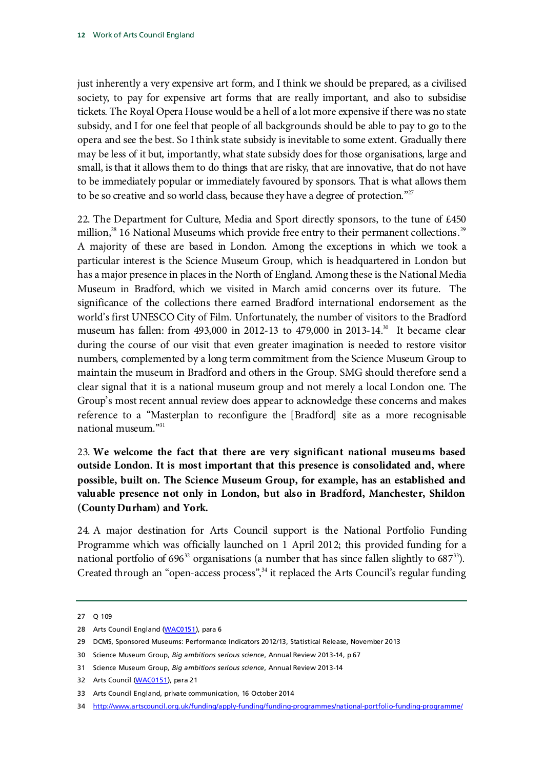just inherently a very expensive art form, and I think we should be prepared, as a civilised society, to pay for expensive art forms that are really important, and also to subsidise tickets. The Royal Opera House would be a hell of a lot more expensive if there was no state subsidy, and I for one feel that people of all backgrounds should be able to pay to go to the opera and see the best. So I think state subsidy is inevitable to some extent. Gradually there may be less of it but, importantly, what state subsidy does for those organisations, large and small, is that it allows them to do things that are risky, that are innovative, that do not have to be immediately popular or immediately favoured by sponsors. That is what allows them to be so creative and so world class, because they have a degree of protection."<sup>27</sup>

22. The Department for Culture, Media and Sport directly sponsors, to the tune of £450 million,<sup>[28](#page-12-1)</sup> 16 National Museums which provide free entry to their permanent collections.<sup>[29](#page-12-2)</sup> A majority of these are based in London. Among the exceptions in which we took a particular interest is the Science Museum Group, which is headquartered in London but has a major presence in places in the North of England. Among these is the National Media Museum in Bradford, which we visited in March amid concerns over its future. The significance of the collections there earned Bradford international endorsement as the world's first UNESCO City of Film. Unfortunately, the number of visitors to the Bradford museum has fallen: from 493,000 in 2012-13 to 479,000 in 2013-14.<sup>30</sup> It became clear during the course of our visit that even greater imagination is needed to restore visitor numbers, complemented by a long term commitment from the Science Museum Group to maintain the museum in Bradford and others in the Group. SMG should therefore send a clear signal that it is a national museum group and not merely a local London one. The Group's most recent annual review does appear to acknowledge these concerns and makes reference to a "Masterplan to reconfigure the [Bradford] site as a more recognisable national museum.["31](#page-12-4)

<span id="page-12-8"></span>23. **We welcome the fact that there are very significant national museums based outside London. It is most important that this presence is consolidated and, where possible, built on. The Science Museum Group, for example, has an established and valuable presence not only in London, but also in Bradford, Manchester, Shildon (County Durham) and York.** 

24. A major destination for Arts Council support is the National Portfolio Funding Programme which was officially launched on 1 April 2012; this provided funding for a national portfolio of  $696^{32}$  $696^{32}$  $696^{32}$  organisations (a number that has since fallen slightly to  $687^{33}$  $687^{33}$  $687^{33}$ ). Created through an "open-access process",<sup>[34](#page-12-7)</sup> it replaced the Arts Council's regular funding

<span id="page-12-0"></span><sup>27</sup> Q 109

<span id="page-12-1"></span><sup>28</sup> Arts Council England [\(WAC0151\)](http://data.parliament.uk/writtenevidence/committeeevidence.svc/evidencedocument/Culture,-Media-and-Sport/Work-of-the-Arts-Council-England/written/6571.html), para 6

<span id="page-12-2"></span><sup>29</sup> DCMS, Sponsored Museums: Performance Indicators 2012/13, Statistical Release, November 2013

<span id="page-12-3"></span><sup>30</sup> Science Museum Group, *Big ambitions serious science*, Annual Review 2013-14, p 67

<span id="page-12-4"></span><sup>31</sup> Science Museum Group, *Big ambitions serious science*, Annual Review 2013-14

<span id="page-12-5"></span><sup>32</sup> Arts Council [\(WAC0151\)](http://data.parliament.uk/writtenevidence/committeeevidence.svc/evidencedocument/Culture,-Media-and-Sport/Work-of-the-Arts-Council-England/written/6571.html), para 21

<span id="page-12-6"></span><sup>33</sup> Arts Council England, private communication, 16 October 2014

<span id="page-12-7"></span><sup>34</sup> <http://www.artscouncil.org.uk/funding/apply-funding/funding-programmes/national-portfolio-funding-programme/>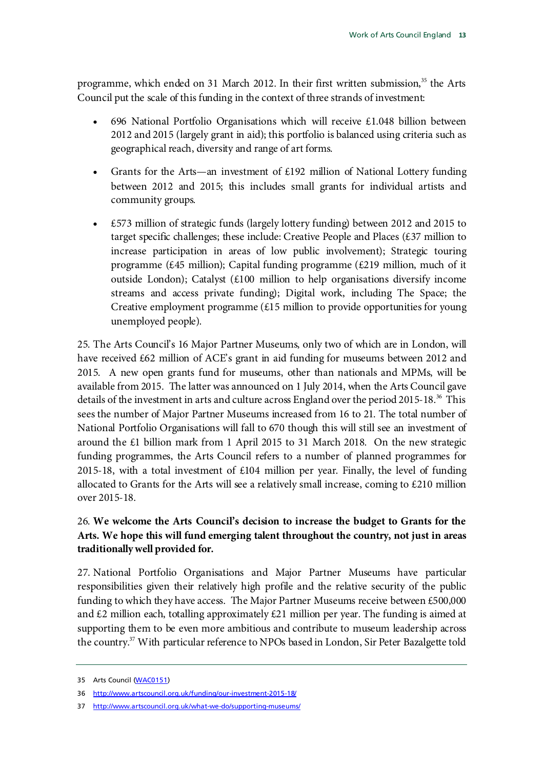programme, which ended on 31 March 2012. In their first written submission, $35$  the Arts Council put the scale of this funding in the context of three strands of investment:

- 696 National Portfolio Organisations which will receive £1.048 billion between 2012 and 2015 (largely grant in aid); this portfolio is balanced using criteria such as geographical reach, diversity and range of art forms.
- Grants for the Arts—an investment of £192 million of National Lottery funding between 2012 and 2015; this includes small grants for individual artists and community groups.
- $£573$  million of strategic funds (largely lottery funding) between 2012 and 2015 to target specific challenges; these include: Creative People and Places (£37 million to increase participation in areas of low public involvement); Strategic touring programme (£45 million); Capital funding programme (£219 million, much of it outside London); Catalyst (£100 million to help organisations diversify income streams and access private funding); Digital work, including The Space; the Creative employment programme (£15 million to provide opportunities for young unemployed people).

25. The Arts Council's 16 Major Partner Museums, only two of which are in London, will have received £62 million of ACE's grant in aid funding for museums between 2012 and 2015. A new open grants fund for museums, other than nationals and MPMs, will be available from 2015. The latter was announced on 1 July 2014, when the Arts Council gave details of the investment in arts and culture across England over the period 2015-18.<sup>36</sup> This sees the number of Major Partner Museums increased from 16 to 21. The total number of National Portfolio Organisations will fall to 670 though this will still see an investment of around the £1 billion mark from 1 April 2015 to 31 March 2018. On the new strategic funding programmes, the Arts Council refers to a number of planned programmes for 2015-18, with a total investment of £104 million per year. Finally, the level of funding allocated to Grants for the Arts will see a relatively small increase, coming to £210 million over 2015-18.

### <span id="page-13-3"></span>26. **We welcome the Arts Council's decision to increase the budget to Grants for the Arts. We hope this will fund emerging talent throughout the country, not just in areas traditionally well provided for.**

27. National Portfolio Organisations and Major Partner Museums have particular responsibilities given their relatively high profile and the relative security of the public funding to which they have access. The Major Partner Museums receive between £500,000 and  $\pounds$ 2 million each, totalling approximately  $\pounds$ 21 million per year. The funding is aimed at supporting them to be even more ambitious and contribute to museum leadership across the country.<sup>37</sup> With particular reference to NPOs based in London, Sir Peter Bazalgette told

<span id="page-13-0"></span><sup>35</sup> Arts Council [\(WAC0151\)](http://data.parliament.uk/writtenevidence/committeeevidence.svc/evidencedocument/Culture,-Media-and-Sport/Work-of-the-Arts-Council-England/written/6571.html)

<span id="page-13-1"></span><sup>36</sup> <http://www.artscouncil.org.uk/funding/our-investment-2015-18/>

<span id="page-13-2"></span><sup>37</sup> <http://www.artscouncil.org.uk/what-we-do/supporting-museums/>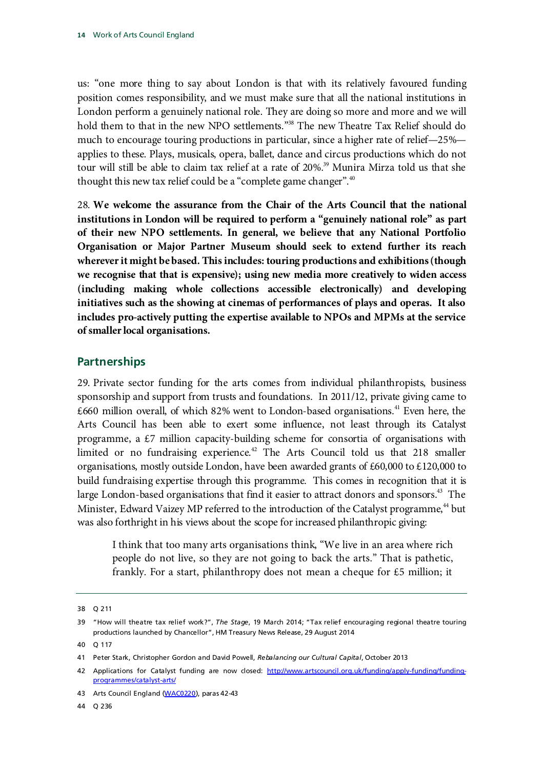us: "one more thing to say about London is that with its relatively favoured funding position comes responsibility, and we must make sure that all the national institutions in London perform a genuinely national role. They are doing so more and more and we will hold them to that in the new NPO settlements." [38](#page-14-1) The new Theatre Tax Relief should do much to encourage touring productions in particular, since a higher rate of relief—25% applies to these. Plays, musicals, opera, ballet, dance and circus productions which do not tour will still be able to claim tax relief at a rate of 20%.<sup>39</sup> Munira Mirza told us that she thought this new tax relief could be a "complete game changer".<sup>[40](#page-14-3)</sup>

<span id="page-14-8"></span>28. **We welcome the assurance from the Chair of the Arts Council that the national institutions in London will be required to perform a "genuinely national role" as part of their new NPO settlements. In general, we believe that any National Portfolio Organisation or Major Partner Museum should seek to extend further its reach wherever it might be based. This includes: touring productions and exhibitions (though we recognise that that is expensive); using new media more creatively to widen access (including making whole collections accessible electronically) and developing initiatives such as the showing at cinemas of performances of plays and operas. It also includes pro-actively putting the expertise available to NPOs and MPMs at the service of smaller local organisations.**

#### <span id="page-14-0"></span>**Partnerships**

29. Private sector funding for the arts comes from individual philanthropists, business sponsorship and support from trusts and foundations. In 2011/12, private giving came to  $£660$  million overall, of which 82% went to London-based organisations.<sup>[41](#page-14-4)</sup> Even here, the Arts Council has been able to exert some influence, not least through its Catalyst programme, a £7 million capacity-building scheme for consortia of organisations with limited or no fundraising experience.<sup>[42](#page-14-5)</sup> The Arts Council told us that 218 smaller organisations, mostly outside London, have been awarded grants of £60,000 to £120,000 to build fundraising expertise through this programme. This comes in recognition that it is large London-based organisations that find it easier to attract donors and sponsors.<sup>43</sup> The Minister, Edward Vaizey MP referred to the introduction of the Catalyst programme,<sup>[44](#page-14-7)</sup> but was also forthright in his views about the scope for increased philanthropic giving:

I think that too many arts organisations think, "We live in an area where rich people do not live, so they are not going to back the arts." That is pathetic, frankly. For a start, philanthropy does not mean a cheque for £5 million; it

<span id="page-14-7"></span>44 Q 236

<span id="page-14-1"></span><sup>38</sup> Q 211

<span id="page-14-2"></span><sup>39</sup> "How will theatre tax relief work?", *The Stage*, 19 March 2014; "Tax relief encouraging regional theatre touring productions launched by Chancellor", HM Treasury News Release, 29 August 2014

<span id="page-14-3"></span><sup>40</sup> Q 117

<span id="page-14-4"></span><sup>41</sup> Peter Stark, Christopher Gordon and David Powell, *Rebalancing our Cultural Capital*, October 2013

<span id="page-14-5"></span><sup>42</sup> Applications for Catalyst funding are now closed: [http://www.artscouncil.org.uk/funding/apply-funding/funding](http://www.artscouncil.org.uk/funding/apply-funding/funding-programmes/catalyst-arts/)[programmes/catalyst-arts/](http://www.artscouncil.org.uk/funding/apply-funding/funding-programmes/catalyst-arts/)

<span id="page-14-6"></span><sup>43</sup> Arts Council England [\(WAC0220\)](http://data.parliament.uk/writtenevidence/committeeevidence.svc/evidencedocument/Culture,-Media-and-Sport/Work-of-the-Arts-Council-England/written/9895.html), paras 42-43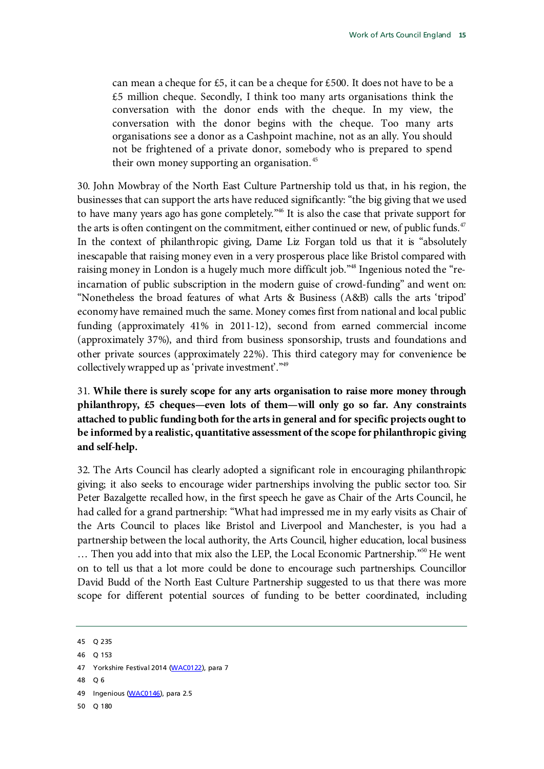can mean a cheque for £5, it can be a cheque for £500. It does not have to be a £5 million cheque. Secondly, I think too many arts organisations think the conversation with the donor ends with the cheque. In my view, the conversation with the donor begins with the cheque. Too many arts organisations see a donor as a Cashpoint machine, not as an ally. You should not be frightened of a private donor, somebody who is prepared to spend their own money supporting an organisation.<sup>[45](#page-15-0)</sup>

30. John Mowbray of the North East Culture Partnership told us that, in his region, the businesses that can support the arts have reduced significantly: "the big giving that we used to have many years ago has gone completely." [46](#page-15-1) It is also the case that private support for the arts is often contingent on the commitment, either continued or new, of public funds.<sup>[47](#page-15-2)</sup> In the context of philanthropic giving, Dame Liz Forgan told us that it is "absolutely inescapable that raising money even in a very prosperous place like Bristol compared with raising money in London is a hugely much more difficult job.["48](#page-15-3) Ingenious noted the "reincarnation of public subscription in the modern guise of crowd-funding" and went on: "Nonetheless the broad features of what Arts & Business (A&B) calls the arts 'tripod' economy have remained much the same. Money comes first from national and local public funding (approximately 41% in 2011-12), second from earned commercial income (approximately 37%), and third from business sponsorship, trusts and foundations and other private sources (approximately 22%). This third category may for convenience be collectively wrapped up as 'private investment'.["49](#page-15-4)

<span id="page-15-6"></span>31. **While there is surely scope for any arts organisation to raise more money through philanthropy, £5 cheques—even lots of them—will only go so far. Any constraints attached to public funding both for the arts in general and for specific projects ought to be informed by a realistic, quantitative assessment of the scope for philanthropic giving and self-help.**

32. The Arts Council has clearly adopted a significant role in encouraging philanthropic giving; it also seeks to encourage wider partnerships involving the public sector too. Sir Peter Bazalgette recalled how, in the first speech he gave as Chair of the Arts Council, he had called for a grand partnership: "What had impressed me in my early visits as Chair of the Arts Council to places like Bristol and Liverpool and Manchester, is you had a partnership between the local authority, the Arts Council, higher education, local business ... Then you add into that mix also the LEP, the Local Economic Partnership."<sup>50</sup> He went on to tell us that a lot more could be done to encourage such partnerships. Councillor David Budd of the North East Culture Partnership suggested to us that there was more scope for different potential sources of funding to be better coordinated, including

- <span id="page-15-2"></span>47 Yorkshire Festival 2014 [\(WAC0122\)](http://data.parliament.uk/writtenevidence/committeeevidence.svc/evidencedocument/Culture,-Media-and-Sport/Work-of-the-Arts-Council-England/written/6496.html), para 7
- <span id="page-15-3"></span>48 Q 6
- <span id="page-15-4"></span>49 Ingenious [\(WAC0146\)](http://data.parliament.uk/writtenevidence/committeeevidence.svc/evidencedocument/Culture,-Media-and-Sport/Work-of-the-Arts-Council-England/written/6560.html), para 2.5
- <span id="page-15-5"></span>50 Q 180

<span id="page-15-0"></span><sup>45</sup> Q 235

<span id="page-15-1"></span><sup>46</sup> Q 153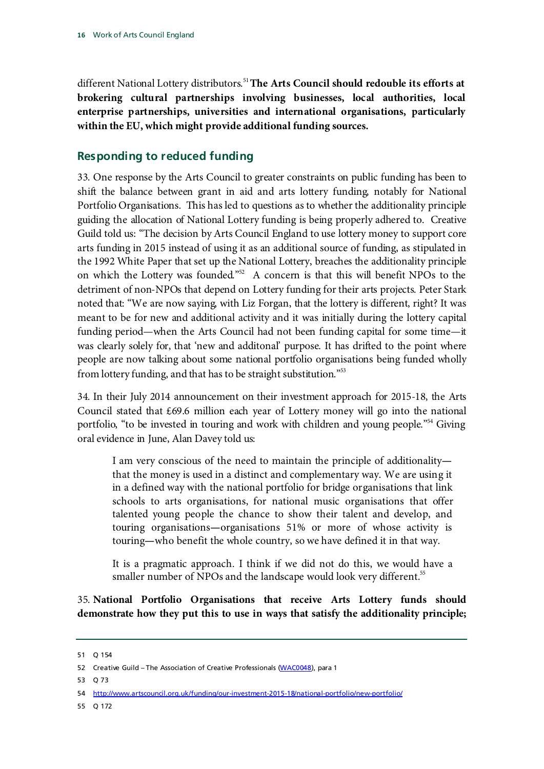<span id="page-16-6"></span>different National Lottery distributors.[51](#page-16-1)**The Arts Council should redouble its efforts at brokering cultural partnerships involving businesses, local authorities, local enterprise partnerships, universities and international organisations, particularly within the EU, which might provide additional funding sources.**

### <span id="page-16-0"></span>**Responding to reduced funding**

33. One response by the Arts Council to greater constraints on public funding has been to shift the balance between grant in aid and arts lottery funding, notably for National Portfolio Organisations. This has led to questions as to whether the additionality principle guiding the allocation of National Lottery funding is being properly adhered to. Creative Guild told us: "The decision by Arts Council England to use lottery money to support core arts funding in 2015 instead of using it as an additional source of funding, as stipulated in the 1992 White Paper that set up the National Lottery, breaches the additionality principle on which the Lottery was founded."<sup>52</sup> A concern is that this will benefit NPOs to the detriment of non-NPOs that depend on Lottery funding for their arts projects. Peter Stark noted that: "We are now saying, with Liz Forgan, that the lottery is different, right? It was meant to be for new and additional activity and it was initially during the lottery capital funding period—when the Arts Council had not been funding capital for some time—it was clearly solely for, that 'new and additonal' purpose. It has drifted to the point where people are now talking about some national portfolio organisations being funded wholly from lottery funding, and that has to be straight substitution.["53](#page-16-3)

34. In their July 2014 announcement on their investment approach for 2015-18, the Arts Council stated that £69.6 million each year of Lottery money will go into the national portfolio, "to be invested in touring and work with children and young people."<sup>54</sup> Giving oral evidence in June, Alan Davey told us:

I am very conscious of the need to maintain the principle of additionality that the money is used in a distinct and complementary way. We are using it in a defined way with the national portfolio for bridge organisations that link schools to arts organisations, for national music organisations that offer talented young people the chance to show their talent and develop, and touring organisations**—**organisations 51% or more of whose activity is touring**—**who benefit the whole country, so we have defined it in that way.

It is a pragmatic approach. I think if we did not do this, we would have a smaller number of NPOs and the landscape would look very different.<sup>55</sup>

<span id="page-16-7"></span>35. **National Portfolio Organisations that receive Arts Lottery funds should demonstrate how they put this to use in ways that satisfy the additionality principle;** 

<span id="page-16-5"></span>55 Q 172

<span id="page-16-1"></span><sup>51</sup> Q 154

<span id="page-16-2"></span><sup>52</sup> Creative Guild - The Association of Creative Professionals [\(WAC0048\)](http://data.parliament.uk/writtenevidence/committeeevidence.svc/evidencedocument/Culture,-Media-and-Sport/Work-of-the-Arts-Council-England/written/6335.html), para 1

<span id="page-16-3"></span><sup>53</sup> Q 73

<span id="page-16-4"></span><sup>54</sup> <http://www.artscouncil.org.uk/funding/our-investment-2015-18/national-portfolio/new-portfolio/>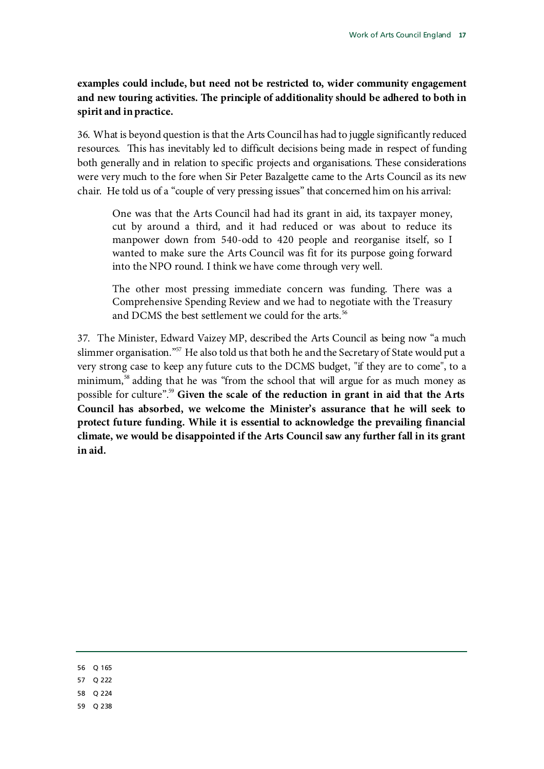### **examples could include, but need not be restricted to, wider community engagement and new touring activities. The principle of additionality should be adhered to both in spirit and in practice.**

36. What is beyond question is that the Arts Council has had to juggle significantly reduced resources. This has inevitably led to difficult decisions being made in respect of funding both generally and in relation to specific projects and organisations. These considerations were very much to the fore when Sir Peter Bazalgette came to the Arts Council as its new chair. He told us of a "couple of very pressing issues" that concerned him on his arrival:

One was that the Arts Council had had its grant in aid, its taxpayer money, cut by around a third, and it had reduced or was about to reduce its manpower down from 540-odd to 420 people and reorganise itself, so I wanted to make sure the Arts Council was fit for its purpose going forward into the NPO round. I think we have come through very well.

The other most pressing immediate concern was funding. There was a Comprehensive Spending Review and we had to negotiate with the Treasury and DCMS the best settlement we could for the arts.<sup>[56](#page-17-0)</sup>

<span id="page-17-4"></span>37.The Minister, Edward Vaizey MP, described the Arts Council as being now "a much slimmer organisation."<sup>57</sup> He also told us that both he and the Secretary of State would put a very strong case to keep any future cuts to the DCMS budget, "if they are to come", to a minimum,<sup>[58](#page-17-2)</sup> adding that he was "from the school that will argue for as much money as possible for culture"[.59](#page-17-3) **Given the scale of the reduction in grant in aid that the Arts Council has absorbed, we welcome the Minister's assurance that he will seek to protect future funding. While it is essential to acknowledge the prevailing financial climate, we would be disappointed if the Arts Council saw any further fall in its grant in aid.**

<span id="page-17-1"></span><span id="page-17-0"></span>56 Q 165 57 Q 222 58 Q 224

<span id="page-17-3"></span><span id="page-17-2"></span>59 Q 238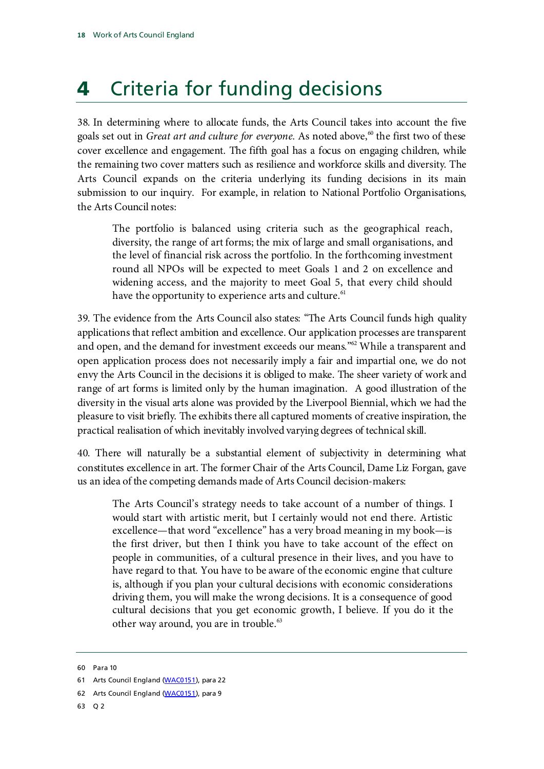## <span id="page-18-0"></span>4 Criteria for funding decisions

38. In determining where to allocate funds, the Arts Council takes into account the five goals set out in *Great art and culture for everyone*. As noted above,<sup>[60](#page-18-1)</sup> the first two of these cover excellence and engagement. The fifth goal has a focus on engaging children, while the remaining two cover matters such as resilience and workforce skills and diversity. The Arts Council expands on the criteria underlying its funding decisions in its main submission to our inquiry. For example, in relation to National Portfolio Organisations, the Arts Council notes:

The portfolio is balanced using criteria such as the geographical reach, diversity, the range of art forms; the mix of large and small organisations, and the level of financial risk across the portfolio. In the forthcoming investment round all NPOs will be expected to meet Goals 1 and 2 on excellence and widening access, and the majority to meet Goal 5, that every child should have the opportunity to experience arts and culture.<sup>[61](#page-18-2)</sup>

39. The evidence from the Arts Council also states: "The Arts Council funds high quality applications that reflect ambition and excellence. Our application processes are transparent and open, and the demand for investment exceeds our means.["62](#page-18-3) While a transparent and open application process does not necessarily imply a fair and impartial one, we do not envy the Arts Council in the decisions it is obliged to make. The sheer variety of work and range of art forms is limited only by the human imagination. A good illustration of the diversity in the visual arts alone was provided by the Liverpool Biennial, which we had the pleasure to visit briefly. The exhibits there all captured moments of creative inspiration, the practical realisation of which inevitably involved varying degrees of technical skill.

40. There will naturally be a substantial element of subjectivity in determining what constitutes excellence in art. The former Chair of the Arts Council, Dame Liz Forgan, gave us an idea of the competing demands made of Arts Council decision-makers:

The Arts Council's strategy needs to take account of a number of things. I would start with artistic merit, but I certainly would not end there. Artistic excellence—that word "excellence" has a very broad meaning in my book—is the first driver, but then I think you have to take account of the effect on people in communities, of a cultural presence in their lives, and you have to have regard to that. You have to be aware of the economic engine that culture is, although if you plan your cultural decisions with economic considerations driving them, you will make the wrong decisions. It is a consequence of good cultural decisions that you get economic growth, I believe. If you do it the other way around, you are in trouble.<sup>[63](#page-18-4)</sup>

<span id="page-18-1"></span><sup>60</sup> Para 10

<span id="page-18-2"></span><sup>61</sup> Arts Council England [\(WAC0151\)](http://data.parliament.uk/writtenevidence/committeeevidence.svc/evidencedocument/Culture,-Media-and-Sport/Work-of-the-Arts-Council-England/written/6571.html), para 22

<span id="page-18-3"></span><sup>62</sup> Arts Council England [\(WAC0151\)](http://data.parliament.uk/writtenevidence/committeeevidence.svc/evidencedocument/Culture,-Media-and-Sport/Work-of-the-Arts-Council-England/written/6571.html), para 9

<span id="page-18-4"></span><sup>63</sup> Q 2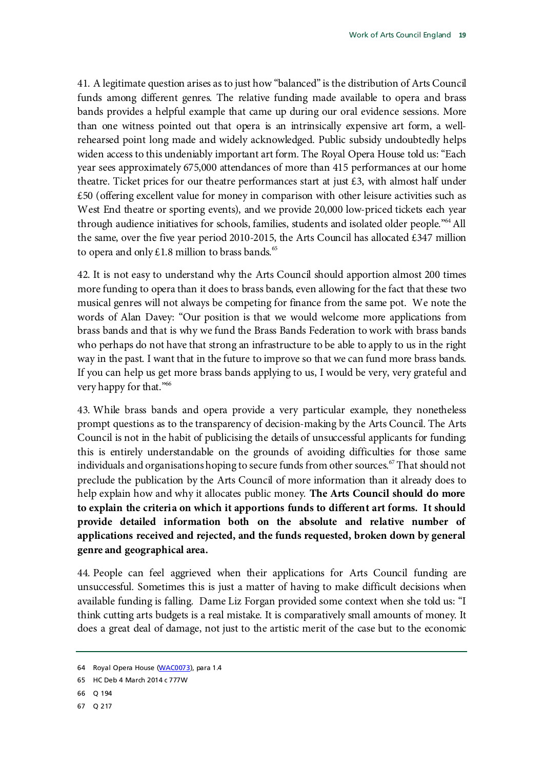41. A legitimate question arises as to just how "balanced" is the distribution of Arts Council funds among different genres. The relative funding made available to opera and brass bands provides a helpful example that came up during our oral evidence sessions. More than one witness pointed out that opera is an intrinsically expensive art form, a wellrehearsed point long made and widely acknowledged. Public subsidy undoubtedly helps widen access to this undeniably important art form. The Royal Opera House told us: "Each year sees approximately 675,000 attendances of more than 415 performances at our home theatre. Ticket prices for our theatre performances start at just £3, with almost half under £50 (offering excellent value for money in comparison with other leisure activities such as West End theatre or sporting events), and we provide 20,000 low-priced tickets each year through audience initiatives for schools, families, students and isolated older people."<sup>[64](#page-19-0)</sup> All the same, over the five year period 2010-2015, the Arts Council has allocated £347 million to opera and only  $£1.8$  million to brass bands.<sup>[65](#page-19-1)</sup>

42. It is not easy to understand why the Arts Council should apportion almost 200 times more funding to opera than it does to brass bands, even allowing for the fact that these two musical genres will not always be competing for finance from the same pot. We note the words of Alan Davey: "Our position is that we would welcome more applications from brass bands and that is why we fund the Brass Bands Federation to work with brass bands who perhaps do not have that strong an infrastructure to be able to apply to us in the right way in the past. I want that in the future to improve so that we can fund more brass bands. If you can help us get more brass bands applying to us, I would be very, very grateful and very happy for that."[66](#page-19-2)

43. While brass bands and opera provide a very particular example, they nonetheless prompt questions as to the transparency of decision-making by the Arts Council. The Arts Council is not in the habit of publicising the details of unsuccessful applicants for funding; this is entirely understandable on the grounds of avoiding difficulties for those same individuals and organisations hoping to secure funds from other sources.<sup>[67](#page-19-3)</sup> That should not preclude the publication by the Arts Council of more information than it already does to help explain how and why it allocates public money. **The Arts Council should do more to explain the criteria on which it apportions funds to different art forms. It should provide detailed information both on the absolute and relative number of applications received and rejected, and the funds requested, broken down by general genre and geographical area.** 

<span id="page-19-4"></span>44. People can feel aggrieved when their applications for Arts Council funding are unsuccessful. Sometimes this is just a matter of having to make difficult decisions when available funding is falling. Dame Liz Forgan provided some context when she told us: "I think cutting arts budgets is a real mistake. It is comparatively small amounts of money. It does a great deal of damage, not just to the artistic merit of the case but to the economic

- <span id="page-19-2"></span>66 Q 194
- <span id="page-19-3"></span>67 Q 217

<span id="page-19-0"></span><sup>64</sup> Royal Opera House [\(WAC0073\)](http://data.parliament.uk/writtenevidence/committeeevidence.svc/evidencedocument/Culture,-Media-and-Sport/Work-of-the-Arts-Council-England/written/6385.html), para 1.4

<span id="page-19-1"></span><sup>65</sup> HC Deb 4 March 2014 c 777W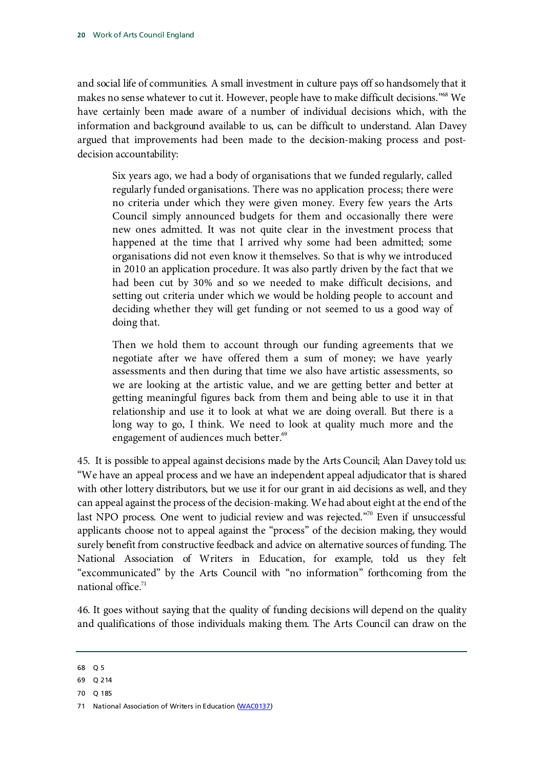and social life of communities. A small investment in culture pays off so handsomely that it makes no sense whatever to cut it. However, people have to make difficult decisions.["68](#page-20-0) We have certainly been made aware of a number of individual decisions which, with the information and background available to us, can be difficult to understand. Alan Davey argued that improvements had been made to the decision-making process and postdecision accountability:

Six years ago, we had a body of organisations that we funded regularly, called regularly funded organisations. There was no application process; there were no criteria under which they were given money. Every few years the Arts Council simply announced budgets for them and occasionally there were new ones admitted. It was not quite clear in the investment process that happened at the time that I arrived why some had been admitted; some organisations did not even know it themselves. So that is why we introduced in 2010 an application procedure. It was also partly driven by the fact that we had been cut by 30% and so we needed to make difficult decisions, and setting out criteria under which we would be holding people to account and deciding whether they will get funding or not seemed to us a good way of doing that.

Then we hold them to account through our funding agreements that we negotiate after we have offered them a sum of money; we have yearly assessments and then during that time we also have artistic assessments, so we are looking at the artistic value, and we are getting better and better at getting meaningful figures back from them and being able to use it in that relationship and use it to look at what we are doing overall. But there is a long way to go, I think. We need to look at quality much more and the engagement of audiences much better.<sup>69</sup>

45. It is possible to appeal against decisions made by the Arts Council; Alan Davey told us: "We have an appeal process and we have an independent appeal adjudicator that is shared with other lottery distributors, but we use it for our grant in aid decisions as well, and they can appeal against the process of the decision-making. We had about eight at the end of the last NPO process. One went to judicial review and was rejected.["70](#page-20-2) Even if unsuccessful applicants choose not to appeal against the "process" of the decision making, they would surely benefit from constructive feedback and advice on alternative sources of funding. The National Association of Writers in Education, for example, told us they felt "excommunicated" by the Arts Council with "no information" forthcoming from the national office.<sup>71</sup>

46. It goes without saying that the quality of funding decisions will depend on the quality and qualifications of those individuals making them. The Arts Council can draw on the

<span id="page-20-0"></span><sup>68</sup> Q 5

<span id="page-20-1"></span><sup>69</sup> Q 214

<span id="page-20-2"></span><sup>70</sup> Q 185

<span id="page-20-3"></span><sup>71</sup> National Association of Writers in Education [\(WAC0137\)](http://data.parliament.uk/writtenevidence/committeeevidence.svc/evidencedocument/Culture,-Media-and-Sport/Work-of-the-Arts-Council-England/written/6521.html)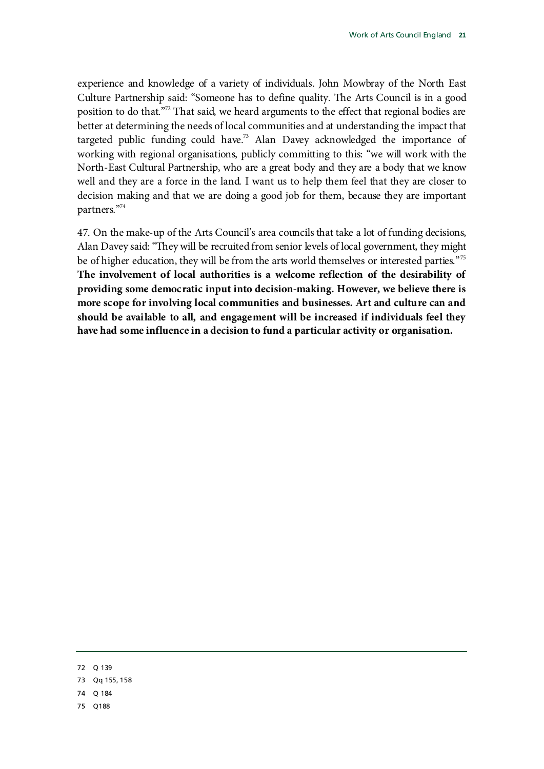experience and knowledge of a variety of individuals. John Mowbray of the North East Culture Partnership said: "Someone has to define quality. The Arts Council is in a good position to do that.["72](#page-21-0) That said, we heard arguments to the effect that regional bodies are better at determining the needs of local communities and at understanding the impact that targeted public funding could have.<sup>73</sup> Alan Davey acknowledged the importance of working with regional organisations, publicly committing to this: "we will work with the North-East Cultural Partnership, who are a great body and they are a body that we know well and they are a force in the land. I want us to help them feel that they are closer to decision making and that we are doing a good job for them, because they are important partners.["74](#page-21-2)

<span id="page-21-4"></span>47. On the make-up of the Arts Council's area councils that take a lot of funding decisions, Alan Davey said: "They will be recruited from senior levels of local government, they might be of higher education, they will be from the arts world themselves or interested parties."<sup>[75](#page-21-3)</sup> **The involvement of local authorities is a welcome reflection of the desirability of providing some democratic input into decision-making. However, we believe there is more scope for involving local communities and businesses. Art and culture can and should be available to all, and engagement will be increased if individuals feel they have had some influence in a decision to fund a particular activity or organisation.** 

<span id="page-21-0"></span>72 Q 139

<span id="page-21-1"></span>73 Qq 155, 158

- <span id="page-21-2"></span>74 Q 184
- <span id="page-21-3"></span>75 Q188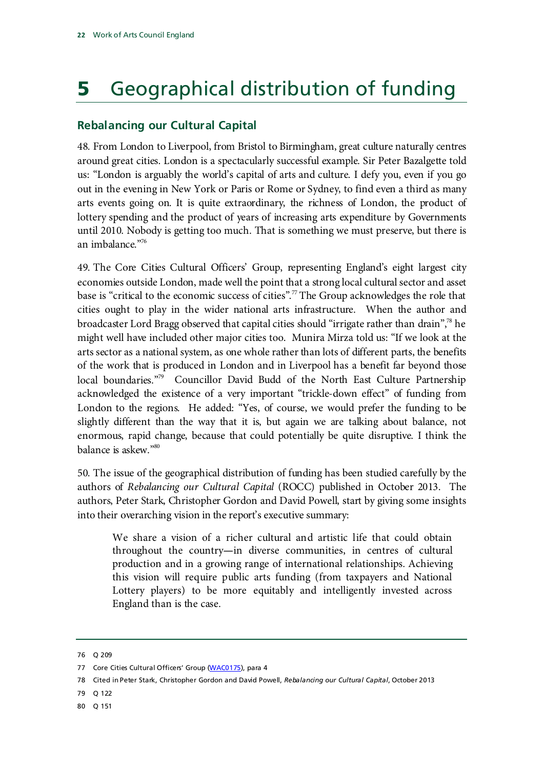## <span id="page-22-0"></span>**5** Geographical distribution of funding

### <span id="page-22-1"></span>**Rebalancing our Cultural Capital**

48. From London to Liverpool, from Bristol to Birmingham, great culture naturally centres around great cities. London is a spectacularly successful example. Sir Peter Bazalgette told us: "London is arguably the world's capital of arts and culture. I defy you, even if you go out in the evening in New York or Paris or Rome or Sydney, to find even a third as many arts events going on. It is quite extraordinary, the richness of London, the product of lottery spending and the product of years of increasing arts expenditure by Governments until 2010. Nobody is getting too much. That is something we must preserve, but there is an imbalance.["76](#page-22-2)

49. The Core Cities Cultural Officers' Group, representing England's eight largest city economies outside London, made well the point that a strong local cultural sector and asset base is "critical to the economic success of cities".<sup>[77](#page-22-3)</sup> The Group acknowledges the role that cities ought to play in the wider national arts infrastructure. When the author and broadcaster Lord Bragg observed that capital cities should "irrigate rather than drain"[,78](#page-22-4) he might well have included other major cities too. Munira Mirza told us: "If we look at the arts sector as a national system, as one whole rather than lots of different parts, the benefits of the work that is produced in London and in Liverpool has a benefit far beyond those local boundaries."<sup>79</sup> Councillor David Budd of the North East Culture Partnership acknowledged the existence of a very important "trickle-down effect" of funding from London to the regions. He added: "Yes, of course, we would prefer the funding to be slightly different than the way that it is, but again we are talking about balance, not enormous, rapid change, because that could potentially be quite disruptive. I think the balance is askew.["80](#page-22-6)

50. The issue of the geographical distribution of funding has been studied carefully by the authors of *Rebalancing our Cultural Capital* (ROCC) published in October 2013. The authors, Peter Stark, Christopher Gordon and David Powell, start by giving some insights into their overarching vision in the report's executive summary:

We share a vision of a richer cultural and artistic life that could obtain throughout the country**—**in diverse communities, in centres of cultural production and in a growing range of international relationships. Achieving this vision will require public arts funding (from taxpayers and National Lottery players) to be more equitably and intelligently invested across England than is the case.

- <span id="page-22-5"></span>79 Q 122
- <span id="page-22-6"></span>80 Q 151

<span id="page-22-2"></span><sup>76</sup> Q 209

<span id="page-22-4"></span><span id="page-22-3"></span><sup>77</sup> Core Cities Cultural Officers' Group [\(WAC0175\)](http://data.parliament.uk/writtenevidence/committeeevidence.svc/evidencedocument/Culture,-Media-and-Sport/Work-of-the-Arts-Council-England/written/6612.html), para 4

<sup>78</sup> Cited in Peter Stark, Christopher Gordon and David Powell, *Rebalancing our Cultural Capital*, October 2013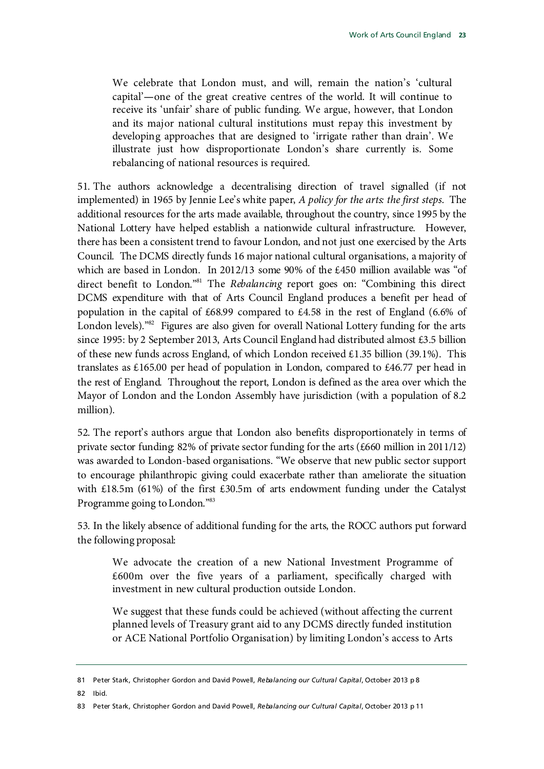We celebrate that London must, and will, remain the nation's 'cultural capital'**—**one of the great creative centres of the world. It will continue to receive its 'unfair' share of public funding. We argue, however, that London and its major national cultural institutions must repay this investment by developing approaches that are designed to 'irrigate rather than drain'. We illustrate just how disproportionate London's share currently is. Some rebalancing of national resources is required.

51. The authors acknowledge a decentralising direction of travel signalled (if not implemented) in 1965 by Jennie Lee's white paper, *A policy for the arts: the first steps*. The additional resources for the arts made available, throughout the country, since 1995 by the National Lottery have helped establish a nationwide cultural infrastructure. However, there has been a consistent trend to favour London, and not just one exercised by the Arts Council. The DCMS directly funds 16 major national cultural organisations, a majority of which are based in London. In 2012/13 some 90% of the £450 million available was "of direct benefit to London.["81](#page-23-0) The *Rebalancing* report goes on: "Combining this direct DCMS expenditure with that of Arts Council England produces a benefit per head of population in the capital of £68.99 compared to £4.58 in the rest of England (6.6% of London levels)."<sup>82</sup> Figures are also given for overall National Lottery funding for the arts since 1995: by 2 September 2013, Arts Council England had distributed almost £3.5 billion of these new funds across England, of which London received £1.35 billion (39.1%). This translates as £165.00 per head of population in London, compared to £46.77 per head in the rest of England. Throughout the report, London is defined as the area over which the Mayor of London and the London Assembly have jurisdiction (with a population of 8.2 million).

52. The report's authors argue that London also benefits disproportionately in terms of private sector funding: 82% of private sector funding for the arts (£660 million in 2011/12) was awarded to London-based organisations. "We observe that new public sector support to encourage philanthropic giving could exacerbate rather than ameliorate the situation with £18.5m (61%) of the first £30.5m of arts endowment funding under the Catalyst Programme going to London."[83](#page-23-2)

53. In the likely absence of additional funding for the arts, the ROCC authors put forward the following proposal:

We advocate the creation of a new National Investment Programme of £600m over the five years of a parliament, specifically charged with investment in new cultural production outside London.

We suggest that these funds could be achieved (without affecting the current planned levels of Treasury grant aid to any DCMS directly funded institution or ACE National Portfolio Organisation) by limiting London's access to Arts

<span id="page-23-1"></span>82 Ibid.

<span id="page-23-0"></span><sup>81</sup> Peter Stark, Christopher Gordon and David Powell, *Rebalancing our Cultural Capital*, October 2013 p 8

<span id="page-23-2"></span><sup>83</sup> Peter Stark, Christopher Gordon and David Powell, *Rebalancing our Cultural Capital*, October 2013 p 11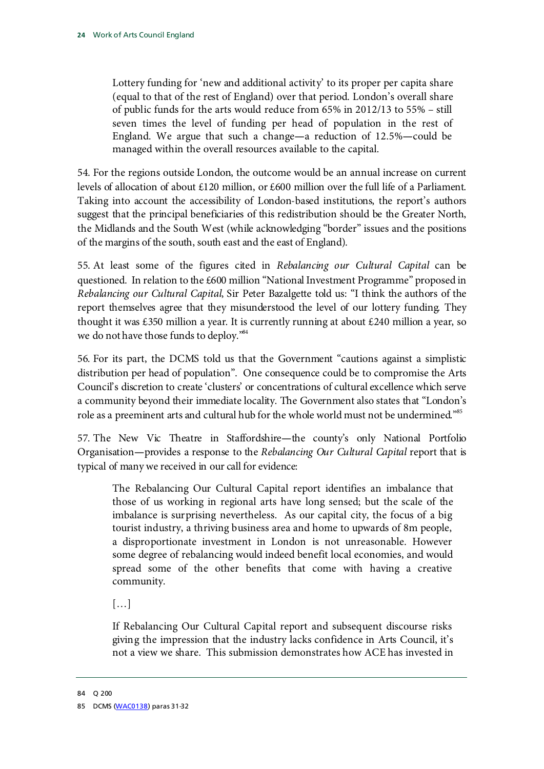Lottery funding for 'new and additional activity' to its proper per capita share (equal to that of the rest of England) over that period. London's overall share of public funds for the arts would reduce from 65% in 2012/13 to 55% – still seven times the level of funding per head of population in the rest of England. We argue that such a change**—**a reduction of 12.5%**—**could be managed within the overall resources available to the capital.

54. For the regions outside London, the outcome would be an annual increase on current levels of allocation of about £120 million, or £600 million over the full life of a Parliament. Taking into account the accessibility of London-based institutions, the report's authors suggest that the principal beneficiaries of this redistribution should be the Greater North, the Midlands and the South West (while acknowledging "border" issues and the positions of the margins of the south, south east and the east of England).

55. At least some of the figures cited in *Rebalancing our Cultural Capital* can be questioned. In relation to the £600 million "National Investment Programme" proposed in *Rebalancing our Cultural Capital*, Sir Peter Bazalgette told us: "I think the authors of the report themselves agree that they misunderstood the level of our lottery funding. They thought it was £350 million a year. It is currently running at about £240 million a year, so we do not have those funds to deploy."<sup>84</sup>

56. For its part, the DCMS told us that the Government "cautions against a simplistic distribution per head of population". One consequence could be to compromise the Arts Council's discretion to create 'clusters' or concentrations of cultural excellence which serve a community beyond their immediate locality. The Government also states that "London's role as a preeminent arts and cultural hub for the whole world must not be undermined."<sup>85</sup>

57. The New Vic Theatre in Staffordshire**—**the county's only National Portfolio Organisation**—**provides a response to the *Rebalancing Our Cultural Capital* report that is typical of many we received in our call for evidence:

The Rebalancing Our Cultural Capital report identifies an imbalance that those of us working in regional arts have long sensed; but the scale of the imbalance is surprising nevertheless. As our capital city, the focus of a big tourist industry, a thriving business area and home to upwards of 8m people, a disproportionate investment in London is not unreasonable. However some degree of rebalancing would indeed benefit local economies, and would spread some of the other benefits that come with having a creative community.

[…]

If Rebalancing Our Cultural Capital report and subsequent discourse risks giving the impression that the industry lacks confidence in Arts Council, it's not a view we share. This submission demonstrates how ACE has invested in

<span id="page-24-0"></span><sup>84</sup> Q 200

<span id="page-24-1"></span><sup>85</sup> DCMS [\(WAC0138\)](http://data.parliament.uk/writtenevidence/committeeevidence.svc/evidencedocument/Culture,-Media-and-Sport/Work-of-the-Arts-Council-England/written/6523.html) paras 31-32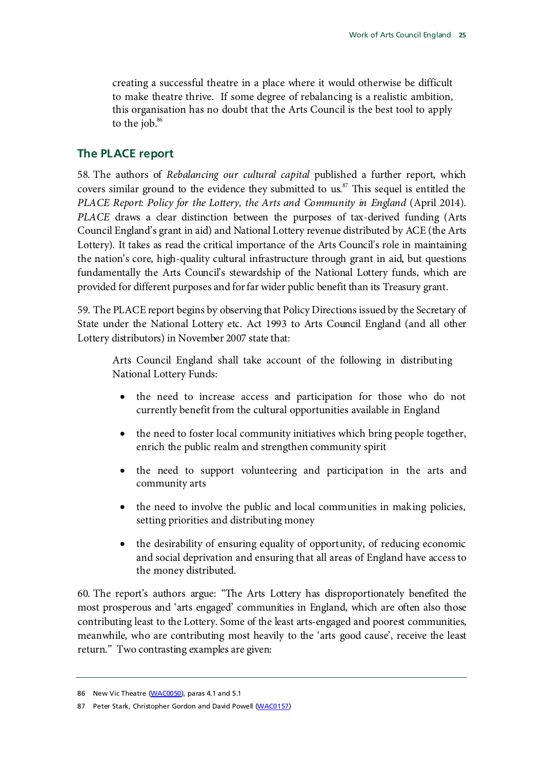creating a successful theatre in a place where it would otherwise be difficult to make theatre thrive. If some degree of rebalancing is a realistic ambition, this organisation has no doubt that the Arts Council is the best tool to apply to the job. $\frac{86}{3}$ 

#### <span id="page-25-0"></span>**The PLACE report**

58. The authors of *Rebalancing our cultural capital* published a further report, which covers similar ground to the evidence they submitted to us.<sup>[87](#page-25-2)</sup> This sequel is entitled the *PLACE Report: Policy for the Lottery, the Arts and Community in England* (April 2014). *PLACE* draws a clear distinction between the purposes of tax-derived funding (Arts Council England's grant in aid) and National Lottery revenue distributed by ACE (the Arts Lottery). It takes as read the critical importance of the Arts Council's role in maintaining the nation's core, high-quality cultural infrastructure through grant in aid, but questions fundamentally the Arts Council's stewardship of the National Lottery funds, which are provided for different purposes and for far wider public benefit than its Treasury grant.

59. The PLACE report begins by observing that Policy Directions issued by the Secretary of State under the National Lottery etc. Act 1993 to Arts Council England (and all other Lottery distributors) in November 2007 state that:

Arts Council England shall take account of the following in distributing National Lottery Funds:

- the need to increase access and participation for those who do not currently benefit from the cultural opportunities available in England
- the need to foster local community initiatives which bring people together, enrich the public realm and strengthen community spirit
- the need to support volunteering and participation in the arts and community arts
- the need to involve the public and local communities in making policies, setting priorities and distributing money
- the desirability of ensuring equality of opportunity, of reducing economic and social deprivation and ensuring that all areas of England have access to the money distributed.

60. The report's authors argue: "The Arts Lottery has disproportionately benefited the most prosperous and 'arts engaged' communities in England, which are often also those contributing least to the Lottery. Some of the least arts-engaged and poorest communities, meanwhile, who are contributing most heavily to the 'arts good cause', receive the least return." Two contrasting examples are given:

<span id="page-25-1"></span><sup>86</sup> New Vic Theatre [\(WAC0050\)](http://data.parliament.uk/writtenevidence/committeeevidence.svc/evidencedocument/Culture,-Media-and-Sport/Work-of-the-Arts-Council-England/written/6342.html), paras 4.1 and 5.1

<span id="page-25-2"></span><sup>87</sup> Peter Stark, Christopher Gordon and David Powell [\(WAC0157\)](http://data.parliament.uk/writtenevidence/committeeevidence.svc/evidencedocument/Culture,-Media-and-Sport/Work-of-the-Arts-Council-England/written/6578.html)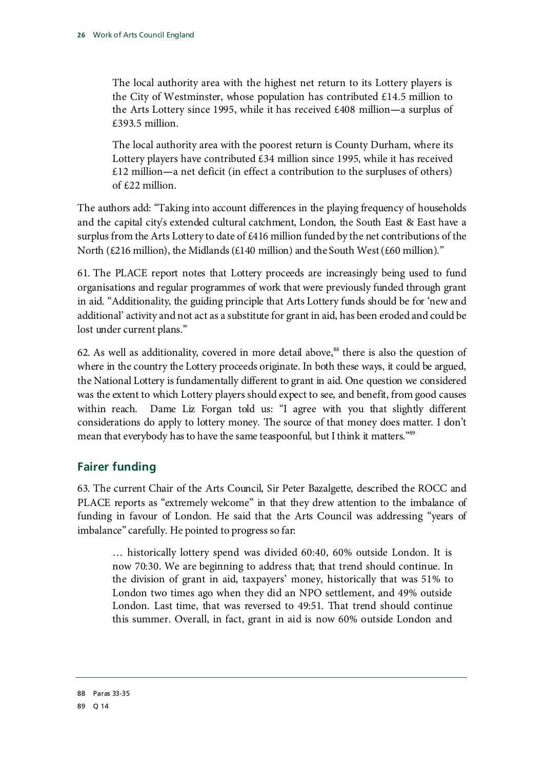The local authority area with the highest net return to its Lottery players is the City of Westminster, whose population has contributed  $£14.5$  million to the Arts Lottery since 1995, while it has received £408 million**—**a surplus of £393.5 million.

The local authority area with the poorest return is County Durham, where its Lottery players have contributed £34 million since 1995, while it has received £12 million**—**a net deficit (in effect a contribution to the surpluses of others) of £22 million.

The authors add: "Taking into account differences in the playing frequency of households and the capital city's extended cultural catchment, London, the South East & East have a surplus from the Arts Lottery to date of £416 million funded by the net contributions of the North (£216 million), the Midlands (£140 million) and the South West (£60 million)."

61. The PLACE report notes that Lottery proceeds are increasingly being used to fund organisations and regular programmes of work that were previously funded through grant in aid. "Additionality, the guiding principle that Arts Lottery funds should be for 'new and additional' activity and not act as a substitute for grant in aid, has been eroded and could be lost under current plans."

62. As well as additionality, covered in more detail above,<sup>[88](#page-26-1)</sup> there is also the question of where in the country the Lottery proceeds originate. In both these ways, it could be argued, the National Lottery is fundamentally different to grant in aid. One question we considered was the extent to which Lottery players should expect to see, and benefit, from good causes within reach. Dame Liz Forgan told us: "I agree with you that slightly different considerations do apply to lottery money. The source of that money does matter. I don't mean that everybody has to have the same teaspoonful, but I think it matters."<sup>89</sup>

### <span id="page-26-0"></span>**Fairer funding**

63. The current Chair of the Arts Council, Sir Peter Bazalgette, described the ROCC and PLACE reports as "extremely welcome" in that they drew attention to the imbalance of funding in favour of London. He said that the Arts Council was addressing "years of imbalance" carefully. He pointed to progress so far:

… historically lottery spend was divided 60:40, 60% outside London. It is now 70:30. We are beginning to address that; that trend should continue. In the division of grant in aid, taxpayers' money, historically that was 51% to London two times ago when they did an NPO settlement, and 49% outside London. Last time, that was reversed to 49:51. That trend should continue this summer. Overall, in fact, grant in aid is now 60% outside London and

<span id="page-26-2"></span><span id="page-26-1"></span><sup>88</sup> Paras 33-35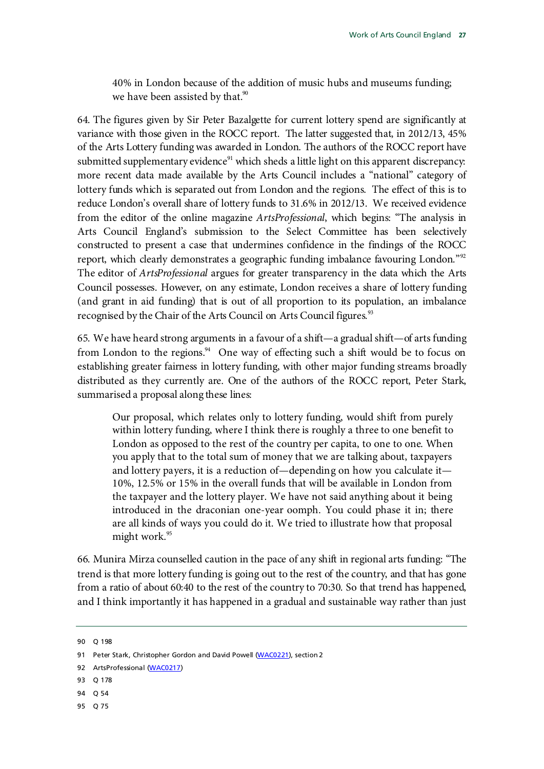40% in London because of the addition of music hubs and museums funding; we have been assisted by that.<sup>[90](#page-27-0)</sup>

64. The figures given by Sir Peter Bazalgette for current lottery spend are significantly at variance with those given in the ROCC report. The latter suggested that, in 2012/13, 45% of the Arts Lottery funding was awarded in London. The authors of the ROCC report have submitted supplementary evidence<sup>[91](#page-27-1)</sup> which sheds a little light on this apparent discrepancy: more recent data made available by the Arts Council includes a "national" category of lottery funds which is separated out from London and the regions. The effect of this is to reduce London's overall share of lottery funds to 31.6% in 2012/13. We received evidence from the editor of the online magazine *ArtsProfessional*, which begins: "The analysis in Arts Council England's submission to the Select Committee has been selectively constructed to present a case that undermines confidence in the findings of the ROCC report, which clearly demonstrates a geographic funding imbalance favouring London."<sup>[92](#page-27-2)</sup> The editor of *ArtsProfessional* argues for greater transparency in the data which the Arts Council possesses. However, on any estimate, London receives a share of lottery funding (and grant in aid funding) that is out of all proportion to its population, an imbalance recognised by the Chair of the Arts Council on Arts Council figures.<sup>[93](#page-27-3)</sup>

65. We have heard strong arguments in a favour of a shift—a gradual shift—of arts funding from London to the regions. $94$  One way of effecting such a shift would be to focus on establishing greater fairness in lottery funding, with other major funding streams broadly distributed as they currently are. One of the authors of the ROCC report, Peter Stark, summarised a proposal along these lines:

Our proposal, which relates only to lottery funding, would shift from purely within lottery funding, where I think there is roughly a three to one benefit to London as opposed to the rest of the country per capita, to one to one. When you apply that to the total sum of money that we are talking about, taxpayers and lottery payers, it is a reduction of—depending on how you calculate it— 10%, 12.5% or 15% in the overall funds that will be available in London from the taxpayer and the lottery player. We have not said anything about it being introduced in the draconian one-year oomph. You could phase it in; there are all kinds of ways you could do it. We tried to illustrate how that proposal might work.<sup>[95](#page-27-5)</sup>

66. Munira Mirza counselled caution in the pace of any shift in regional arts funding: "The trend is that more lottery funding is going out to the rest of the country, and that has gone from a ratio of about 60:40 to the rest of the country to 70:30. So that trend has happened, and I think importantly it has happened in a gradual and sustainable way rather than just

- <span id="page-27-3"></span>93 Q 178
- <span id="page-27-4"></span>94 Q 54
- <span id="page-27-5"></span>95 Q 75

<span id="page-27-0"></span><sup>90</sup> Q 198

<span id="page-27-1"></span><sup>91</sup> Peter Stark, Christopher Gordon and David Powell [\(WAC0221\)](http://data.parliament.uk/writtenevidence/committeeevidence.svc/evidencedocument/Culture,-Media-and-Sport/Work-of-the-Arts-Council-England/written/9940.html), section 2

<span id="page-27-2"></span><sup>92</sup> ArtsProfessional [\(WAC0217\)](http://data.parliament.uk/writtenevidence/committeeevidence.svc/evidencedocument/Culture,-Media-and-Sport/Work-of-the-Arts-Council-England/written/8129.html)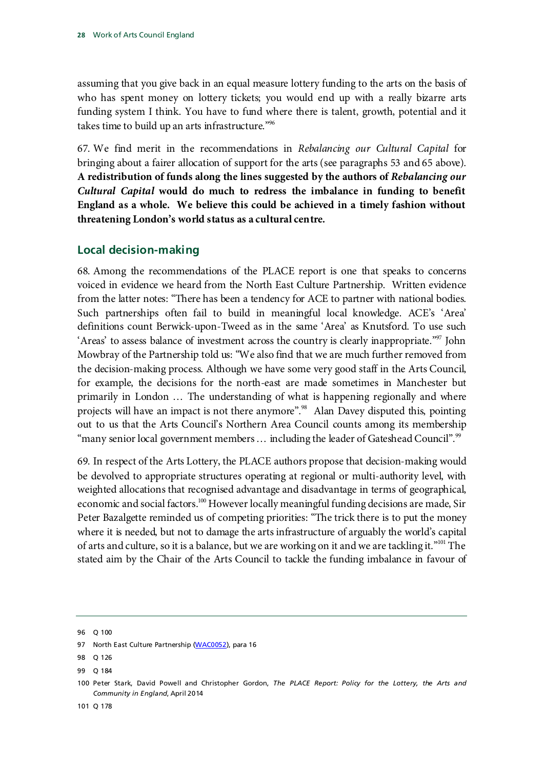assuming that you give back in an equal measure lottery funding to the arts on the basis of who has spent money on lottery tickets; you would end up with a really bizarre arts funding system I think. You have to fund where there is talent, growth, potential and it takes time to build up an arts infrastructure.["96](#page-28-1)

<span id="page-28-7"></span>67. We find merit in the recommendations in *Rebalancing our Cultural Capital* for bringing about a fairer allocation of support for the arts (see paragraphs 53 and 65 above). **A redistribution of funds along the lines suggested by the authors of** *Rebalancing our Cultural Capital* **would do much to redress the imbalance in funding to benefit England as a whole. We believe this could be achieved in a timely fashion without threatening London's world status as a cultural centre***.*

### <span id="page-28-0"></span>**Local decision-making**

68. Among the recommendations of the PLACE report is one that speaks to concerns voiced in evidence we heard from the North East Culture Partnership. Written evidence from the latter notes: "There has been a tendency for ACE to partner with national bodies. Such partnerships often fail to build in meaningful local knowledge. ACE's 'Area' definitions count Berwick-upon-Tweed as in the same 'Area' as Knutsford. To use such 'Areas' to assess balance of investment across the country is clearly inappropriate.["97](#page-28-2) John Mowbray of the Partnership told us: "We also find that we are much further removed from the decision-making process. Although we have some very good staff in the Arts Council, for example, the decisions for the north-east are made sometimes in Manchester but primarily in London … The understanding of what is happening regionally and where projects will have an impact is not there anymore".<sup>88</sup> Alan Davey disputed this, pointing out to us that the Arts Council's Northern Area Council counts among its membership "many senior local government members ... including the leader of Gateshead Council".<sup>99</sup>

69. In respect of the Arts Lottery, the PLACE authors propose that decision-making would be devolved to appropriate structures operating at regional or multi-authority level, with weighted allocations that recognised advantage and disadvantage in terms of geographical, economic and social factors.<sup>100</sup> However locally meaningful funding decisions are made, Sir Peter Bazalgette reminded us of competing priorities: "The trick there is to put the money where it is needed, but not to damage the arts infrastructure of arguably the world's capital of arts and culture, so it is a balance, but we are working on it and we are tackling it."<sup>101</sup> The stated aim by the Chair of the Arts Council to tackle the funding imbalance in favour of

<span id="page-28-1"></span><sup>96</sup> Q 100

<span id="page-28-2"></span><sup>97</sup> North East Culture Partnership [\(WAC0052\)](http://data.parliament.uk/writtenevidence/committeeevidence.svc/evidencedocument/Culture,-Media-and-Sport/Work-of-the-Arts-Council-England/written/6349.html), para 16

<span id="page-28-3"></span><sup>98</sup> Q 126

<span id="page-28-4"></span><sup>99</sup> Q 184

<span id="page-28-6"></span><span id="page-28-5"></span><sup>100</sup> Peter Stark, David Powell and Christopher Gordon, *The PLACE Report: Policy for the Lottery, the Arts and Community in England*, April 2014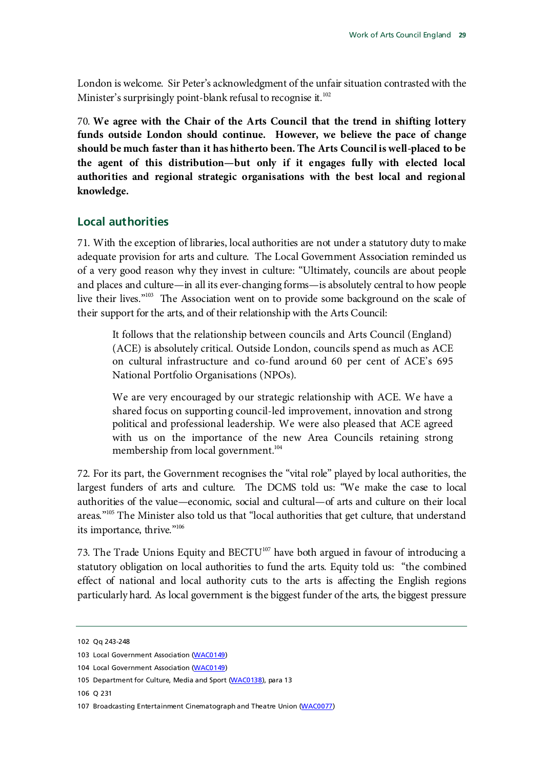London is welcome. Sir Peter's acknowledgment of the unfair situation contrasted with the Minister's surprisingly point-blank refusal to recognise it.<sup>[102](#page-29-1)</sup>

<span id="page-29-7"></span>70. **We agree with the Chair of the Arts Council that the trend in shifting lottery funds outside London should continue. However, we believe the pace of change should be much faster than it has hitherto been. The Arts Council is well-placed to be the agent of this distribution—but only if it engages fully with elected local authorities and regional strategic organisations with the best local and regional knowledge.**

### <span id="page-29-0"></span>**Local authorities**

71. With the exception of libraries, local authorities are not under a statutory duty to make adequate provision for arts and culture. The Local Government Association reminded us of a very good reason why they invest in culture: "Ultimately, councils are about people and places and culture—in all its ever-changing forms—is absolutely central to how people live their lives."<sup>103</sup> The Association went on to provide some background on the scale of their support for the arts, and of their relationship with the Arts Council:

It follows that the relationship between councils and Arts Council (England) (ACE) is absolutely critical. Outside London, councils spend as much as ACE on cultural infrastructure and co-fund around 60 per cent of ACE's 695 National Portfolio Organisations (NPOs).

We are very encouraged by our strategic relationship with ACE. We have a shared focus on supporting council-led improvement, innovation and strong political and professional leadership. We were also pleased that ACE agreed with us on the importance of the new Area Councils retaining strong membership from local government.<sup>104</sup>

72. For its part, the Government recognises the "vital role" played by local authorities, the largest funders of arts and culture. The DCMS told us: "We make the case to local authorities of the value—economic, social and cultural—of arts and culture on their local areas."<sup>105</sup> The Minister also told us that "local authorities that get culture, that understand its importance, thrive.["106](#page-29-5)

73. The Trade Unions Equity and BECTU<sup>[107](#page-29-6)</sup> have both argued in favour of introducing a statutory obligation on local authorities to fund the arts. Equity told us: "the combined effect of national and local authority cuts to the arts is affecting the English regions particularly hard. As local government is the biggest funder of the arts, the biggest pressure

<span id="page-29-5"></span>106 Q 231

<span id="page-29-1"></span><sup>102</sup> Qq 243-248

<span id="page-29-2"></span><sup>103</sup> Local Government Association [\(WAC0149\)](http://data.parliament.uk/writtenevidence/committeeevidence.svc/evidencedocument/Culture,-Media-and-Sport/Work-of-the-Arts-Council-England/written/6567.html)

<span id="page-29-3"></span><sup>104</sup> Local Government Association [\(WAC0149\)](http://data.parliament.uk/writtenevidence/committeeevidence.svc/evidencedocument/Culture,-Media-and-Sport/Work-of-the-Arts-Council-England/written/6567.html)

<span id="page-29-4"></span><sup>105</sup> Department for Culture, Media and Sport [\(WAC0138\)](http://data.parliament.uk/writtenevidence/committeeevidence.svc/evidencedocument/Culture,-Media-and-Sport/Work-of-the-Arts-Council-England/written/6523.html), para 13

<span id="page-29-6"></span><sup>107</sup> Broadcasting Entertainment Cinematograph and Theatre Union [\(WAC0077\)](http://data.parliament.uk/writtenevidence/committeeevidence.svc/evidencedocument/Culture,-Media-and-Sport/Work-of-the-Arts-Council-England/written/6392.html)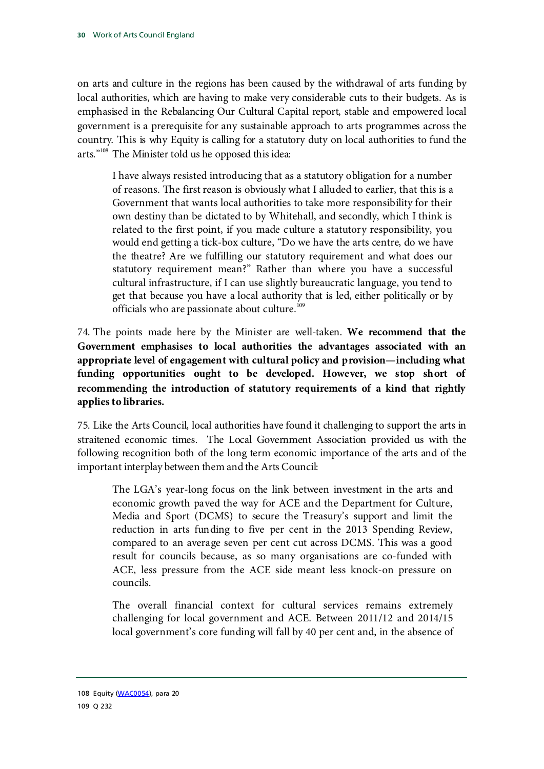on arts and culture in the regions has been caused by the withdrawal of arts funding by local authorities, which are having to make very considerable cuts to their budgets. As is emphasised in the Rebalancing Our Cultural Capital report, stable and empowered local government is a prerequisite for any sustainable approach to arts programmes across the country. This is why Equity is calling for a statutory duty on local authorities to fund the arts."[108](#page-30-0) The Minister told us he opposed this idea:

I have always resisted introducing that as a statutory obligation for a number of reasons. The first reason is obviously what I alluded to earlier, that this is a Government that wants local authorities to take more responsibility for their own destiny than be dictated to by Whitehall, and secondly, which I think is related to the first point, if you made culture a statutory responsibility, you would end getting a tick-box culture, "Do we have the arts centre, do we have the theatre? Are we fulfilling our statutory requirement and what does our statutory requirement mean?" Rather than where you have a successful cultural infrastructure, if I can use slightly bureaucratic language, you tend to get that because you have a local authority that is led, either politically or by officials who are passionate about culture.<sup>[109](#page-30-1)</sup>

<span id="page-30-2"></span>74. The points made here by the Minister are well-taken. **We recommend that the Government emphasises to local authorities the advantages associated with an appropriate level of engagement with cultural policy and provision—including what funding opportunities ought to be developed. However, we stop short of recommending the introduction of statutory requirements of a kind that rightly applies to libraries.**

75. Like the Arts Council, local authorities have found it challenging to support the arts in straitened economic times. The Local Government Association provided us with the following recognition both of the long term economic importance of the arts and of the important interplay between them and the Arts Council:

The LGA's year-long focus on the link between investment in the arts and economic growth paved the way for ACE and the Department for Culture, Media and Sport (DCMS) to secure the Treasury's support and limit the reduction in arts funding to five per cent in the 2013 Spending Review, compared to an average seven per cent cut across DCMS. This was a good result for councils because, as so many organisations are co-funded with ACE, less pressure from the ACE side meant less knock-on pressure on councils.

The overall financial context for cultural services remains extremely challenging for local government and ACE. Between 2011/12 and 2014/15 local government's core funding will fall by 40 per cent and, in the absence of

<span id="page-30-1"></span><span id="page-30-0"></span><sup>108</sup> Equity [\(WAC0054\)](http://data.parliament.uk/writtenevidence/committeeevidence.svc/evidencedocument/Culture,-Media-and-Sport/Work-of-the-Arts-Council-England/written/6351.html), para 20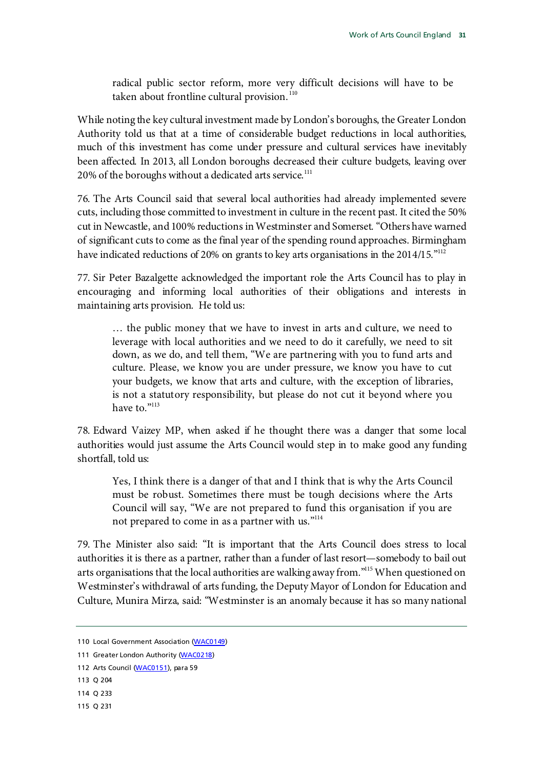radical public sector reform, more very difficult decisions will have to be taken about frontline cultural provision.<sup>[110](#page-31-0)</sup>

While noting the key cultural investment made by London's boroughs, the Greater London Authority told us that at a time of considerable budget reductions in local authorities, much of this investment has come under pressure and cultural services have inevitably been affected. In 2013, all London boroughs decreased their culture budgets, leaving over 20% of the boroughs without a dedicated arts service.<sup>[111](#page-31-1)</sup>

76. The Arts Council said that several local authorities had already implemented severe cuts, including those committed to investment in culture in the recent past. It cited the 50% cut in Newcastle, and 100% reductions in Westminster and Somerset. "Others have warned of significant cuts to come as the final year of the spending round approaches. Birmingham have indicated reductions of 20% on grants to key arts organisations in the 2014/15."<sup>112</sup>

77. Sir Peter Bazalgette acknowledged the important role the Arts Council has to play in encouraging and informing local authorities of their obligations and interests in maintaining arts provision. He told us:

… the public money that we have to invest in arts and culture, we need to leverage with local authorities and we need to do it carefully, we need to sit down, as we do, and tell them, "We are partnering with you to fund arts and culture. Please, we know you are under pressure, we know you have to cut your budgets, we know that arts and culture, with the exception of libraries, is not a statutory responsibility, but please do not cut it beyond where you have to.["113](#page-31-3)

78. Edward Vaizey MP, when asked if he thought there was a danger that some local authorities would just assume the Arts Council would step in to make good any funding shortfall, told us:

Yes, I think there is a danger of that and I think that is why the Arts Council must be robust. Sometimes there must be tough decisions where the Arts Council will say, "We are not prepared to fund this organisation if you are not prepared to come in as a partner with us."<sup>114</sup>

79. The Minister also said: "It is important that the Arts Council does stress to local authorities it is there as a partner, rather than a funder of last resort—somebody to bail out arts organisations that the local authorities are walking away from.["115](#page-31-5) When questioned on Westminster's withdrawal of arts funding, the Deputy Mayor of London for Education and Culture, Munira Mirza, said: "Westminster is an anomaly because it has so many national

- <span id="page-31-3"></span>113 Q 204
- <span id="page-31-4"></span>114 Q 233
- <span id="page-31-5"></span>115 Q 231

<span id="page-31-0"></span><sup>110</sup> Local Government Association [\(WAC0149\)](http://data.parliament.uk/writtenevidence/committeeevidence.svc/evidencedocument/Culture,-Media-and-Sport/Work-of-the-Arts-Council-England/written/6567.html)

<span id="page-31-1"></span><sup>111</sup> Greater London Authority [\(WAC0218\)](http://data.parliament.uk/writtenevidence/committeeevidence.svc/evidencedocument/Culture,-Media-and-Sport/Work-of-the-Arts-Council-England/written/9569.html)

<span id="page-31-2"></span><sup>112</sup> Arts Council [\(WAC0151\)](http://data.parliament.uk/writtenevidence/committeeevidence.svc/evidencedocument/Culture,-Media-and-Sport/Work-of-the-Arts-Council-England/written/6571.html), para 59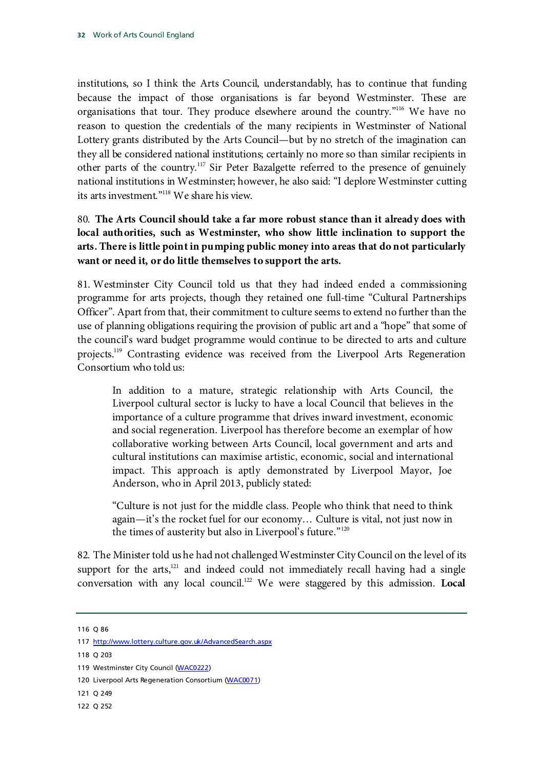institutions, so I think the Arts Council, understandably, has to continue that funding because the impact of those organisations is far beyond Westminster. These are organisations that tour. They produce elsewhere around the country."[116](#page-32-0) We have no reason to question the credentials of the many recipients in Westminster of National Lottery grants distributed by the Arts Council—but by no stretch of the imagination can they all be considered national institutions; certainly no more so than similar recipients in other parts of the country.[117](#page-32-1) Sir Peter Bazalgette referred to the presence of genuinely national institutions in Westminster; however, he also said: "I deplore Westminster cutting its arts investment." [118](#page-32-2) We share his view.

### <span id="page-32-7"></span>80. **The Arts Council should take a far more robust stance than it already does with local authorities, such as Westminster, who show little inclination to support the arts. There is little point in pumping public money into areas that do not particularly want or need it, or do little themselves to support the arts.**

81. Westminster City Council told us that they had indeed ended a commissioning programme for arts projects, though they retained one full-time "Cultural Partnerships Officer". Apart from that, their commitment to culture seems to extend no further than the use of planning obligations requiring the provision of public art and a "hope" that some of the council's ward budget programme would continue to be directed to arts and culture projects.<sup>119</sup> Contrasting evidence was received from the Liverpool Arts Regeneration Consortium who told us:

In addition to a mature, strategic relationship with Arts Council, the Liverpool cultural sector is lucky to have a local Council that believes in the importance of a culture programme that drives inward investment, economic and social regeneration. Liverpool has therefore become an exemplar of how collaborative working between Arts Council, local government and arts and cultural institutions can maximise artistic, economic, social and international impact. This approach is aptly demonstrated by Liverpool Mayor, Joe Anderson, who in April 2013, publicly stated:

<span id="page-32-8"></span>"Culture is not just for the middle class. People who think that need to think again—it's the rocket fuel for our economy… Culture is vital, not just now in the times of austerity but also in Liverpool's future."<sup>[120](#page-32-4)</sup>

82. The Minister told us he had not challenged Westminster City Council on the level of its support for the arts,<sup>121</sup> and indeed could not immediately recall having had a single conversation with any local council[.122](#page-32-6) We were staggered by this admission. **Local** 

<span id="page-32-2"></span>118 Q 203

<span id="page-32-5"></span>121 Q 249

<span id="page-32-0"></span><sup>116</sup> Q 86

<span id="page-32-1"></span><sup>117</sup> <http://www.lottery.culture.gov.uk/AdvancedSearch.aspx>

<span id="page-32-3"></span><sup>119</sup> Westminster City Council [\(WAC0222\)](http://data.parliament.uk/writtenevidence/committeeevidence.svc/evidencedocument/Culture,-Media-and-Sport/Work-of-the-Arts-Council-England/written/11878.html)

<span id="page-32-4"></span><sup>120</sup> Liverpool Arts Regeneration Consortium [\(WAC0071\)](http://data.parliament.uk/writtenevidence/committeeevidence.svc/evidencedocument/Culture,-Media-and-Sport/Work-of-the-Arts-Council-England/written/6383.html)

<span id="page-32-6"></span><sup>122</sup> Q 252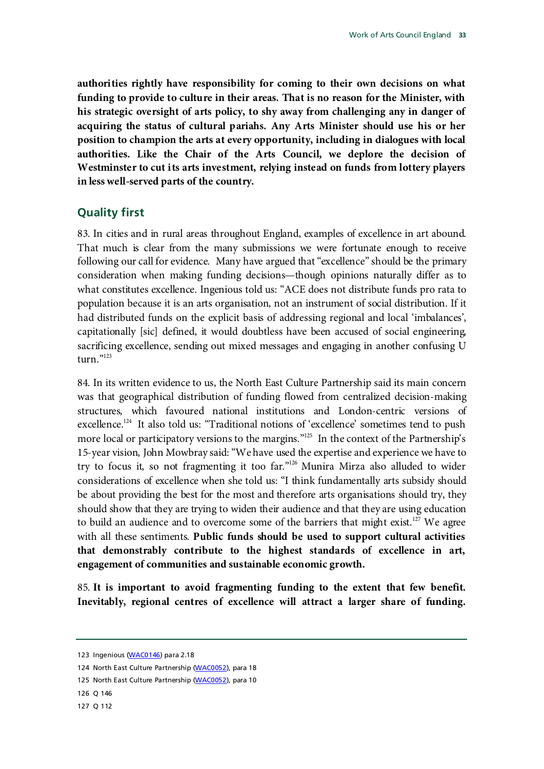**authorities rightly have responsibility for coming to their own decisions on what funding to provide to culture in their areas. That is no reason for the Minister, with his strategic oversight of arts policy, to shy away from challenging any in danger of acquiring the status of cultural pariahs. Any Arts Minister should use his or her position to champion the arts at every opportunity, including in dialogues with local authorities. Like the Chair of the Arts Council, we deplore the decision of Westminster to cut its arts investment, relying instead on funds from lottery players in less well-served parts of the country.** 

#### <span id="page-33-0"></span>**Quality first**

83. In cities and in rural areas throughout England, examples of excellence in art abound. That much is clear from the many submissions we were fortunate enough to receive following our call for evidence. Many have argued that "excellence" should be the primary consideration when making funding decisions—though opinions naturally differ as to what constitutes excellence. Ingenious told us: "ACE does not distribute funds pro rata to population because it is an arts organisation, not an instrument of social distribution. If it had distributed funds on the explicit basis of addressing regional and local 'imbalances', capitationally [sic] defined, it would doubtless have been accused of social engineering, sacrificing excellence, sending out mixed messages and engaging in another confusing U turn."<sup>123</sup>

84. In its written evidence to us, the North East Culture Partnership said its main concern was that geographical distribution of funding flowed from centralized decision-making structures, which favoured national institutions and London-centric versions of excellence.<sup>124</sup> It also told us: "Traditional notions of 'excellence' sometimes tend to push more local or participatory versions to the margins."<sup>125</sup> In the context of the Partnership's 15-year vision, John Mowbray said: "We have used the expertise and experience we have to try to focus it, so not fragmenting it too far.["126](#page-33-4) Munira Mirza also alluded to wider considerations of excellence when she told us: "I think fundamentally arts subsidy should be about providing the best for the most and therefore arts organisations should try, they should show that they are trying to widen their audience and that they are using education to build an audience and to overcome some of the barriers that might exist.<sup>[127](#page-33-5)</sup> We agree with all these sentiments. **Public funds should be used to support cultural activities that demonstrably contribute to the highest standards of excellence in art, engagement of communities and sustainable economic growth.**

<span id="page-33-7"></span><span id="page-33-6"></span>85. **It is important to avoid fragmenting funding to the extent that few benefit. Inevitably, regional centres of excellence will attract a larger share of funding.** 

- <span id="page-33-4"></span>126 Q 146
- <span id="page-33-5"></span>127 Q 112

<span id="page-33-1"></span><sup>123</sup> Ingenious [\(WAC0146\)](http://data.parliament.uk/writtenevidence/committeeevidence.svc/evidencedocument/Culture,-Media-and-Sport/Work-of-the-Arts-Council-England/written/6560.html) para 2.18

<span id="page-33-2"></span><sup>124</sup> North East Culture Partnership [\(WAC0052\)](http://data.parliament.uk/writtenevidence/committeeevidence.svc/evidencedocument/Culture,-Media-and-Sport/Work-of-the-Arts-Council-England/written/6349.html), para 18

<span id="page-33-3"></span><sup>125</sup> North East Culture Partnership [\(WAC0052\)](http://data.parliament.uk/writtenevidence/committeeevidence.svc/evidencedocument/Culture,-Media-and-Sport/Work-of-the-Arts-Council-England/written/6349.html), para 10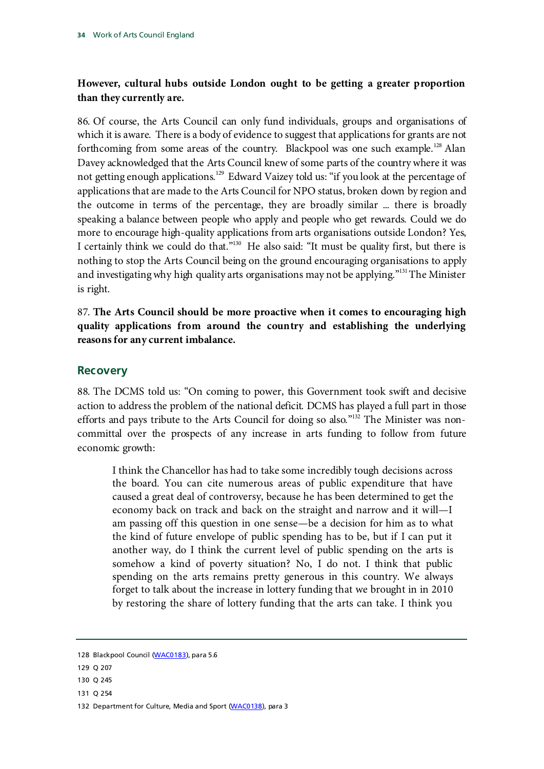### **However, cultural hubs outside London ought to be getting a greater proportion than they currently are.**

86. Of course, the Arts Council can only fund individuals, groups and organisations of which it is aware. There is a body of evidence to suggest that applications for grants are not forthcoming from some areas of the country. Blackpool was one such example.<sup>[128](#page-34-1)</sup> Alan Davey acknowledged that the Arts Council knew of some parts of the country where it was not getting enough applications.<sup>[129](#page-34-2)</sup> Edward Vaizey told us: "if you look at the percentage of applications that are made to the Arts Council for NPO status, broken down by region and the outcome in terms of the percentage, they are broadly similar ... there is broadly speaking a balance between people who apply and people who get rewards. Could we do more to encourage high-quality applications from arts organisations outside London? Yes, I certainly think we could do that.["130](#page-34-3) He also said: "It must be quality first, but there is nothing to stop the Arts Council being on the ground encouraging organisations to apply and investigating why high quality arts organisations may not be applying."<sup>131</sup>The Minister is right.

<span id="page-34-6"></span>87. **The Arts Council should be more proactive when it comes to encouraging high quality applications from around the country and establishing the underlying reasons for any current imbalance.**

### <span id="page-34-0"></span>**Recovery**

88. The DCMS told us: "On coming to power, this Government took swift and decisive action to address the problem of the national deficit. DCMS has played a full part in those efforts and pays tribute to the Arts Council for doing so also."<sup>[132](#page-34-5)</sup> The Minister was noncommittal over the prospects of any increase in arts funding to follow from future economic growth:

I think the Chancellor has had to take some incredibly tough decisions across the board. You can cite numerous areas of public expenditure that have caused a great deal of controversy, because he has been determined to get the economy back on track and back on the straight and narrow and it will—I am passing off this question in one sense—be a decision for him as to what the kind of future envelope of public spending has to be, but if I can put it another way, do I think the current level of public spending on the arts is somehow a kind of poverty situation? No, I do not. I think that public spending on the arts remains pretty generous in this country. We always forget to talk about the increase in lottery funding that we brought in in 2010 by restoring the share of lottery funding that the arts can take. I think you

- <span id="page-34-3"></span>130 Q 245
- <span id="page-34-4"></span>131 Q 254

<span id="page-34-1"></span><sup>128</sup> Blackpool Council [\(WAC0183\)](http://data.parliament.uk/writtenevidence/committeeevidence.svc/evidencedocument/Culture,-Media-and-Sport/Work-of-the-Arts-Council-England/written/6620.html), para 5.6

<span id="page-34-2"></span><sup>129</sup> Q 207

<span id="page-34-5"></span><sup>132</sup> Department for Culture, Media and Sport [\(WAC0138\)](http://data.parliament.uk/writtenevidence/committeeevidence.svc/evidencedocument/Culture,-Media-and-Sport/Work-of-the-Arts-Council-England/written/6523.html), para 3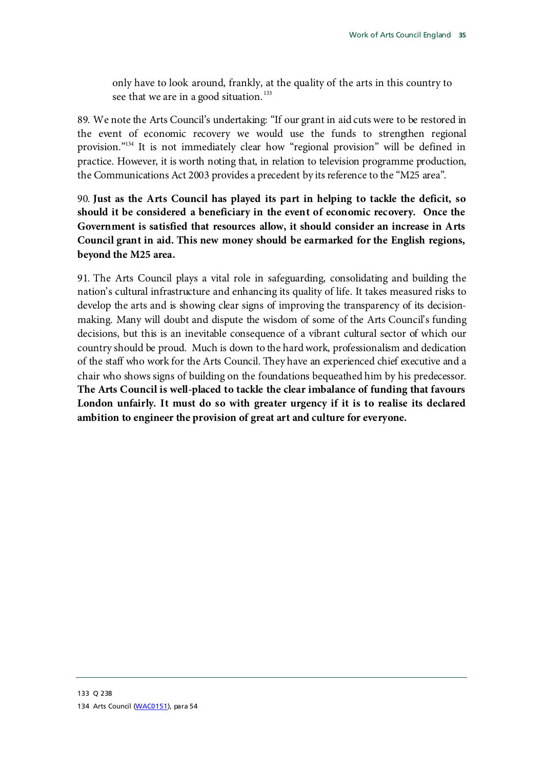only have to look around, frankly, at the quality of the arts in this country to see that we are in a good situation.<sup>[133](#page-35-0)</sup>

89. We note the Arts Council's undertaking: "If our grant in aid cuts were to be restored in the event of economic recovery we would use the funds to strengthen regional provision.["134](#page-35-1) It is not immediately clear how "regional provision" will be defined in practice. However, it is worth noting that, in relation to television programme production, the Communications Act 2003 provides a precedent by its reference to the "M25 area".

<span id="page-35-2"></span>90. **Just as the Arts Council has played its part in helping to tackle the deficit, so should it be considered a beneficiary in the event of economic recovery. Once the Government is satisfied that resources allow, it should consider an increase in Arts Council grant in aid. This new money should be earmarked for the English regions, beyond the M25 area.**

<span id="page-35-3"></span><span id="page-35-1"></span><span id="page-35-0"></span>91. The Arts Council plays a vital role in safeguarding, consolidating and building the nation's cultural infrastructure and enhancing its quality of life. It takes measured risks to develop the arts and is showing clear signs of improving the transparency of its decisionmaking. Many will doubt and dispute the wisdom of some of the Arts Council's funding decisions, but this is an inevitable consequence of a vibrant cultural sector of which our country should be proud. Much is down to the hard work, professionalism and dedication of the staff who work for the Arts Council. They have an experienced chief executive and a chair who shows signs of building on the foundations bequeathed him by his predecessor. **The Arts Council is well-placed to tackle the clear imbalance of funding that favours London unfairly. It must do so with greater urgency if it is to realise its declared ambition to engineer the provision of great art and culture for everyone.**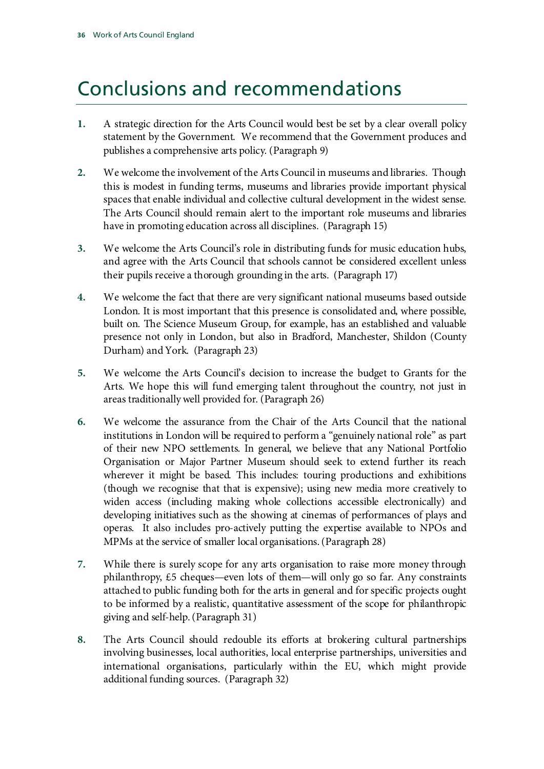## <span id="page-36-0"></span>Conclusions and recommendations

- **1.** A strategic direction for the Arts Council would best be set by a clear overall policy statement by the Government. We recommend that the Government produces and publishes a comprehensive arts policy. (Paragrap[h 9\)](#page-8-4)
- **2.** We welcome the involvement of the Arts Council in museums and libraries. Though this is modest in funding terms, museums and libraries provide important physical spaces that enable individual and collective cultural development in the widest sense. The Arts Council should remain alert to the important role museums and libraries have in promoting education across all disciplines. (Paragrap[h 15\)](#page-9-7)
- **3.** We welcome the Arts Council's role in distributing funds for music education hubs, and agree with the Arts Council that schools cannot be considered excellent unless their pupils receive a thorough grounding in the arts. (Paragrap[h 17\)](#page-10-3)
- **4.** We welcome the fact that there are very significant national museums based outside London. It is most important that this presence is consolidated and, where possible, built on. The Science Museum Group, for example, has an established and valuable presence not only in London, but also in Bradford, Manchester, Shildon (County Durham) and York. (Paragraph [23\)](#page-12-8)
- **5.** We welcome the Arts Council's decision to increase the budget to Grants for the Arts. We hope this will fund emerging talent throughout the country, not just in areas traditionally well provided for. (Paragrap[h 26\)](#page-13-3)
- **6.** We welcome the assurance from the Chair of the Arts Council that the national institutions in London will be required to perform a "genuinely national role" as part of their new NPO settlements. In general, we believe that any National Portfolio Organisation or Major Partner Museum should seek to extend further its reach wherever it might be based. This includes: touring productions and exhibitions (though we recognise that that is expensive); using new media more creatively to widen access (including making whole collections accessible electronically) and developing initiatives such as the showing at cinemas of performances of plays and operas. It also includes pro-actively putting the expertise available to NPOs and MPMs at the service of smaller local organisations. (Paragraph [28\)](#page-14-8)
- **7.** While there is surely scope for any arts organisation to raise more money through philanthropy, £5 cheques—even lots of them—will only go so far. Any constraints attached to public funding both for the arts in general and for specific projects ought to be informed by a realistic, quantitative assessment of the scope for philanthropic giving and self-help. (Paragraph [31\)](#page-15-6)
- **8.** The Arts Council should redouble its efforts at brokering cultural partnerships involving businesses, local authorities, local enterprise partnerships, universities and international organisations, particularly within the EU, which might provide additional funding sources. (Paragrap[h 32\)](#page-16-6)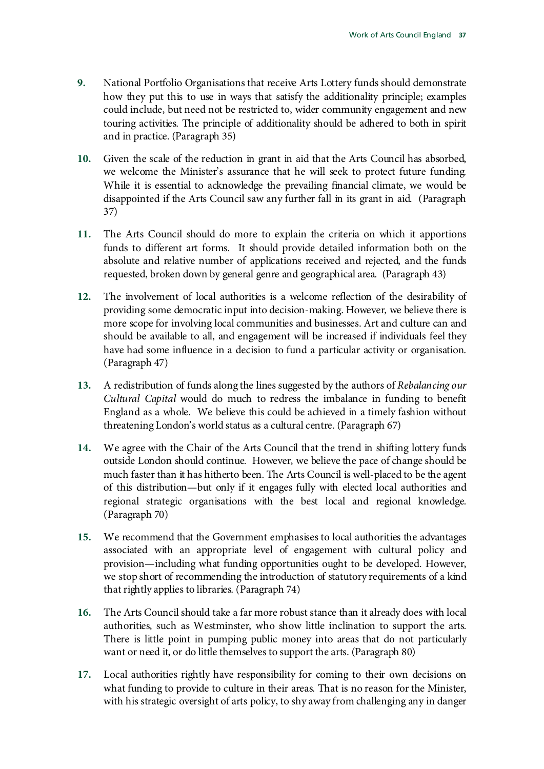- **9.** National Portfolio Organisations that receive Arts Lottery funds should demonstrate how they put this to use in ways that satisfy the additionality principle; examples could include, but need not be restricted to, wider community engagement and new touring activities. The principle of additionality should be adhered to both in spirit and in practice. (Paragraph [35\)](#page-16-7)
- **10.** Given the scale of the reduction in grant in aid that the Arts Council has absorbed, we welcome the Minister's assurance that he will seek to protect future funding. While it is essential to acknowledge the prevailing financial climate, we would be disappointed if the Arts Council saw any further fall in its grant in aid. (Paragraph [37\)](#page-17-4)
- **11.** The Arts Council should do more to explain the criteria on which it apportions funds to different art forms. It should provide detailed information both on the absolute and relative number of applications received and rejected, and the funds requested, broken down by general genre and geographical area. (Paragraph [43\)](#page-19-4)
- **12.** The involvement of local authorities is a welcome reflection of the desirability of providing some democratic input into decision-making. However, we believe there is more scope for involving local communities and businesses. Art and culture can and should be available to all, and engagement will be increased if individuals feel they have had some influence in a decision to fund a particular activity or organisation. (Paragrap[h 47\)](#page-21-4)
- **13.** A redistribution of funds along the lines suggested by the authors of *Rebalancing our Cultural Capital* would do much to redress the imbalance in funding to benefit England as a whole. We believe this could be achieved in a timely fashion without threatening London's world status as a cultural centre. (Paragrap[h 67\)](#page-28-7)
- **14.** We agree with the Chair of the Arts Council that the trend in shifting lottery funds outside London should continue. However, we believe the pace of change should be much faster than it has hitherto been. The Arts Council is well-placed to be the agent of this distribution—but only if it engages fully with elected local authorities and regional strategic organisations with the best local and regional knowledge. (Paragrap[h 70\)](#page-29-7)
- **15.** We recommend that the Government emphasises to local authorities the advantages associated with an appropriate level of engagement with cultural policy and provision—including what funding opportunities ought to be developed. However, we stop short of recommending the introduction of statutory requirements of a kind that rightly applies to libraries. (Paragrap[h 74\)](#page-30-2)
- **16.** The Arts Council should take a far more robust stance than it already does with local authorities, such as Westminster, who show little inclination to support the arts. There is little point in pumping public money into areas that do not particularly want or need it, or do little themselves to support the arts. (Paragrap[h 80\)](#page-32-7)
- **17.** Local authorities rightly have responsibility for coming to their own decisions on what funding to provide to culture in their areas. That is no reason for the Minister, with his strategic oversight of arts policy, to shy away from challenging any in danger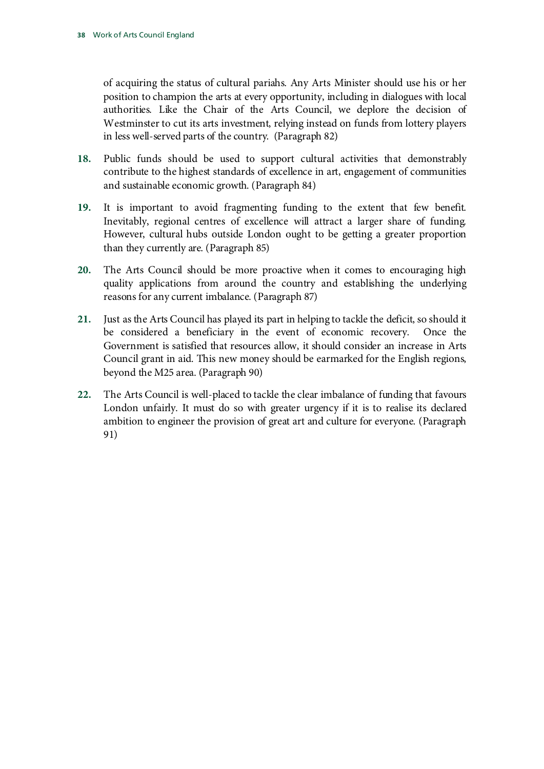of acquiring the status of cultural pariahs. Any Arts Minister should use his or her position to champion the arts at every opportunity, including in dialogues with local authorities. Like the Chair of the Arts Council, we deplore the decision of Westminster to cut its arts investment, relying instead on funds from lottery players in less well-served parts of the country. (Paragrap[h 82\)](#page-32-8)

- **18.** Public funds should be used to support cultural activities that demonstrably contribute to the highest standards of excellence in art, engagement of communities and sustainable economic growth. (Paragrap[h 84\)](#page-33-6)
- **19.** It is important to avoid fragmenting funding to the extent that few benefit. Inevitably, regional centres of excellence will attract a larger share of funding. However, cultural hubs outside London ought to be getting a greater proportion than they currently are. (Paragraph [85\)](#page-33-7)
- **20.** The Arts Council should be more proactive when it comes to encouraging high quality applications from around the country and establishing the underlying reasons for any current imbalance. (Paragrap[h 87\)](#page-34-6)
- **21.** Just as the Arts Council has played its part in helping to tackle the deficit, so should it be considered a beneficiary in the event of economic recovery. Once the Government is satisfied that resources allow, it should consider an increase in Arts Council grant in aid. This new money should be earmarked for the English regions, beyond the M25 area. (Paragraph [90\)](#page-35-2)
- **22.** The Arts Council is well-placed to tackle the clear imbalance of funding that favours London unfairly. It must do so with greater urgency if it is to realise its declared ambition to engineer the provision of great art and culture for everyone. (Paragraph [91\)](#page-35-3)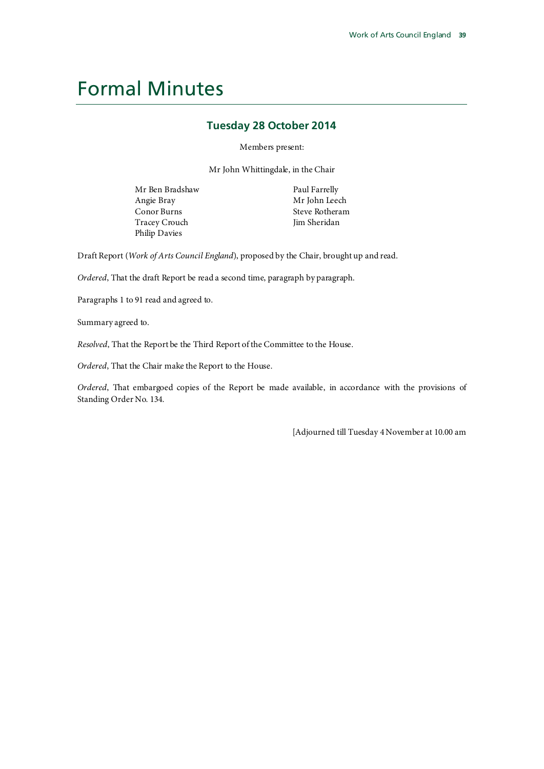## <span id="page-39-0"></span>Formal Minutes

#### **Tuesday 28 October 2014**

Members present:

Mr John Whittingdale, in the Chair

Mr Ben Bradshaw Angie Bray Conor Burns Tracey Crouch Philip Davies

Paul Farrelly Mr John Leech Steve Rotheram Jim Sheridan

Draft Report (*Work of Arts Council England*), proposed by the Chair, brought up and read.

*Ordered*, That the draft Report be read a second time, paragraph by paragraph.

Paragraphs 1 to 91 read and agreed to.

Summary agreed to.

*Resolved*, That the Report be the Third Report of the Committee to the House.

*Ordered*, That the Chair make the Report to the House.

*Ordered*, That embargoed copies of the Report be made available, in accordance with the provisions of Standing Order No. 134.

[Adjourned till Tuesday 4 November at 10.00 am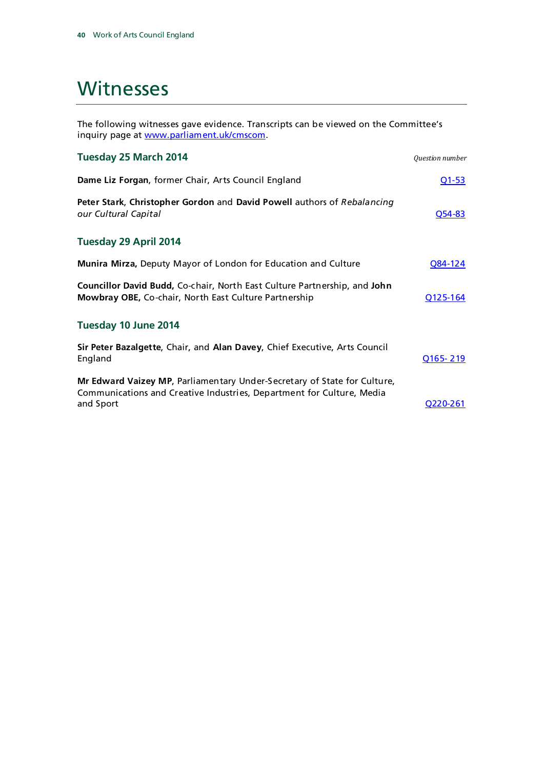### <span id="page-40-0"></span>**Witnesses**

The following witnesses gave evidence. Transcripts can be viewed on the Committee's inquiry page at www.parliament.uk/cmscom.

| Tuesday 25 March 2014                                                                                                                                          | Question number |
|----------------------------------------------------------------------------------------------------------------------------------------------------------------|-----------------|
| Dame Liz Forgan, former Chair, Arts Council England                                                                                                            | $Q1 - 53$       |
| Peter Stark, Christopher Gordon and David Powell authors of Rebalancing<br>our Cultural Capital                                                                | Q54-83          |
| Tuesday 29 April 2014                                                                                                                                          |                 |
| Munira Mirza, Deputy Mayor of London for Education and Culture                                                                                                 | Q84-124         |
| Councillor David Budd, Co-chair, North East Culture Partnership, and John<br>Mowbray OBE, Co-chair, North East Culture Partnership                             | Q125-164        |
| Tuesday 10 June 2014                                                                                                                                           |                 |
| Sir Peter Bazalgette, Chair, and Alan Davey, Chief Executive, Arts Council<br>England                                                                          | <u>Q165-219</u> |
| Mr Edward Vaizey MP, Parliamentary Under-Secretary of State for Culture,<br>Communications and Creative Industries, Department for Culture, Media<br>and Sport | Q220-261        |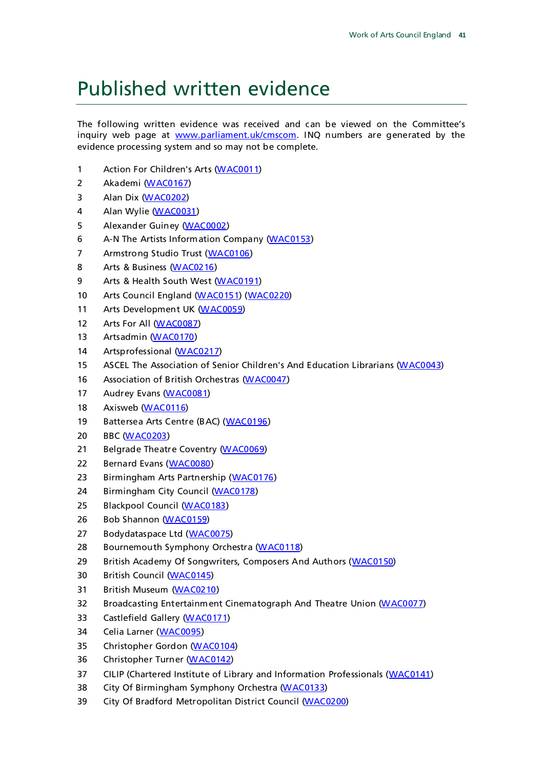### <span id="page-41-0"></span>Published written evidence

The following written evidence was received and can be viewed on the Committee's inquiry web page at [www.parliament.uk/cmscom.](http://www.parliament.uk/cmscom) INQ numbers are generated by the evidence processing system and so may not be complete.

- 1 Action For Children's Arts [\(WAC0011\)](http://data.parliament.uk/writtenevidence/committeeevidence.svc/evidencedocument/Culture,-Media-and-Sport/Work-of-the-Arts-Council-England/written/5777.html)
- 2 Akademi [\(WAC0167\)](http://data.parliament.uk/writtenevidence/committeeevidence.svc/evidencedocument/Culture,-Media-and-Sport/Work-of-the-Arts-Council-England/written/6597.html)
- 3 Alan Dix [\(WAC0202\)](http://data.parliament.uk/writtenevidence/committeeevidence.svc/evidencedocument/Culture,-Media-and-Sport/Work-of-the-Arts-Council-England/written/6681.html)
- 4 Alan Wylie [\(WAC0031\)](http://data.parliament.uk/writtenevidence/committeeevidence.svc/evidencedocument/Culture,-Media-and-Sport/Work-of-the-Arts-Council-England/written/6229.html)
- 5 Alexander Guiney [\(WAC0002\)](http://data.parliament.uk/writtenevidence/committeeevidence.svc/evidencedocument/Culture,-Media-and-Sport/Work-of-the-Arts-Council-England/written/5098.html)
- 6 A-N The Artists Information Company [\(WAC0153\)](http://data.parliament.uk/writtenevidence/committeeevidence.svc/evidencedocument/Culture,-Media-and-Sport/Work-of-the-Arts-Council-England/written/6573.html)
- 7 Armstrong Studio Trust [\(WAC0106\)](http://data.parliament.uk/writtenevidence/committeeevidence.svc/evidencedocument/Culture,-Media-and-Sport/Work-of-the-Arts-Council-England/written/6459.html)
- 8 Arts & Business [\(WAC0216\)](http://data.parliament.uk/writtenevidence/committeeevidence.svc/evidencedocument/Culture,-Media-and-Sport/Work-of-the-Arts-Council-England/written/7172.html)
- 9 Arts & Health South West [\(WAC0191\)](http://data.parliament.uk/writtenevidence/committeeevidence.svc/evidencedocument/Culture,-Media-and-Sport/Work-of-the-Arts-Council-England/written/6629.html)
- 10 Arts Council England [\(WAC0151\)](http://data.parliament.uk/writtenevidence/committeeevidence.svc/evidencedocument/Culture,-Media-and-Sport/Work-of-the-Arts-Council-England/written/6571.html) [\(WAC0220\)](http://data.parliament.uk/writtenevidence/committeeevidence.svc/evidencedocument/Culture,-Media-and-Sport/Work-of-the-Arts-Council-England/written/9895.html)
- 11 Arts Development UK [\(WAC0059\)](http://data.parliament.uk/writtenevidence/committeeevidence.svc/evidencedocument/Culture,-Media-and-Sport/Work-of-the-Arts-Council-England/written/6361.html)
- 12 Arts For All [\(WAC0087\)](http://data.parliament.uk/writtenevidence/committeeevidence.svc/evidencedocument/Culture,-Media-and-Sport/Work-of-the-Arts-Council-England/written/6420.html)
- 13 Artsadmin [\(WAC0170\)](http://data.parliament.uk/writtenevidence/committeeevidence.svc/evidencedocument/Culture,-Media-and-Sport/Work-of-the-Arts-Council-England/written/6603.html)
- 14 Artsprofessional [\(WAC0217\)](http://data.parliament.uk/writtenevidence/committeeevidence.svc/evidencedocument/Culture,-Media-and-Sport/Work-of-the-Arts-Council-England/written/8129.html)
- 15 ASCEL The Association of Senior Children's And Education Librarians [\(WAC0043\)](http://data.parliament.uk/writtenevidence/committeeevidence.svc/evidencedocument/Culture,-Media-and-Sport/Work-of-the-Arts-Council-England/written/6301.html)
- 16 Association of British Orchestras [\(WAC0047\)](http://data.parliament.uk/writtenevidence/committeeevidence.svc/evidencedocument/Culture,-Media-and-Sport/Work-of-the-Arts-Council-England/written/6330.html)
- 17 Audrey Evans [\(WAC0081\)](http://data.parliament.uk/writtenevidence/committeeevidence.svc/evidencedocument/Culture,-Media-and-Sport/Work-of-the-Arts-Council-England/written/6400.html)
- 18 Axisweb [\(WAC0116\)](http://data.parliament.uk/writtenevidence/committeeevidence.svc/evidencedocument/Culture,-Media-and-Sport/Work-of-the-Arts-Council-England/written/6478.html)
- 19 Battersea Arts Centre (BAC) [\(WAC0196\)](http://data.parliament.uk/writtenevidence/committeeevidence.svc/evidencedocument/Culture,-Media-and-Sport/Work-of-the-Arts-Council-England/written/6635.html)
- 20 BBC [\(WAC0203\)](http://data.parliament.uk/writtenevidence/committeeevidence.svc/evidencedocument/Culture,-Media-and-Sport/Work-of-the-Arts-Council-England/written/6757.html)
- 21 Belgrade Theatre Coventry [\(WAC0069\)](http://data.parliament.uk/writtenevidence/committeeevidence.svc/evidencedocument/Culture,-Media-and-Sport/Work-of-the-Arts-Council-England/written/6378.html)
- 22 Bernard Evans [\(WAC0080\)](http://data.parliament.uk/writtenevidence/committeeevidence.svc/evidencedocument/Culture,-Media-and-Sport/Work-of-the-Arts-Council-England/written/6399.html)
- 23 Birmingham Arts Partnership [\(WAC0176\)](http://data.parliament.uk/writtenevidence/committeeevidence.svc/evidencedocument/Culture,-Media-and-Sport/Work-of-the-Arts-Council-England/written/6613.html)
- 24 Birmingham City Council [\(WAC0178\)](http://data.parliament.uk/writtenevidence/committeeevidence.svc/evidencedocument/Culture,-Media-and-Sport/Work-of-the-Arts-Council-England/written/6615.html)
- 25 Blackpool Council [\(WAC0183\)](http://data.parliament.uk/writtenevidence/committeeevidence.svc/evidencedocument/Culture,-Media-and-Sport/Work-of-the-Arts-Council-England/written/6620.html)
- 26 Bob Shannon [\(WAC0159\)](http://data.parliament.uk/writtenevidence/committeeevidence.svc/evidencedocument/Culture,-Media-and-Sport/Work-of-the-Arts-Council-England/written/6581.html)
- 27 Bodydataspace Ltd [\(WAC0075\)](http://data.parliament.uk/writtenevidence/committeeevidence.svc/evidencedocument/Culture,-Media-and-Sport/Work-of-the-Arts-Council-England/written/6389.html)
- 28 Bournemouth Symphony Orchestra [\(WAC0118\)](http://data.parliament.uk/writtenevidence/committeeevidence.svc/evidencedocument/Culture,-Media-and-Sport/Work-of-the-Arts-Council-England/written/6485.html)
- 29 British Academy Of Songwriters, Composers And Authors [\(WAC0150\)](http://data.parliament.uk/writtenevidence/committeeevidence.svc/evidencedocument/Culture,-Media-and-Sport/Work-of-the-Arts-Council-England/written/6569.html)
- 30 British Council [\(WAC0145\)](http://data.parliament.uk/writtenevidence/committeeevidence.svc/evidencedocument/Culture,-Media-and-Sport/Work-of-the-Arts-Council-England/written/6559.html)
- 31 British Museum [\(WAC0210\)](http://data.parliament.uk/writtenevidence/committeeevidence.svc/evidencedocument/Culture,-Media-and-Sport/Work-of-the-Arts-Council-England/written/6903.html)
- 32 Broadcasting Entertainment Cinematograph And Theatre Union [\(WAC0077\)](http://data.parliament.uk/writtenevidence/committeeevidence.svc/evidencedocument/Culture,-Media-and-Sport/Work-of-the-Arts-Council-England/written/6392.html)
- 33 Castlefield Gallery [\(WAC0171\)](http://data.parliament.uk/writtenevidence/committeeevidence.svc/evidencedocument/Culture,-Media-and-Sport/Work-of-the-Arts-Council-England/written/6604.html)
- 34 Celia Larner [\(WAC0095\)](http://data.parliament.uk/writtenevidence/committeeevidence.svc/evidencedocument/Culture,-Media-and-Sport/Work-of-the-Arts-Council-England/written/6436.html)
- 35 Christopher Gordon [\(WAC0104\)](http://data.parliament.uk/writtenevidence/committeeevidence.svc/evidencedocument/Culture,-Media-and-Sport/Work-of-the-Arts-Council-England/written/6453.html)
- 36 Christopher Turner [\(WAC0142\)](http://data.parliament.uk/writtenevidence/committeeevidence.svc/evidencedocument/Culture,-Media-and-Sport/Work-of-the-Arts-Council-England/written/6556.html)
- 37 CILIP (Chartered Institute of Library and Information Professionals [\(WAC0141\)](http://data.parliament.uk/writtenevidence/committeeevidence.svc/evidencedocument/Culture,-Media-and-Sport/Work-of-the-Arts-Council-England/written/6542.html)
- 38 City Of Birmingham Symphony Orchestra [\(WAC0133\)](http://data.parliament.uk/writtenevidence/committeeevidence.svc/evidencedocument/Culture,-Media-and-Sport/Work-of-the-Arts-Council-England/written/6514.html)
- 39 City Of Bradford Metropolitan District Council [\(WAC0200\)](http://data.parliament.uk/writtenevidence/committeeevidence.svc/evidencedocument/Culture,-Media-and-Sport/Work-of-the-Arts-Council-England/written/6668.html)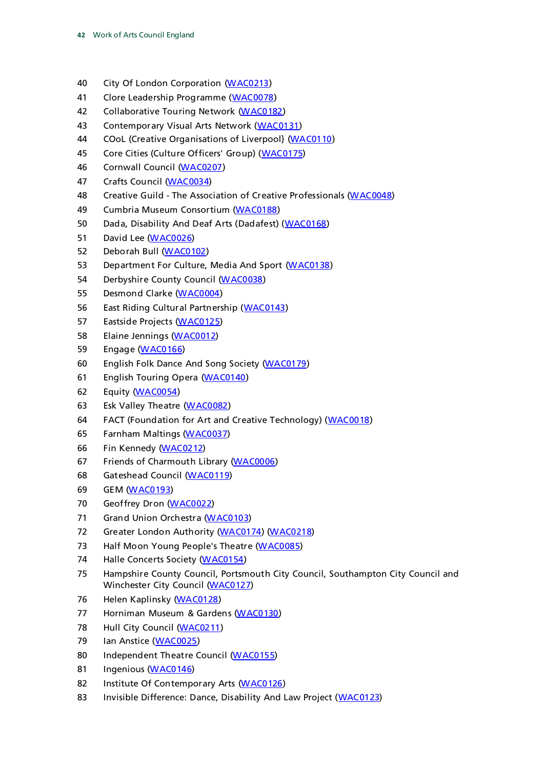- 40 City Of London Corporation [\(WAC0213\)](http://data.parliament.uk/writtenevidence/committeeevidence.svc/evidencedocument/Culture,-Media-and-Sport/Work-of-the-Arts-Council-England/written/6958.html)
- 41 Clore Leadership Programme [\(WAC0078\)](http://data.parliament.uk/writtenevidence/committeeevidence.svc/evidencedocument/Culture,-Media-and-Sport/Work-of-the-Arts-Council-England/written/6393.html)
- 42 Collaborative Touring Network [\(WAC0182\)](http://data.parliament.uk/writtenevidence/committeeevidence.svc/evidencedocument/Culture,-Media-and-Sport/Work-of-the-Arts-Council-England/written/6619.html)
- 43 Contemporary Visual Arts Network [\(WAC0131\)](http://data.parliament.uk/writtenevidence/committeeevidence.svc/evidencedocument/Culture,-Media-and-Sport/Work-of-the-Arts-Council-England/written/6511.html)
- 44 COoL (Creative Organisations of Liverpool) [\(WAC0110\)](http://data.parliament.uk/writtenevidence/committeeevidence.svc/evidencedocument/Culture,-Media-and-Sport/Work-of-the-Arts-Council-England/written/6467.html)
- 45 Core Cities (Culture Officers' Group) [\(WAC0175\)](http://data.parliament.uk/writtenevidence/committeeevidence.svc/evidencedocument/Culture,-Media-and-Sport/Work-of-the-Arts-Council-England/written/6612.html)
- 46 Cornwall Council [\(WAC0207\)](http://data.parliament.uk/writtenevidence/committeeevidence.svc/evidencedocument/Culture,-Media-and-Sport/Work-of-the-Arts-Council-England/written/6813.html)
- 47 Crafts Council [\(WAC0034\)](http://data.parliament.uk/writtenevidence/committeeevidence.svc/evidencedocument/Culture,-Media-and-Sport/Work-of-the-Arts-Council-England/written/6249.html)
- 48 Creative Guild The Association of Creative Professionals [\(WAC0048\)](http://data.parliament.uk/writtenevidence/committeeevidence.svc/evidencedocument/Culture,-Media-and-Sport/Work-of-the-Arts-Council-England/written/6335.html)
- 49 Cumbria Museum Consortium [\(WAC0188\)](http://data.parliament.uk/writtenevidence/committeeevidence.svc/evidencedocument/Culture,-Media-and-Sport/Work-of-the-Arts-Council-England/written/6625.html)
- 50 Dada, Disability And Deaf Arts (Dadafest) [\(WAC0168\)](http://data.parliament.uk/writtenevidence/committeeevidence.svc/evidencedocument/Culture,-Media-and-Sport/Work-of-the-Arts-Council-England/written/6599.html)
- 51 David Lee [\(WAC0026\)](http://data.parliament.uk/writtenevidence/committeeevidence.svc/evidencedocument/Culture,-Media-and-Sport/Work-of-the-Arts-Council-England/written/6211.html)
- 52 Deborah Bull [\(WAC0102\)](http://data.parliament.uk/writtenevidence/committeeevidence.svc/evidencedocument/Culture,-Media-and-Sport/Work-of-the-Arts-Council-England/written/6450.html)
- 53 Department For Culture, Media And Sport [\(WAC0138\)](http://data.parliament.uk/writtenevidence/committeeevidence.svc/evidencedocument/Culture,-Media-and-Sport/Work-of-the-Arts-Council-England/written/6523.html)
- 54 Derbyshire County Council [\(WAC0038\)](http://data.parliament.uk/writtenevidence/committeeevidence.svc/evidencedocument/Culture,-Media-and-Sport/Work-of-the-Arts-Council-England/written/6276.html)
- 55 Desmond Clarke [\(WAC0004\)](http://data.parliament.uk/writtenevidence/committeeevidence.svc/evidencedocument/Culture,-Media-and-Sport/Work-of-the-Arts-Council-England/written/5338.html)
- 56 East Riding Cultural Partnership [\(WAC0143\)](http://data.parliament.uk/writtenevidence/committeeevidence.svc/evidencedocument/Culture,-Media-and-Sport/Work-of-the-Arts-Council-England/written/6557.html)
- 57 Eastside Projects [\(WAC0125\)](http://data.parliament.uk/writtenevidence/committeeevidence.svc/evidencedocument/Culture,-Media-and-Sport/Work-of-the-Arts-Council-England/written/6502.html)
- 58 Elaine Jennings [\(WAC0012\)](http://data.parliament.uk/writtenevidence/committeeevidence.svc/evidencedocument/Culture,-Media-and-Sport/Work-of-the-Arts-Council-England/written/5830.html)
- 59 Engage [\(WAC0166\)](http://data.parliament.uk/writtenevidence/committeeevidence.svc/evidencedocument/Culture,-Media-and-Sport/Work-of-the-Arts-Council-England/written/6596.html)
- 60 English Folk Dance And Song Society [\(WAC0179\)](http://data.parliament.uk/writtenevidence/committeeevidence.svc/evidencedocument/Culture,-Media-and-Sport/Work-of-the-Arts-Council-England/written/6616.html)
- 61 English Touring Opera [\(WAC0140\)](http://data.parliament.uk/writtenevidence/committeeevidence.svc/evidencedocument/Culture,-Media-and-Sport/Work-of-the-Arts-Council-England/written/6539.html)
- 62 Equity [\(WAC0054\)](http://data.parliament.uk/writtenevidence/committeeevidence.svc/evidencedocument/Culture,-Media-and-Sport/Work-of-the-Arts-Council-England/written/6351.html)
- 63 Esk Valley Theatre [\(WAC0082\)](http://data.parliament.uk/writtenevidence/committeeevidence.svc/evidencedocument/Culture,-Media-and-Sport/Work-of-the-Arts-Council-England/written/6401.html)
- 64 FACT (Foundation for Art and Creative Technology) [\(WAC0018\)](http://data.parliament.uk/writtenevidence/committeeevidence.svc/evidencedocument/Culture,-Media-and-Sport/Work-of-the-Arts-Council-England/written/5908.html)
- 65 Farnham Maltings [\(WAC0037\)](http://data.parliament.uk/writtenevidence/committeeevidence.svc/evidencedocument/Culture,-Media-and-Sport/Work-of-the-Arts-Council-England/written/6263.html)
- 66 Fin Kennedy [\(WAC0212\)](http://data.parliament.uk/writtenevidence/committeeevidence.svc/evidencedocument/Culture,-Media-and-Sport/Work-of-the-Arts-Council-England/written/6955.html)
- 67 Friends of Charmouth Library [\(WAC0006\)](http://data.parliament.uk/writtenevidence/committeeevidence.svc/evidencedocument/Culture,-Media-and-Sport/Work-of-the-Arts-Council-England/written/5374.html)
- 68 Gateshead Council [\(WAC0119\)](http://data.parliament.uk/writtenevidence/committeeevidence.svc/evidencedocument/Culture,-Media-and-Sport/Work-of-the-Arts-Council-England/written/6486.html)
- 69 GEM [\(WAC0193\)](http://data.parliament.uk/writtenevidence/committeeevidence.svc/evidencedocument/Culture,-Media-and-Sport/Work-of-the-Arts-Council-England/written/6632.html)
- 70 Geoffrey Dron [\(WAC0022\)](http://data.parliament.uk/writtenevidence/committeeevidence.svc/evidencedocument/Culture,-Media-and-Sport/Work-of-the-Arts-Council-England/written/6078.html)
- 71 Grand Union Orchestra [\(WAC0103\)](http://data.parliament.uk/writtenevidence/committeeevidence.svc/evidencedocument/Culture,-Media-and-Sport/Work-of-the-Arts-Council-England/written/6452.html)
- 72 Greater London Authority [\(WAC0174\)](http://data.parliament.uk/writtenevidence/committeeevidence.svc/evidencedocument/Culture,-Media-and-Sport/Work-of-the-Arts-Council-England/written/6610.html) [\(WAC0218\)](http://data.parliament.uk/writtenevidence/committeeevidence.svc/evidencedocument/Culture,-Media-and-Sport/Work-of-the-Arts-Council-England/written/9569.html)
- 73 Half Moon Young People's Theatre [\(WAC0085\)](http://data.parliament.uk/writtenevidence/committeeevidence.svc/evidencedocument/Culture,-Media-and-Sport/Work-of-the-Arts-Council-England/written/6409.html)
- 74 Halle Concerts Society [\(WAC0154\)](http://data.parliament.uk/writtenevidence/committeeevidence.svc/evidencedocument/Culture,-Media-and-Sport/Work-of-the-Arts-Council-England/written/6574.html)
- 75 Hampshire County Council, Portsmouth City Council, Southampton City Council and Winchester City Council [\(WAC0127\)](http://data.parliament.uk/writtenevidence/committeeevidence.svc/evidencedocument/Culture,-Media-and-Sport/Work-of-the-Arts-Council-England/written/6507.html)
- 76 Helen Kaplinsky [\(WAC0128\)](http://data.parliament.uk/writtenevidence/committeeevidence.svc/evidencedocument/Culture,-Media-and-Sport/Work-of-the-Arts-Council-England/written/6508.html)
- 77 Horniman Museum & Gardens [\(WAC0130\)](http://data.parliament.uk/writtenevidence/committeeevidence.svc/evidencedocument/Culture,-Media-and-Sport/Work-of-the-Arts-Council-England/written/6510.html)
- 78 Hull City Council [\(WAC0211\)](http://data.parliament.uk/writtenevidence/committeeevidence.svc/evidencedocument/Culture,-Media-and-Sport/Work-of-the-Arts-Council-England/written/6953.html)
- 79 Ian Anstice [\(WAC0025\)](http://data.parliament.uk/writtenevidence/committeeevidence.svc/evidencedocument/Culture,-Media-and-Sport/Work-of-the-Arts-Council-England/written/6202.html)
- 80 Independent Theatre Council [\(WAC0155\)](http://data.parliament.uk/writtenevidence/committeeevidence.svc/evidencedocument/Culture,-Media-and-Sport/Work-of-the-Arts-Council-England/written/6575.html)
- 81 Ingenious [\(WAC0146\)](http://data.parliament.uk/writtenevidence/committeeevidence.svc/evidencedocument/Culture,-Media-and-Sport/Work-of-the-Arts-Council-England/written/6560.html)
- 82 Institute Of Contemporary Arts [\(WAC0126\)](http://data.parliament.uk/writtenevidence/committeeevidence.svc/evidencedocument/Culture,-Media-and-Sport/Work-of-the-Arts-Council-England/written/6505.html)
- 83 Invisible Difference: Dance, Disability And Law Project [\(WAC0123\)](http://data.parliament.uk/writtenevidence/committeeevidence.svc/evidencedocument/Culture,-Media-and-Sport/Work-of-the-Arts-Council-England/written/6500.html)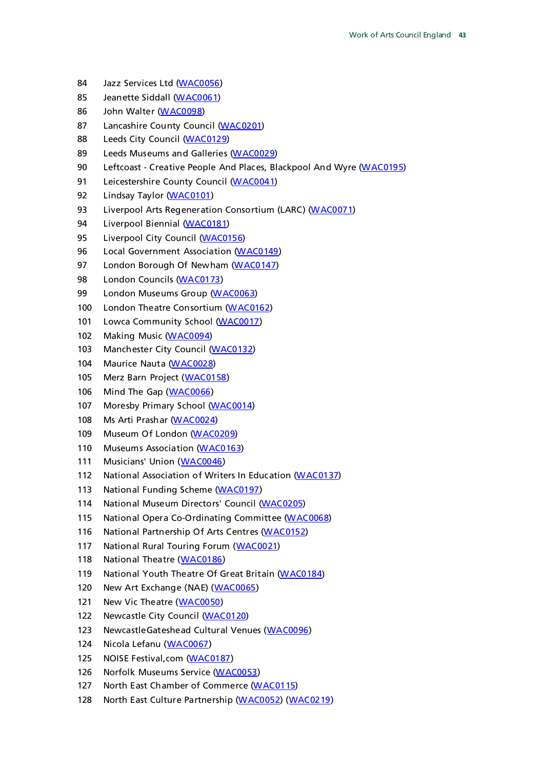- 84 Jazz Services Ltd [\(WAC0056\)](http://data.parliament.uk/writtenevidence/committeeevidence.svc/evidencedocument/Culture,-Media-and-Sport/Work-of-the-Arts-Council-England/written/6357.html)
- 85 Jeanette Siddall [\(WAC0061\)](http://data.parliament.uk/writtenevidence/committeeevidence.svc/evidencedocument/Culture,-Media-and-Sport/Work-of-the-Arts-Council-England/written/6364.html)
- 86 John Walter [\(WAC0098\)](http://data.parliament.uk/writtenevidence/committeeevidence.svc/evidencedocument/Culture,-Media-and-Sport/Work-of-the-Arts-Council-England/written/6439.html)
- 87 Lancashire County Council [\(WAC0201\)](http://data.parliament.uk/writtenevidence/committeeevidence.svc/evidencedocument/Culture,-Media-and-Sport/Work-of-the-Arts-Council-England/written/6678.html)
- 88 Leeds City Council [\(WAC0129\)](http://data.parliament.uk/writtenevidence/committeeevidence.svc/evidencedocument/Culture,-Media-and-Sport/Work-of-the-Arts-Council-England/written/6509.html)
- 89 Leeds Museums and Galleries [\(WAC0029\)](http://data.parliament.uk/writtenevidence/committeeevidence.svc/evidencedocument/Culture,-Media-and-Sport/Work-of-the-Arts-Council-England/written/6224.html)
- 90 Leftcoast Creative People And Places, Blackpool And Wyre [\(WAC0195\)](http://data.parliament.uk/writtenevidence/committeeevidence.svc/evidencedocument/Culture,-Media-and-Sport/Work-of-the-Arts-Council-England/written/6634.html)
- 91 Leicestershire County Council [\(WAC0041\)](http://data.parliament.uk/writtenevidence/committeeevidence.svc/evidencedocument/Culture,-Media-and-Sport/Work-of-the-Arts-Council-England/written/6289.html)
- 92 Lindsay Taylor [\(WAC0101\)](http://data.parliament.uk/writtenevidence/committeeevidence.svc/evidencedocument/Culture,-Media-and-Sport/Work-of-the-Arts-Council-England/written/6449.html)
- 93 Liverpool Arts Regeneration Consortium (LARC) [\(WAC0071\)](http://data.parliament.uk/writtenevidence/committeeevidence.svc/evidencedocument/Culture,-Media-and-Sport/Work-of-the-Arts-Council-England/written/6383.html)
- 94 Liverpool Biennial [\(WAC0181\)](http://data.parliament.uk/writtenevidence/committeeevidence.svc/evidencedocument/Culture,-Media-and-Sport/Work-of-the-Arts-Council-England/written/6618.html)
- 95 Liverpool City Council [\(WAC0156\)](http://data.parliament.uk/writtenevidence/committeeevidence.svc/evidencedocument/Culture,-Media-and-Sport/Work-of-the-Arts-Council-England/written/6576.html)
- 96 Local Government Association [\(WAC0149\)](http://data.parliament.uk/writtenevidence/committeeevidence.svc/evidencedocument/Culture,-Media-and-Sport/Work-of-the-Arts-Council-England/written/6567.html)
- 97 London Borough Of Newham [\(WAC0147\)](http://data.parliament.uk/writtenevidence/committeeevidence.svc/evidencedocument/Culture,-Media-and-Sport/Work-of-the-Arts-Council-England/written/6562.html)
- 98 London Councils [\(WAC0173\)](http://data.parliament.uk/writtenevidence/committeeevidence.svc/evidencedocument/Culture,-Media-and-Sport/Work-of-the-Arts-Council-England/written/6609.html)
- 99 London Museums Group [\(WAC0063\)](http://data.parliament.uk/writtenevidence/committeeevidence.svc/evidencedocument/Culture,-Media-and-Sport/Work-of-the-Arts-Council-England/written/6366.html)
- 100 London Theatre Consortium [\(WAC0162\)](http://data.parliament.uk/writtenevidence/committeeevidence.svc/evidencedocument/Culture,-Media-and-Sport/Work-of-the-Arts-Council-England/written/6591.html)
- 101 Lowca Community School [\(WAC0017\)](http://data.parliament.uk/writtenevidence/committeeevidence.svc/evidencedocument/Culture,-Media-and-Sport/Work-of-the-Arts-Council-England/written/5907.html)
- 102 Making Music [\(WAC0094\)](http://data.parliament.uk/writtenevidence/committeeevidence.svc/evidencedocument/Culture,-Media-and-Sport/Work-of-the-Arts-Council-England/written/6433.html)
- 103 Manchester City Council [\(WAC0132\)](http://data.parliament.uk/writtenevidence/committeeevidence.svc/evidencedocument/Culture,-Media-and-Sport/Work-of-the-Arts-Council-England/written/6512.html)
- 104 Maurice Nauta [\(WAC0028\)](http://data.parliament.uk/writtenevidence/committeeevidence.svc/evidencedocument/Culture,-Media-and-Sport/Work-of-the-Arts-Council-England/written/6213.html)
- 105 Merz Barn Project [\(WAC0158\)](http://data.parliament.uk/writtenevidence/committeeevidence.svc/evidencedocument/Culture,-Media-and-Sport/Work-of-the-Arts-Council-England/written/6579.html)
- 106 Mind The Gap [\(WAC0066\)](http://data.parliament.uk/writtenevidence/committeeevidence.svc/evidencedocument/Culture,-Media-and-Sport/Work-of-the-Arts-Council-England/written/6371.html)
- 107 Moresby Primary School [\(WAC0014\)](http://data.parliament.uk/writtenevidence/committeeevidence.svc/evidencedocument/Culture,-Media-and-Sport/Work-of-the-Arts-Council-England/written/5889.html)
- 108 Ms Arti Prashar [\(WAC0024\)](http://data.parliament.uk/writtenevidence/committeeevidence.svc/evidencedocument/Culture,-Media-and-Sport/Work-of-the-Arts-Council-England/written/6189.html)
- 109 Museum Of London [\(WAC0209\)](http://data.parliament.uk/writtenevidence/committeeevidence.svc/evidencedocument/Culture,-Media-and-Sport/Work-of-the-Arts-Council-England/written/6889.html)
- 110 Museums Association [\(WAC0163\)](http://data.parliament.uk/writtenevidence/committeeevidence.svc/evidencedocument/Culture,-Media-and-Sport/Work-of-the-Arts-Council-England/written/6592.html)
- 111 Musicians' Union [\(WAC0046\)](http://data.parliament.uk/writtenevidence/committeeevidence.svc/evidencedocument/Culture,-Media-and-Sport/Work-of-the-Arts-Council-England/written/6324.html)
- 112 National Association of Writers In Education [\(WAC0137\)](http://data.parliament.uk/writtenevidence/committeeevidence.svc/evidencedocument/Culture,-Media-and-Sport/Work-of-the-Arts-Council-England/written/6521.html)
- 113 National Funding Scheme [\(WAC0197\)](http://data.parliament.uk/writtenevidence/committeeevidence.svc/evidencedocument/Culture,-Media-and-Sport/Work-of-the-Arts-Council-England/written/6638.html)
- 114 National Museum Directors' Council [\(WAC0205\)](http://data.parliament.uk/writtenevidence/committeeevidence.svc/evidencedocument/Culture,-Media-and-Sport/Work-of-the-Arts-Council-England/written/6767.html)
- 115 National Opera Co-Ordinating Committee [\(WAC0068\)](http://data.parliament.uk/writtenevidence/committeeevidence.svc/evidencedocument/Culture,-Media-and-Sport/Work-of-the-Arts-Council-England/written/6377.html)
- 116 National Partnership Of Arts Centres [\(WAC0152\)](http://data.parliament.uk/writtenevidence/committeeevidence.svc/evidencedocument/Culture,-Media-and-Sport/Work-of-the-Arts-Council-England/written/6572.html)
- 117 National Rural Touring Forum [\(WAC0021\)](http://data.parliament.uk/writtenevidence/committeeevidence.svc/evidencedocument/Culture,-Media-and-Sport/Work-of-the-Arts-Council-England/written/6005.html)
- 118 National Theatre [\(WAC0186\)](http://data.parliament.uk/writtenevidence/committeeevidence.svc/evidencedocument/Culture,-Media-and-Sport/Work-of-the-Arts-Council-England/written/6623.html)
- 119 National Youth Theatre Of Great Britain [\(WAC0184\)](http://data.parliament.uk/writtenevidence/committeeevidence.svc/evidencedocument/Culture,-Media-and-Sport/Work-of-the-Arts-Council-England/written/6621.html)
- 120 New Art Exchange (NAE) [\(WAC0065\)](http://data.parliament.uk/writtenevidence/committeeevidence.svc/evidencedocument/Culture,-Media-and-Sport/Work-of-the-Arts-Council-England/written/6369.html)
- 121 New Vic Theatre [\(WAC0050\)](http://data.parliament.uk/writtenevidence/committeeevidence.svc/evidencedocument/Culture,-Media-and-Sport/Work-of-the-Arts-Council-England/written/6342.html)
- 122 Newcastle City Council [\(WAC0120\)](http://data.parliament.uk/writtenevidence/committeeevidence.svc/evidencedocument/Culture,-Media-and-Sport/Work-of-the-Arts-Council-England/written/6487.html)
- 123 NewcastleGateshead Cultural Venues [\(WAC0096\)](http://data.parliament.uk/writtenevidence/committeeevidence.svc/evidencedocument/Culture,-Media-and-Sport/Work-of-the-Arts-Council-England/written/6437.html)
- 124 Nicola Lefanu [\(WAC0067\)](http://data.parliament.uk/writtenevidence/committeeevidence.svc/evidencedocument/Culture,-Media-and-Sport/Work-of-the-Arts-Council-England/written/6374.html)
- 125 NOISE Festival,com [\(WAC0187\)](http://data.parliament.uk/writtenevidence/committeeevidence.svc/evidencedocument/Culture,-Media-and-Sport/Work-of-the-Arts-Council-England/written/6624.html)
- 126 Norfolk Museums Service [\(WAC0053\)](http://data.parliament.uk/writtenevidence/committeeevidence.svc/evidencedocument/Culture,-Media-and-Sport/Work-of-the-Arts-Council-England/written/6350.html)
- 127 North East Chamber of Commerce [\(WAC0115\)](http://data.parliament.uk/writtenevidence/committeeevidence.svc/evidencedocument/Culture,-Media-and-Sport/Work-of-the-Arts-Council-England/written/6477.html)
- 128 North East Culture Partnership [\(WAC0052\)](http://data.parliament.uk/writtenevidence/committeeevidence.svc/evidencedocument/Culture,-Media-and-Sport/Work-of-the-Arts-Council-England/written/6349.html) [\(WAC0219\)](http://data.parliament.uk/writtenevidence/committeeevidence.svc/evidencedocument/Culture,-Media-and-Sport/Work-of-the-Arts-Council-England/written/9683.html)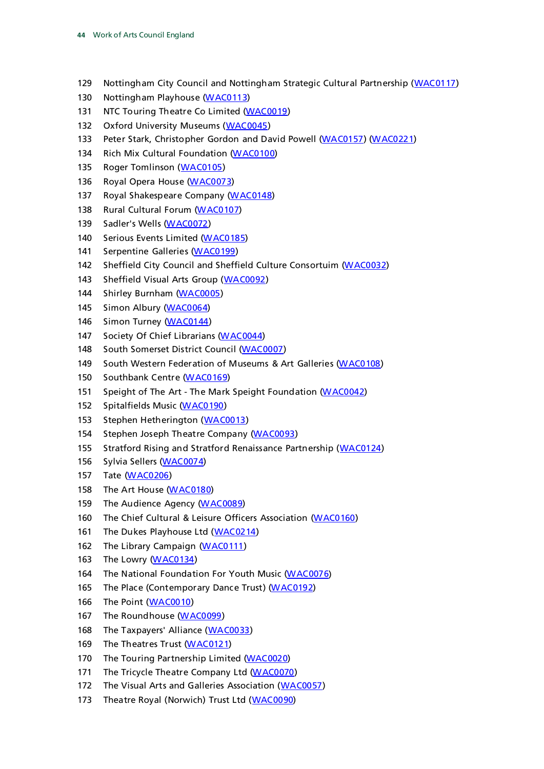- 129 Nottingham City Council and Nottingham Strategic Cultural Partnership [\(WAC0117\)](http://data.parliament.uk/writtenevidence/committeeevidence.svc/evidencedocument/Culture,-Media-and-Sport/Work-of-the-Arts-Council-England/written/6481.html)
- 130 Nottingham Playhouse [\(WAC0113\)](http://data.parliament.uk/writtenevidence/committeeevidence.svc/evidencedocument/Culture,-Media-and-Sport/Work-of-the-Arts-Council-England/written/6475.html)
- 131 NTC Touring Theatre Co Limited [\(WAC0019\)](http://data.parliament.uk/writtenevidence/committeeevidence.svc/evidencedocument/Culture,-Media-and-Sport/Work-of-the-Arts-Council-England/written/5919.html)
- 132 Oxford University Museums [\(WAC0045\)](http://data.parliament.uk/writtenevidence/committeeevidence.svc/evidencedocument/Culture,-Media-and-Sport/Work-of-the-Arts-Council-England/written/6314.html)
- 133 Peter Stark, Christopher Gordon and David Powell [\(WAC0157\)](http://data.parliament.uk/writtenevidence/committeeevidence.svc/evidencedocument/Culture,-Media-and-Sport/Work-of-the-Arts-Council-England/written/6578.html) [\(WAC0221\)](http://data.parliament.uk/writtenevidence/committeeevidence.svc/evidencedocument/Culture,-Media-and-Sport/Work-of-the-Arts-Council-England/written/9940.html)
- 134 Rich Mix Cultural Foundation [\(WAC0100\)](http://data.parliament.uk/writtenevidence/committeeevidence.svc/evidencedocument/Culture,-Media-and-Sport/Work-of-the-Arts-Council-England/written/6441.html)
- 135 Roger Tomlinson [\(WAC0105\)](http://data.parliament.uk/writtenevidence/committeeevidence.svc/evidencedocument/Culture,-Media-and-Sport/Work-of-the-Arts-Council-England/written/6456.html)
- 136 Royal Opera House [\(WAC0073\)](http://data.parliament.uk/writtenevidence/committeeevidence.svc/evidencedocument/Culture,-Media-and-Sport/Work-of-the-Arts-Council-England/written/6385.html)
- 137 Royal Shakespeare Company [\(WAC0148\)](http://data.parliament.uk/writtenevidence/committeeevidence.svc/evidencedocument/Culture,-Media-and-Sport/Work-of-the-Arts-Council-England/written/6563.html)
- 138 Rural Cultural Forum [\(WAC0107\)](http://data.parliament.uk/writtenevidence/committeeevidence.svc/evidencedocument/Culture,-Media-and-Sport/Work-of-the-Arts-Council-England/written/6461.html)
- 139 Sadler's Wells [\(WAC0072\)](http://data.parliament.uk/writtenevidence/committeeevidence.svc/evidencedocument/Culture,-Media-and-Sport/Work-of-the-Arts-Council-England/written/6384.html)
- 140 Serious Events Limited [\(WAC0185\)](http://data.parliament.uk/writtenevidence/committeeevidence.svc/evidencedocument/Culture,-Media-and-Sport/Work-of-the-Arts-Council-England/written/6622.html)
- 141 Serpentine Galleries [\(WAC0199\)](http://data.parliament.uk/writtenevidence/committeeevidence.svc/evidencedocument/Culture,-Media-and-Sport/Work-of-the-Arts-Council-England/written/6665.html)
- 142 Sheffield City Council and Sheffield Culture Consortuim [\(WAC0032\)](http://data.parliament.uk/writtenevidence/committeeevidence.svc/evidencedocument/Culture,-Media-and-Sport/Work-of-the-Arts-Council-England/written/6238.html)
- 143 Sheffield Visual Arts Group [\(WAC0092\)](http://data.parliament.uk/writtenevidence/committeeevidence.svc/evidencedocument/Culture,-Media-and-Sport/Work-of-the-Arts-Council-England/written/6430.html)
- 144 Shirley Burnham [\(WAC0005\)](http://data.parliament.uk/writtenevidence/committeeevidence.svc/evidencedocument/Culture,-Media-and-Sport/Work-of-the-Arts-Council-England/written/5344.html)
- 145 Simon Albury [\(WAC0064\)](http://data.parliament.uk/writtenevidence/committeeevidence.svc/evidencedocument/Culture,-Media-and-Sport/Work-of-the-Arts-Council-England/written/6368.html)
- 146 Simon Turney [\(WAC0144\)](http://data.parliament.uk/writtenevidence/committeeevidence.svc/evidencedocument/Culture,-Media-and-Sport/Work-of-the-Arts-Council-England/written/6558.html)
- 147 Society Of Chief Librarians [\(WAC0044\)](http://data.parliament.uk/writtenevidence/committeeevidence.svc/evidencedocument/Culture,-Media-and-Sport/Work-of-the-Arts-Council-England/written/6308.html)
- 148 South Somerset District Council [\(WAC0007\)](http://data.parliament.uk/writtenevidence/committeeevidence.svc/evidencedocument/Culture,-Media-and-Sport/Work-of-the-Arts-Council-England/written/5681.html)
- 149 South Western Federation of Museums & Art Galleries [\(WAC0108\)](http://data.parliament.uk/writtenevidence/committeeevidence.svc/evidencedocument/Culture,-Media-and-Sport/Work-of-the-Arts-Council-England/written/6464.html)
- 150 Southbank Centre [\(WAC0169\)](http://data.parliament.uk/writtenevidence/committeeevidence.svc/evidencedocument/Culture,-Media-and-Sport/Work-of-the-Arts-Council-England/written/6600.html)
- 151 Speight of The Art The Mark Speight Foundation [\(WAC0042\)](http://data.parliament.uk/writtenevidence/committeeevidence.svc/evidencedocument/Culture,-Media-and-Sport/Work-of-the-Arts-Council-England/written/6297.html)
- 152 Spitalfields Music [\(WAC0190\)](http://data.parliament.uk/writtenevidence/committeeevidence.svc/evidencedocument/Culture,-Media-and-Sport/Work-of-the-Arts-Council-England/written/6628.html)
- 153 Stephen Hetherington [\(WAC0013\)](http://data.parliament.uk/writtenevidence/committeeevidence.svc/evidencedocument/Culture,-Media-and-Sport/Work-of-the-Arts-Council-England/written/5839.html)
- 154 Stephen Joseph Theatre Company [\(WAC0093\)](http://data.parliament.uk/writtenevidence/committeeevidence.svc/evidencedocument/Culture,-Media-and-Sport/Work-of-the-Arts-Council-England/written/6431.html)
- 155 Stratford Rising and Stratford Renaissance Partnership [\(WAC0124\)](http://data.parliament.uk/writtenevidence/committeeevidence.svc/evidencedocument/Culture,-Media-and-Sport/Work-of-the-Arts-Council-England/written/6501.html)
- 156 Sylvia Sellers [\(WAC0074\)](http://data.parliament.uk/writtenevidence/committeeevidence.svc/evidencedocument/Culture,-Media-and-Sport/Work-of-the-Arts-Council-England/written/6387.html)
- 157 Tate [\(WAC0206\)](http://data.parliament.uk/writtenevidence/committeeevidence.svc/evidencedocument/Culture,-Media-and-Sport/Work-of-the-Arts-Council-England/written/6770.html)
- 158 The Art House [\(WAC0180\)](http://data.parliament.uk/writtenevidence/committeeevidence.svc/evidencedocument/Culture,-Media-and-Sport/Work-of-the-Arts-Council-England/written/6617.html)
- 159 The Audience Agency [\(WAC0089\)](http://data.parliament.uk/writtenevidence/committeeevidence.svc/evidencedocument/Culture,-Media-and-Sport/Work-of-the-Arts-Council-England/written/6424.html)
- 160 The Chief Cultural & Leisure Officers Association [\(WAC0160\)](http://data.parliament.uk/writtenevidence/committeeevidence.svc/evidencedocument/Culture,-Media-and-Sport/Work-of-the-Arts-Council-England/written/6582.html)
- 161 The Dukes Playhouse Ltd [\(WAC0214\)](http://data.parliament.uk/writtenevidence/committeeevidence.svc/evidencedocument/Culture,-Media-and-Sport/Work-of-the-Arts-Council-England/written/6962.html)
- 162 The Library Campaign [\(WAC0111\)](http://data.parliament.uk/writtenevidence/committeeevidence.svc/evidencedocument/Culture,-Media-and-Sport/Work-of-the-Arts-Council-England/written/6468.html)
- 163 The Lowry [\(WAC0134\)](http://data.parliament.uk/writtenevidence/committeeevidence.svc/evidencedocument/Culture,-Media-and-Sport/Work-of-the-Arts-Council-England/written/6515.html)
- 164 The National Foundation For Youth Music [\(WAC0076\)](http://data.parliament.uk/writtenevidence/committeeevidence.svc/evidencedocument/Culture,-Media-and-Sport/Work-of-the-Arts-Council-England/written/6391.html)
- 165 The Place (Contemporary Dance Trust) [\(WAC0192\)](http://data.parliament.uk/writtenevidence/committeeevidence.svc/evidencedocument/Culture,-Media-and-Sport/Work-of-the-Arts-Council-England/written/6630.html)
- 166 The Point [\(WAC0010\)](http://data.parliament.uk/writtenevidence/committeeevidence.svc/evidencedocument/Culture,-Media-and-Sport/Work-of-the-Arts-Council-England/written/5731.html)
- 167 The Roundhouse [\(WAC0099\)](http://data.parliament.uk/writtenevidence/committeeevidence.svc/evidencedocument/Culture,-Media-and-Sport/Work-of-the-Arts-Council-England/written/6440.html)
- 168 The Taxpayers' Alliance [\(WAC0033\)](http://data.parliament.uk/writtenevidence/committeeevidence.svc/evidencedocument/Culture,-Media-and-Sport/Work-of-the-Arts-Council-England/written/6245.html)
- 169 The Theatres Trust [\(WAC0121\)](http://data.parliament.uk/writtenevidence/committeeevidence.svc/evidencedocument/Culture,-Media-and-Sport/Work-of-the-Arts-Council-England/written/6490.html)
- 170 The Touring Partnership Limited [\(WAC0020\)](http://data.parliament.uk/writtenevidence/committeeevidence.svc/evidencedocument/Culture,-Media-and-Sport/Work-of-the-Arts-Council-England/written/5921.html)
- 171 The Tricycle Theatre Company Ltd [\(WAC0070\)](http://data.parliament.uk/writtenevidence/committeeevidence.svc/evidencedocument/Culture,-Media-and-Sport/Work-of-the-Arts-Council-England/written/6380.html)
- 172 The Visual Arts and Galleries Association [\(WAC0057\)](http://data.parliament.uk/writtenevidence/committeeevidence.svc/evidencedocument/Culture,-Media-and-Sport/Work-of-the-Arts-Council-England/written/6359.html)
- 173 Theatre Royal (Norwich) Trust Ltd [\(WAC0090\)](http://data.parliament.uk/writtenevidence/committeeevidence.svc/evidencedocument/Culture,-Media-and-Sport/Work-of-the-Arts-Council-England/written/6425.html)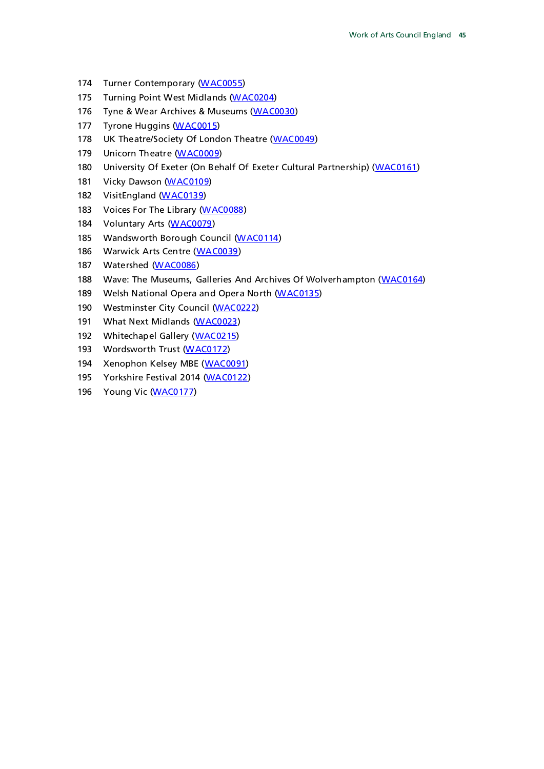- 174 Turner Contemporary [\(WAC0055\)](http://data.parliament.uk/writtenevidence/committeeevidence.svc/evidencedocument/Culture,-Media-and-Sport/Work-of-the-Arts-Council-England/written/6353.html)
- 175 Turning Point West Midlands [\(WAC0204\)](http://data.parliament.uk/writtenevidence/committeeevidence.svc/evidencedocument/Culture,-Media-and-Sport/Work-of-the-Arts-Council-England/written/6763.html)
- 176 Tyne & Wear Archives & Museums [\(WAC0030\)](http://data.parliament.uk/writtenevidence/committeeevidence.svc/evidencedocument/Culture,-Media-and-Sport/Work-of-the-Arts-Council-England/written/6225.html)
- 177 Tyrone Huggins [\(WAC0015\)](http://data.parliament.uk/writtenevidence/committeeevidence.svc/evidencedocument/Culture,-Media-and-Sport/Work-of-the-Arts-Council-England/written/5891.html)
- 178 UK Theatre/Society Of London Theatre [\(WAC0049\)](http://data.parliament.uk/writtenevidence/committeeevidence.svc/evidencedocument/Culture,-Media-and-Sport/Work-of-the-Arts-Council-England/written/6339.html)
- 179 Unicorn Theatre [\(WAC0009\)](http://data.parliament.uk/writtenevidence/committeeevidence.svc/evidencedocument/Culture,-Media-and-Sport/Work-of-the-Arts-Council-England/written/5691.html)
- 180 University Of Exeter (On Behalf Of Exeter Cultural Partnership) [\(WAC0161\)](http://data.parliament.uk/writtenevidence/committeeevidence.svc/evidencedocument/Culture,-Media-and-Sport/Work-of-the-Arts-Council-England/written/6583.html)
- 181 Vicky Dawson [\(WAC0109\)](http://data.parliament.uk/writtenevidence/committeeevidence.svc/evidencedocument/Culture,-Media-and-Sport/Work-of-the-Arts-Council-England/written/6465.html)
- 182 VisitEngland [\(WAC0139\)](http://data.parliament.uk/writtenevidence/committeeevidence.svc/evidencedocument/Culture,-Media-and-Sport/Work-of-the-Arts-Council-England/written/6526.html)
- 183 Voices For The Library [\(WAC0088\)](http://data.parliament.uk/writtenevidence/committeeevidence.svc/evidencedocument/Culture,-Media-and-Sport/Work-of-the-Arts-Council-England/written/6422.html)
- 184 Voluntary Arts [\(WAC0079\)](http://data.parliament.uk/writtenevidence/committeeevidence.svc/evidencedocument/Culture,-Media-and-Sport/Work-of-the-Arts-Council-England/written/6398.html)
- 185 Wandsworth Borough Council [\(WAC0114\)](http://data.parliament.uk/writtenevidence/committeeevidence.svc/evidencedocument/Culture,-Media-and-Sport/Work-of-the-Arts-Council-England/written/6476.html)
- 186 Warwick Arts Centre [\(WAC0039\)](http://data.parliament.uk/writtenevidence/committeeevidence.svc/evidencedocument/Culture,-Media-and-Sport/Work-of-the-Arts-Council-England/written/6282.html)
- 187 Watershed [\(WAC0086\)](http://data.parliament.uk/writtenevidence/committeeevidence.svc/evidencedocument/Culture,-Media-and-Sport/Work-of-the-Arts-Council-England/written/6411.html)
- 188 Wave: The Museums, Galleries And Archives Of Wolverhampton [\(WAC0164\)](http://data.parliament.uk/writtenevidence/committeeevidence.svc/evidencedocument/Culture,-Media-and-Sport/Work-of-the-Arts-Council-England/written/6593.html)
- 189 Welsh National Opera and Opera North [\(WAC0135\)](http://data.parliament.uk/writtenevidence/committeeevidence.svc/evidencedocument/Culture,-Media-and-Sport/Work-of-the-Arts-Council-England/written/6516.html)
- 190 Westminster City Council [\(WAC0222\)](http://data.parliament.uk/writtenevidence/committeeevidence.svc/evidencedocument/Culture,-Media-and-Sport/Work-of-the-Arts-Council-England/written/11878.html)
- 191 What Next Midlands [\(WAC0023\)](http://data.parliament.uk/writtenevidence/committeeevidence.svc/evidencedocument/Culture,-Media-and-Sport/Work-of-the-Arts-Council-England/written/6111.html)
- 192 Whitechapel Gallery [\(WAC0215\)](http://data.parliament.uk/writtenevidence/committeeevidence.svc/evidencedocument/Culture,-Media-and-Sport/Work-of-the-Arts-Council-England/written/6970.html)
- 193 Wordsworth Trust [\(WAC0172\)](http://data.parliament.uk/writtenevidence/committeeevidence.svc/evidencedocument/Culture,-Media-and-Sport/Work-of-the-Arts-Council-England/written/6608.html)
- 194 Xenophon Kelsey MBE [\(WAC0091\)](http://data.parliament.uk/writtenevidence/committeeevidence.svc/evidencedocument/Culture,-Media-and-Sport/Work-of-the-Arts-Council-England/written/6427.html)
- 195 Yorkshire Festival 2014 [\(WAC0122\)](http://data.parliament.uk/writtenevidence/committeeevidence.svc/evidencedocument/Culture,-Media-and-Sport/Work-of-the-Arts-Council-England/written/6496.html)
- 196 Young Vic [\(WAC0177\)](http://data.parliament.uk/writtenevidence/committeeevidence.svc/evidencedocument/Culture,-Media-and-Sport/Work-of-the-Arts-Council-England/written/6614.html)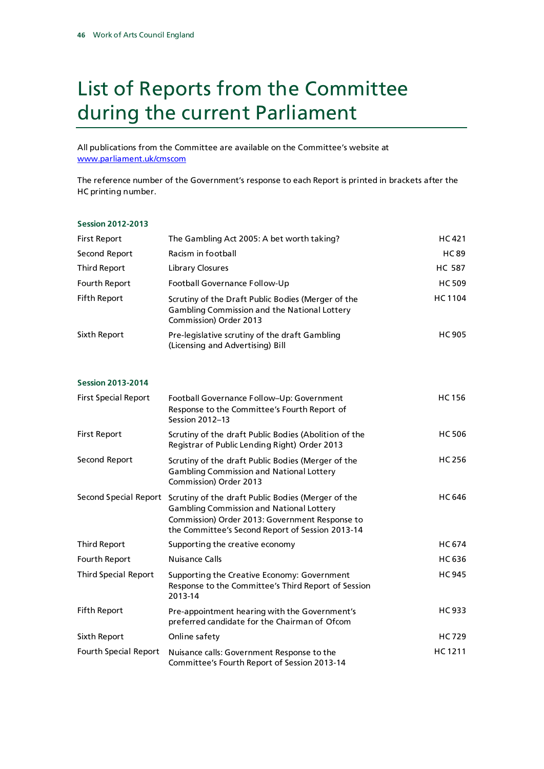## <span id="page-46-0"></span>List of Reports from the Committee during the current Parliament

All publications from the Committee are available on the Committee's website at [www.parliament.uk/cmscom](http://www.parliament.uk/cmscom)

The reference number of the Government's response to each Report is printed in brackets after the HC printing number.

#### **Session 2012-2013**

| <b>First Report</b> | The Gambling Act 2005: A bet worth taking?                                                                                   | HC 421        |
|---------------------|------------------------------------------------------------------------------------------------------------------------------|---------------|
| Second Report       | Racism in football                                                                                                           | <b>HC89</b>   |
| Third Report        | Library Closures                                                                                                             | <b>HC 587</b> |
| Fourth Report       | Football Governance Follow-Up                                                                                                | <b>HC509</b>  |
| <b>Fifth Report</b> | Scrutiny of the Draft Public Bodies (Merger of the<br>Gambling Commission and the National Lottery<br>Commission) Order 2013 | <b>HC1104</b> |
| Sixth Report        | Pre-legislative scrutiny of the draft Gambling<br>(Licensing and Advertising) Bill                                           | <b>HC905</b>  |

#### **Session 2013-2014**

| <b>First Special Report</b> | Football Governance Follow-Up: Government<br>Response to the Committee's Fourth Report of<br>Session 2012-13                                                                                                | <b>HC156</b>  |
|-----------------------------|-------------------------------------------------------------------------------------------------------------------------------------------------------------------------------------------------------------|---------------|
| <b>First Report</b>         | Scrutiny of the draft Public Bodies (Abolition of the<br>Registrar of Public Lending Right) Order 2013                                                                                                      | <b>HC506</b>  |
| Second Report               | Scrutiny of the draft Public Bodies (Merger of the<br><b>Gambling Commission and National Lottery</b><br>Commission) Order 2013                                                                             | <b>HC 256</b> |
| Second Special Report       | Scrutiny of the draft Public Bodies (Merger of the<br><b>Gambling Commission and National Lottery</b><br>Commission) Order 2013: Government Response to<br>the Committee's Second Report of Session 2013-14 | <b>HC 646</b> |
| Third Report                | Supporting the creative economy                                                                                                                                                                             | <b>HC 674</b> |
| Fourth Report               | Nuisance Calls                                                                                                                                                                                              | <b>HC636</b>  |
| <b>Third Special Report</b> | Supporting the Creative Economy: Government<br>Response to the Committee's Third Report of Session<br>2013-14                                                                                               | <b>HC 945</b> |
| <b>Fifth Report</b>         | Pre-appointment hearing with the Government's<br>preferred candidate for the Chairman of Ofcom                                                                                                              | <b>HC933</b>  |
| Sixth Report                | Online safety                                                                                                                                                                                               | <b>HC729</b>  |
| Fourth Special Report       | Nuisance calls: Government Response to the<br>Committee's Fourth Report of Session 2013-14                                                                                                                  | <b>HC1211</b> |